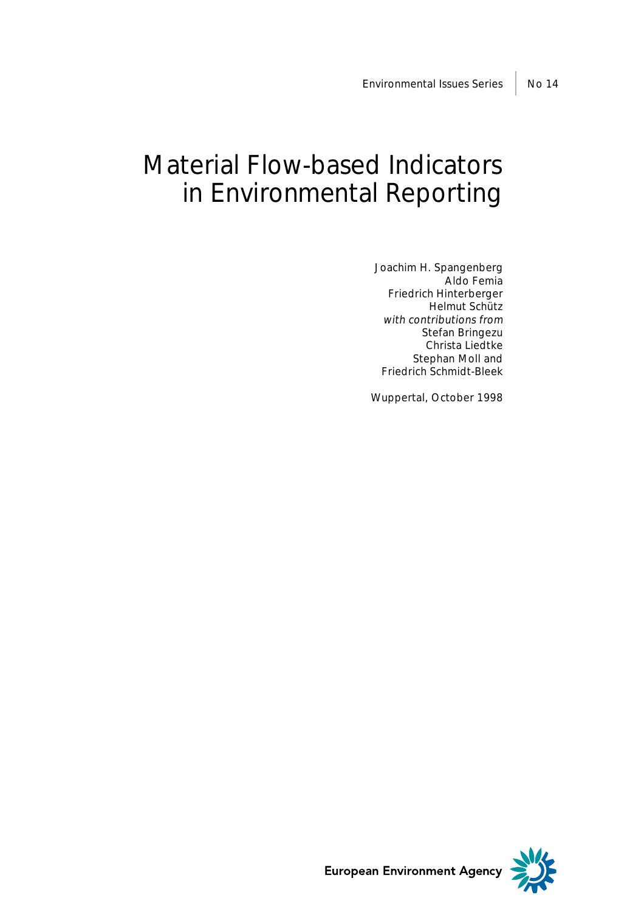## Material Flow-based Indicators in Environmental Reporting

Joachim H. Spangenberg Aldo Femia Friedrich Hinterberger Helmut Schütz with contributions from Stefan Bringezu Christa Liedtke Stephan Moll and Friedrich Schmidt-Bleek

Wuppertal, October 1998



European Environment Agency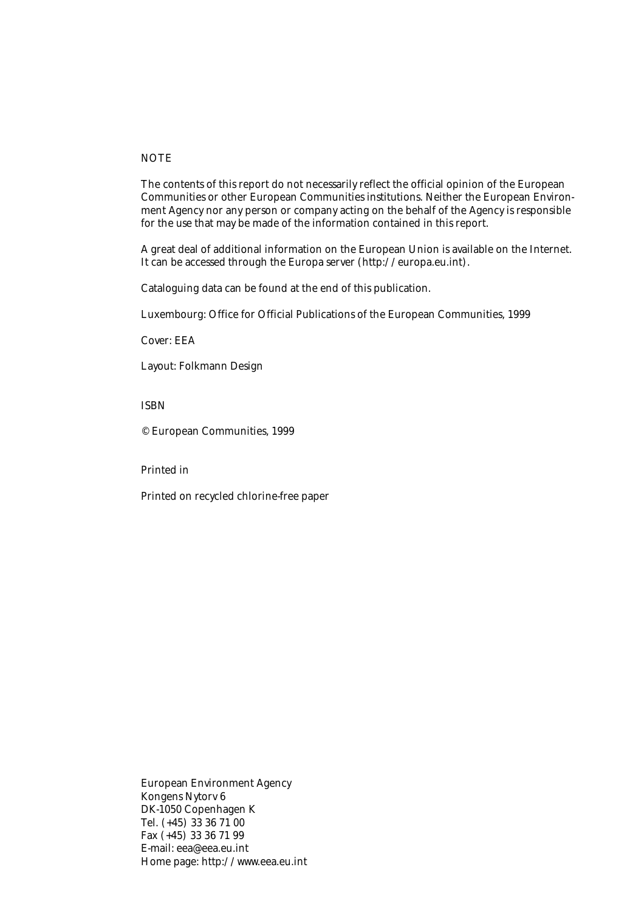## **NOTE**

The contents of this report do not necessarily reflect the official opinion of the European Communities or other European Communities institutions. Neither the European Environment Agency nor any person or company acting on the behalf of the Agency is responsible for the use that may be made of the information contained in this report.

A great deal of additional information on the European Union is available on the Internet. It can be accessed through the Europa server (http://europa.eu.int).

Cataloguing data can be found at the end of this publication.

Luxembourg: Office for Official Publications of the European Communities, 1999

Cover: EEA

Layout: Folkmann Design

ISBN

© European Communities, 1999

Printed in

Printed on recycled chlorine-free paper

European Environment Agency Kongens Nytorv 6 DK-1050 Copenhagen K Tel. (+45) 33 36 71 00 Fax (+45) 33 36 71 99 E-mail: eea@eea.eu.int Home page: http://www.eea.eu.int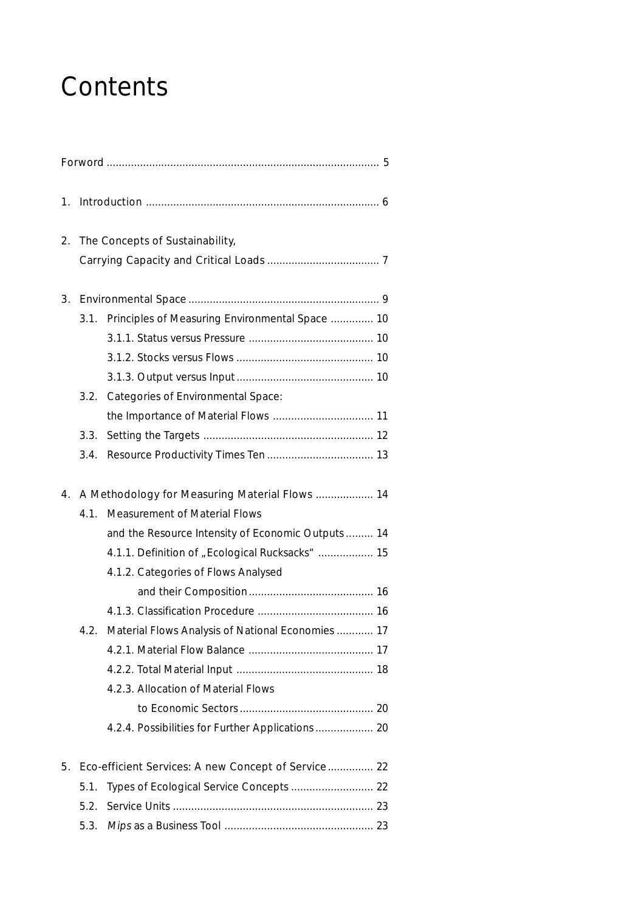# **Contents**

| 1. |      |                                                      |  |
|----|------|------------------------------------------------------|--|
| 2. |      | The Concepts of Sustainability,                      |  |
|    |      |                                                      |  |
| 3. |      |                                                      |  |
|    |      | 3.1. Principles of Measuring Environmental Space  10 |  |
|    |      |                                                      |  |
|    |      |                                                      |  |
|    |      |                                                      |  |
|    | 3.2. | <b>Categories of Environmental Space:</b>            |  |
|    |      | the Importance of Material Flows  11                 |  |
|    | 3.3. |                                                      |  |
|    | 3.4. |                                                      |  |
| 4. |      | A Methodology for Measuring Material Flows  14       |  |
|    | 4.1. | <b>Measurement of Material Flows</b>                 |  |
|    |      | and the Resource Intensity of Economic Outputs 14    |  |
|    |      | 4.1.1. Definition of "Ecological Rucksacks"  15      |  |
|    |      | 4.1.2. Categories of Flows Analysed                  |  |
|    |      |                                                      |  |
|    |      |                                                      |  |
|    | 4.2. | Material Flows Analysis of National Economies  17    |  |
|    |      |                                                      |  |
|    |      |                                                      |  |
|    |      | 4.2.3. Allocation of Material Flows                  |  |
|    |      |                                                      |  |
|    |      | 4.2.4. Possibilities for Further Applications 20     |  |
| 5. |      | Eco-efficient Services: A new Concept of Service 22  |  |
|    | 5.1. |                                                      |  |
|    | 5.2. |                                                      |  |
|    | 5.3. |                                                      |  |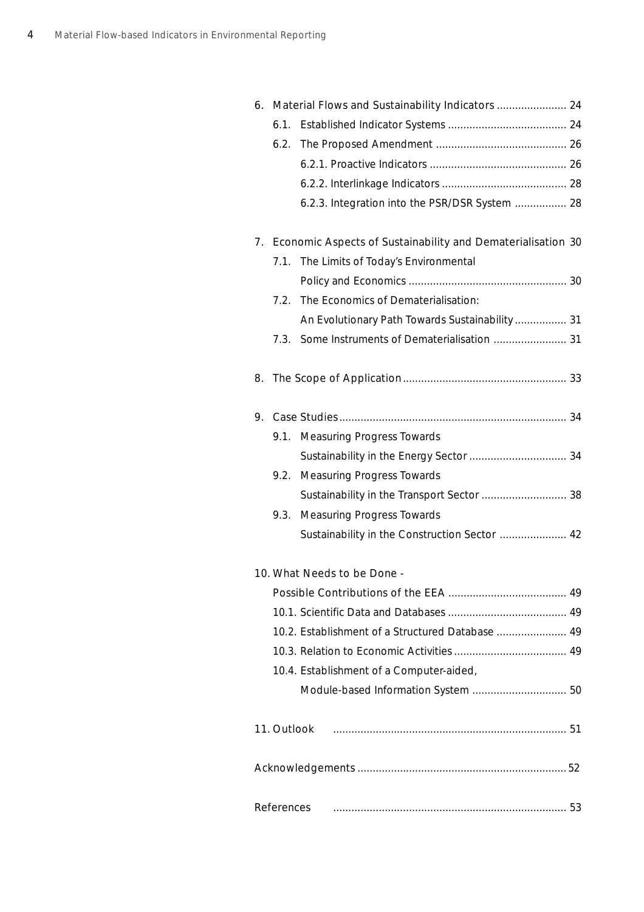|    |             | 6. Material Flows and Sustainability Indicators  24         |  |
|----|-------------|-------------------------------------------------------------|--|
|    | 6.1.        |                                                             |  |
|    | 6.2.        |                                                             |  |
|    |             |                                                             |  |
|    |             |                                                             |  |
|    |             | 6.2.3. Integration into the PSR/DSR System  28              |  |
| 7. |             | Economic Aspects of Sustainability and Dematerialisation 30 |  |
|    | 7.1.        | The Limits of Today's Environmental                         |  |
|    |             |                                                             |  |
|    | 7.2.        | The Economics of Dematerialisation:                         |  |
|    |             | An Evolutionary Path Towards Sustainability 31              |  |
|    | 7.3.        |                                                             |  |
| 8. |             |                                                             |  |
| 9. |             |                                                             |  |
|    | 9.1.        | <b>Measuring Progress Towards</b>                           |  |
|    |             |                                                             |  |
|    | 9.2.        | <b>Measuring Progress Towards</b>                           |  |
|    |             | Sustainability in the Transport Sector  38                  |  |
|    | 9.3.        | <b>Measuring Progress Towards</b>                           |  |
|    |             | Sustainability in the Construction Sector  42               |  |
|    |             | 10. What Needs to be Done -                                 |  |
|    |             |                                                             |  |
|    |             |                                                             |  |
|    |             | 10.2. Establishment of a Structured Database  49            |  |
|    |             |                                                             |  |
|    |             | 10.4. Establishment of a Computer-aided,                    |  |
|    |             | Module-based Information System  50                         |  |
|    | 11. Outlook |                                                             |  |
|    |             |                                                             |  |
|    | References  |                                                             |  |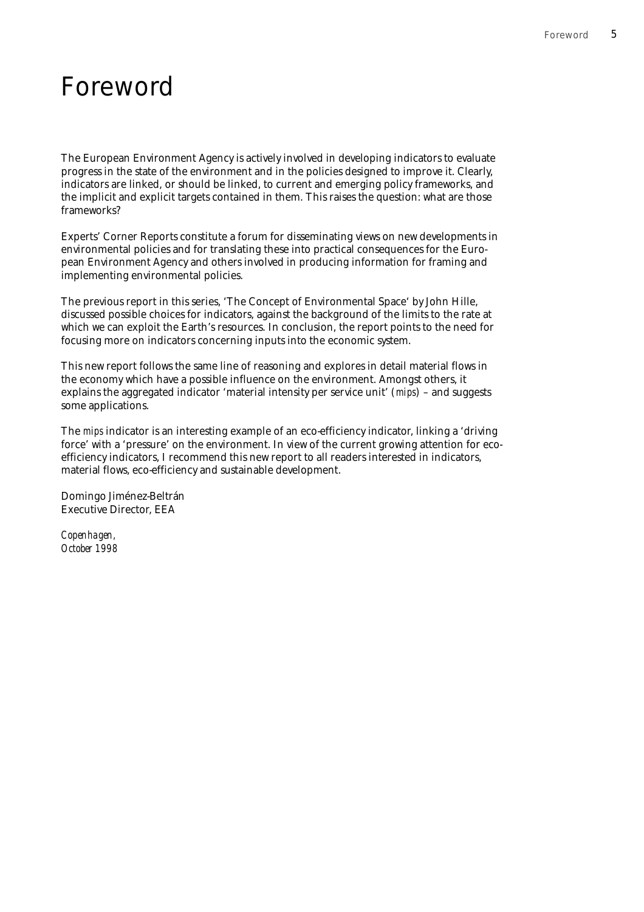## Foreword

The European Environment Agency is actively involved in developing indicators to evaluate progress in the state of the environment and in the policies designed to improve it. Clearly, indicators are linked, or should be linked, to current and emerging policy frameworks, and the implicit and explicit targets contained in them. This raises the question: what are those frameworks?

Experts' Corner Reports constitute a forum for disseminating views on new developments in environmental policies and for translating these into practical consequences for the European Environment Agency and others involved in producing information for framing and implementing environmental policies.

The previous report in this series, 'The Concept of Environmental Space' by John Hille, discussed possible choices for indicators, against the background of the limits to the rate at which we can exploit the Earth's resources. In conclusion, the report points to the need for focusing more on indicators concerning inputs into the economic system.

This new report follows the same line of reasoning and explores in detail material flows in the economy which have a possible influence on the environment. Amongst others, it explains the aggregated indicator 'material intensity per service unit' (*mips*) – and suggests some applications.

The *mips* indicator is an interesting example of an eco-efficiency indicator, linking a 'driving force' with a 'pressure' on the environment. In view of the current growing attention for ecoefficiency indicators, I recommend this new report to all readers interested in indicators, material flows, eco-efficiency and sustainable development.

Domingo Jiménez-Beltrán Executive Director, EEA

*Copenhagen, October 1998*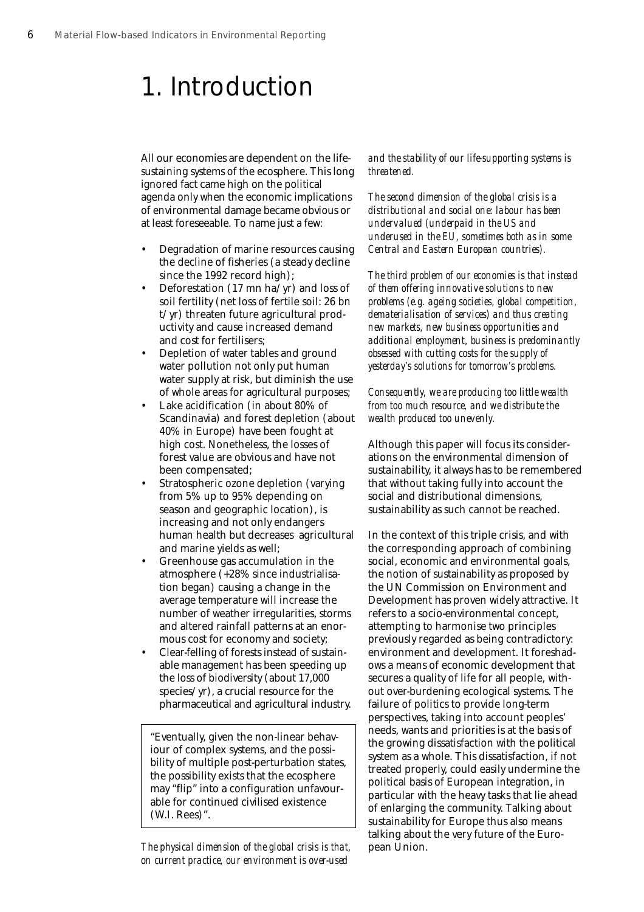## 1. Introduction

All our economies are dependent on the lifesustaining systems of the ecosphere. This long ignored fact came high on the political agenda only when the economic implications of environmental damage became obvious or at least foreseeable. To name just a few:

- Degradation of marine resources causing the decline of fisheries (a steady decline since the 1992 record high);
- Deforestation (17 mn ha/yr) and loss of soil fertility (net loss of fertile soil: 26 bn t/yr) threaten future agricultural productivity and cause increased demand and cost for fertilisers;
- Depletion of water tables and ground water pollution not only put human water supply at risk, but diminish the use of whole areas for agricultural purposes;
- Lake acidification (in about 80% of Scandinavia) and forest depletion (about 40% in Europe) have been fought at high cost. Nonetheless, the losses of forest value are obvious and have not been compensated;
- Stratospheric ozone depletion (varying from 5% up to 95% depending on season and geographic location), is increasing and not only endangers human health but decreases agricultural and marine yields as well;
- Greenhouse gas accumulation in the atmosphere (+28% since industrialisation began) causing a change in the average temperature will increase the number of weather irregularities, storms and altered rainfall patterns at an enormous cost for economy and society;
- Clear-felling of forests instead of sustainable management has been speeding up the loss of biodiversity (about 17,000 species/yr), a crucial resource for the pharmaceutical and agricultural industry.

"Eventually, given the non-linear behaviour of complex systems, and the possibility of multiple post-perturbation states, the possibility exists that the ecosphere may "flip" into a configuration unfavourable for continued civilised existence (W.I. Rees)".

*The physical dimension of the global crisis is that, on current practice, our environment is over-used*

*and the stability of our life-supporting systems is threatened.*

*The second dimension of the global crisis is a distributional and social one: labour has been undervalued (underpaid in the US and underused in the EU, sometimes both as in some Central and Eastern European countries).*

*The third problem of our economies is that instead of them offering innovative solutions to new problems (e.g. ageing societies, global competition, dematerialisation of services) and thus creating new markets, new business opportunities and additional employment, business is predominantly obsessed with cutting costs for the supply of yesterday's solutions for tomorrow's problems.*

*Consequently, we are producing too little wealth from too much resource, and we distribute the wealth produced too unevenly.*

Although this paper will focus its considerations on the environmental dimension of sustainability, it always has to be remembered that without taking fully into account the social and distributional dimensions, sustainability as such cannot be reached.

In the context of this triple crisis, and with the corresponding approach of combining social, economic and environmental goals, the notion of sustainability as proposed by the UN Commission on Environment and Development has proven widely attractive. It refers to a socio-environmental concept, attempting to harmonise two principles previously regarded as being contradictory: environment and development. It foreshadows a means of economic development that secures a quality of life for all people, without over-burdening ecological systems. The failure of politics to provide long-term perspectives, taking into account peoples' needs, wants and priorities is at the basis of the growing dissatisfaction with the political system as a whole. This dissatisfaction, if not treated properly, could easily undermine the political basis of European integration, in particular with the heavy tasks that lie ahead of enlarging the community. Talking about sustainability for Europe thus also means talking about the very future of the European Union.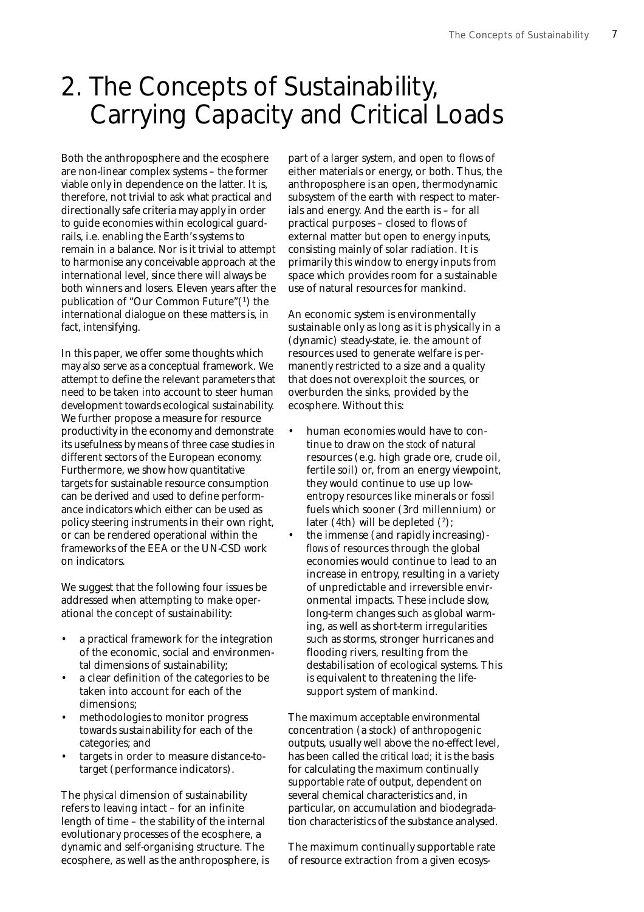## 2. The Concepts of Sustainability, Carrying Capacity and Critical Loads

Both the anthroposphere and the ecosphere are non-linear complex systems – the former viable only in dependence on the latter. It is, therefore, not trivial to ask what practical and directionally safe criteria may apply in order to guide economies within ecological guardrails, i.e. enabling the Earth's systems to remain in a balance. Nor is it trivial to attempt to harmonise any conceivable approach at the international level, since there will always be both winners and losers. Eleven years after the publication of "Our Common Future"(1 ) the international dialogue on these matters is, in fact, intensifying.

In this paper, we offer some thoughts which may also serve as a conceptual framework. We attempt to define the relevant parameters that need to be taken into account to steer human development towards ecological sustainability. We further propose a measure for resource productivity in the economy and demonstrate its usefulness by means of three case studies in different sectors of the European economy. Furthermore, we show how quantitative targets for sustainable resource consumption can be derived and used to define performance indicators which either can be used as policy steering instruments in their own right, or can be rendered operational within the frameworks of the EEA or the UN-CSD work on indicators.

We suggest that the following four issues be addressed when attempting to make operational the concept of sustainability:

- a practical framework for the integration of the economic, social and environmental dimensions of sustainability;
- a clear definition of the categories to be taken into account for each of the dimensions;
- methodologies to monitor progress towards sustainability for each of the categories; and
- targets in order to measure distance-totarget (performance indicators).

The *physical* dimension of sustainability refers to leaving intact – for an infinite length of time – the stability of the internal evolutionary processes of the ecosphere, a dynamic and self-organising structure. The ecosphere, as well as the anthroposphere, is part of a larger system, and open to flows of either materials or energy, or both. Thus, the anthroposphere is an open, thermodynamic subsystem of the earth with respect to materials and energy. And the earth is – for all practical purposes – closed to flows of external matter but open to energy inputs, consisting mainly of solar radiation. It is primarily this window to energy inputs from space which provides room for a sustainable use of natural resources for mankind.

An economic system is environmentally sustainable only as long as it is physically in a (dynamic) steady-state, ie. the amount of resources used to generate welfare is permanently restricted to a size and a quality that does not overexploit the sources, or overburden the sinks, provided by the ecosphere. Without this:

- human economies would have to continue to draw on the *stock* of natural resources (e.g. high grade ore, crude oil, fertile soil) or, from an energy viewpoint, they would continue to use up lowentropy resources like minerals or fossil fuels which sooner (3rd millennium) or later (4th) will be depleted (?);
	- the immense (and rapidly increasing) *flows* of resources through the global economies would continue to lead to an increase in entropy, resulting in a variety of unpredictable and irreversible environmental impacts. These include slow, long-term changes such as global warming, as well as short-term irregularities such as storms, stronger hurricanes and flooding rivers, resulting from the destabilisation of ecological systems. This is equivalent to threatening the lifesupport system of mankind.

The maximum acceptable environmental concentration (a stock) of anthropogenic outputs, usually well above the no-effect level, has been called the *critical load;* it is the basis for calculating the maximum continually supportable rate of output, dependent on several chemical characteristics and, in particular, on accumulation and biodegradation characteristics of the substance analysed.

The maximum continually supportable rate of resource extraction from a given ecosys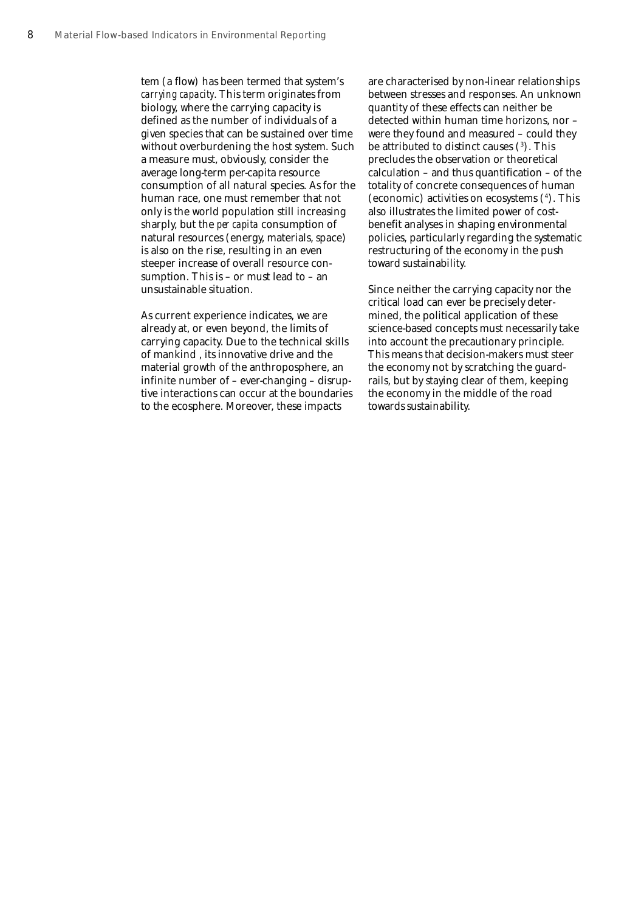tem (a flow) has been termed that system's *carrying capacity*. This term originates from biology, where the carrying capacity is defined as the number of individuals of a given species that can be sustained over time without overburdening the host system. Such a measure must, obviously, consider the average long-term per-capita resource consumption of all natural species. As for the human race, one must remember that not only is the world population still increasing sharply, but the *per capita* consumption of natural resources (energy, materials, space) is also on the rise, resulting in an even steeper increase of overall resource consumption. This is – or must lead to – an unsustainable situation.

As current experience indicates, we are already at, or even beyond, the limits of carrying capacity. Due to the technical skills of mankind , its innovative drive and the material growth of the anthroposphere, an infinite number of – ever-changing – disruptive interactions can occur at the boundaries to the ecosphere. Moreover, these impacts

are characterised by non-linear relationships between stresses and responses. An unknown quantity of these effects can neither be detected within human time horizons, nor – were they found and measured – could they be attributed to distinct causes  $(3)$ . This precludes the observation or theoretical calculation – and thus quantification – of the totality of concrete consequences of human (economic) activities on ecosystems (4 ). This also illustrates the limited power of costbenefit analyses in shaping environmental policies, particularly regarding the systematic restructuring of the economy in the push toward sustainability.

Since neither the carrying capacity nor the critical load can ever be precisely determined, the political application of these science-based concepts must necessarily take into account the precautionary principle. This means that decision-makers must steer the economy not by scratching the guardrails, but by staying clear of them, keeping the economy in the middle of the road towards sustainability.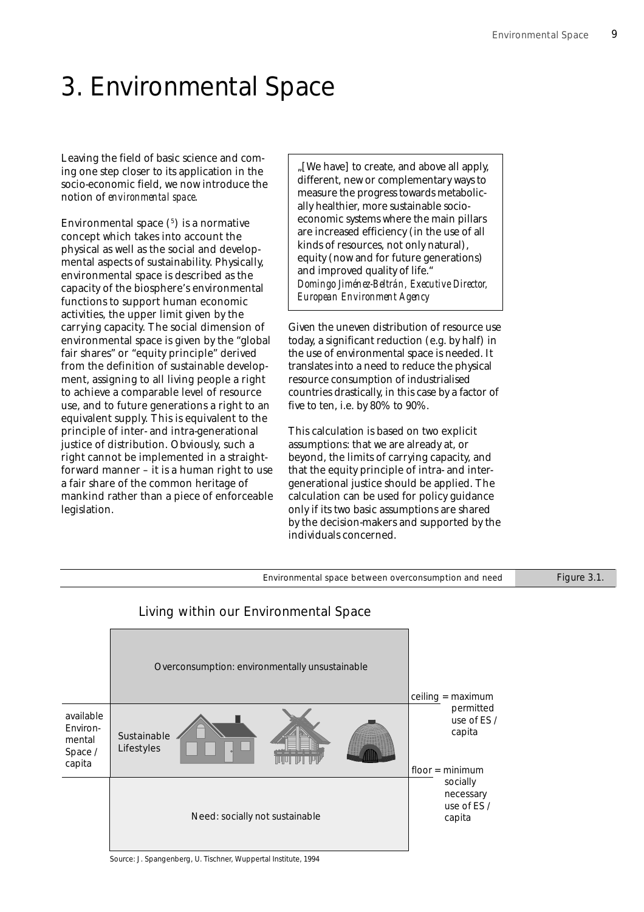# 3. Environmental Space

Leaving the field of basic science and coming one step closer to its application in the socio-economic field, we now introduce the notion of *environmental space*.

Environmental space (5 ) is a normative concept which takes into account the physical as well as the social and developmental aspects of sustainability. Physically, environmental space is described as the capacity of the biosphere's environmental functions to support human economic activities, the upper limit given by the carrying capacity. The social dimension of environmental space is given by the "global fair shares" or "equity principle" derived from the definition of sustainable development, assigning to all living people a right to achieve a comparable level of resource use, and to future generations a right to an equivalent supply. This is equivalent to the principle of inter- and intra-generational justice of distribution. Obviously, such a right cannot be implemented in a straightforward manner – it is a human right to use a fair share of the common heritage of mankind rather than a piece of enforceable legislation.

.. [We have] to create, and above all apply, different, new or complementary ways to measure the progress towards metabolically healthier, more sustainable socioeconomic systems where the main pillars are increased efficiency (in the use of all kinds of resources, not only natural), equity (now and for future generations) and improved quality of life." *Domingo Jiménez-Beltrán, Executive Director, European Environment Agency*

Given the uneven distribution of resource use today, a significant reduction (e.g. by half) in the use of environmental space is needed. It translates into a need to reduce the physical resource consumption of industrialised countries drastically, in this case by a factor of five to ten, i.e. by 80% to 90%.

This calculation is based on two explicit assumptions: that we are already at, or beyond, the limits of carrying capacity, and that the equity principle of intra- and intergenerational justice should be applied. The calculation can be used for policy guidance only if its two basic assumptions are shared by the decision-makers and supported by the individuals concerned.

Environmental space between overconsumption and need Figure 3.1.



## Living within our Environmental Space

Source: J. Spangenberg, U. Tischner, Wuppertal Institute, 1994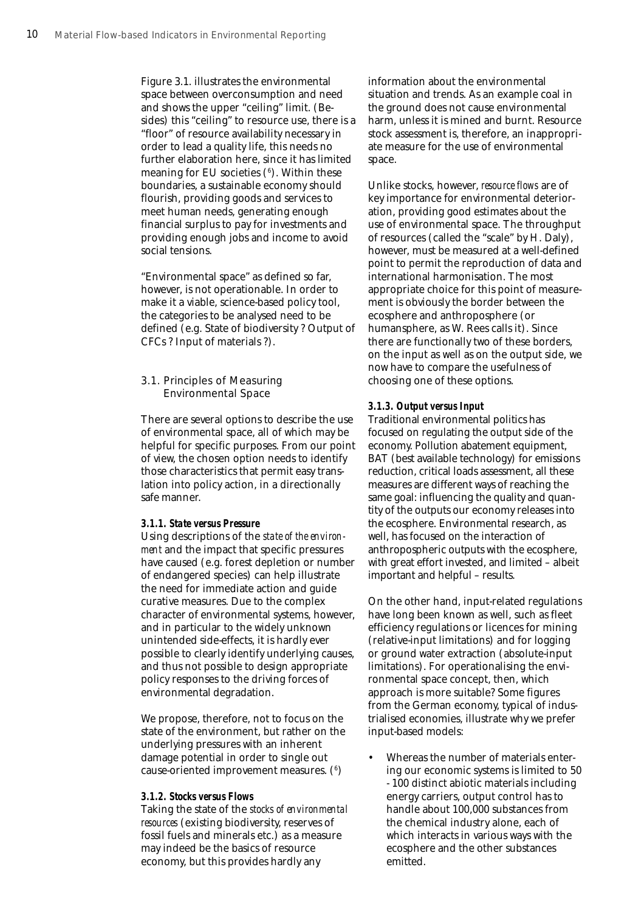Figure 3.1. illustrates the environmental space between overconsumption and need and shows the upper "ceiling" limit. (Besides) this "ceiling" to resource use, there is a "floor" of resource availability necessary in order to lead a quality life, this needs no further elaboration here, since it has limited meaning for EU societies (6 ). Within these boundaries, a sustainable economy should flourish, providing goods and services to meet human needs, generating enough financial surplus to pay for investments and providing enough jobs and income to avoid social tensions.

"Environmental space" as defined so far, however, is not operationable. In order to make it a viable, science-based policy tool, the categories to be analysed need to be defined (e.g. State of biodiversity ? Output of CFCs ? Input of materials ?).

3.1. Principles of Measuring Environmental Space

There are several options to describe the use of environmental space, all of which may be helpful for specific purposes. From our point of view, the chosen option needs to identify those characteristics that permit easy translation into policy action, in a directionally safe manner.

### *3.1.1. State versus Pressure*

Using descriptions of the *state of the environment* and the impact that specific pressures have caused (e.g. forest depletion or number of endangered species) can help illustrate the need for immediate action and guide curative measures. Due to the complex character of environmental systems, however, and in particular to the widely unknown unintended side-effects, it is hardly ever possible to clearly identify underlying causes, and thus not possible to design appropriate policy responses to the driving forces of environmental degradation.

We propose, therefore, not to focus on the state of the environment, but rather on the underlying pressures with an inherent damage potential in order to single out cause-oriented improvement measures. (6 )

#### *3.1.2. Stocks versus Flows*

Taking the state of the *stocks of environmental resources* (existing biodiversity, reserves of fossil fuels and minerals etc.) as a measure may indeed be the basics of resource economy, but this provides hardly any

information about the environmental situation and trends. As an example coal in the ground does not cause environmental harm, unless it is mined and burnt. Resource stock assessment is, therefore, an inappropriate measure for the use of environmental space.

Unlike stocks, however, *resource flows* are of key importance for environmental deterioration, providing good estimates about the use of environmental space. The throughput of resources (called the "scale" by H. Daly), however, must be measured at a well-defined point to permit the reproduction of data and international harmonisation. The most appropriate choice for this point of measurement is obviously the border between the ecosphere and anthroposphere (or humansphere, as W. Rees calls it). Since there are functionally two of these borders, on the input as well as on the output side, we now have to compare the usefulness of choosing one of these options.

#### *3.1.3. Output versus Input*

Traditional environmental politics has focused on regulating the output side of the economy. Pollution abatement equipment, BAT (best available technology) for emissions reduction, critical loads assessment, all these measures are different ways of reaching the same goal: influencing the quality and quantity of the outputs our economy releases into the ecosphere. Environmental research, as well, has focused on the interaction of anthropospheric outputs with the ecosphere, with great effort invested, and limited – albeit important and helpful – results.

On the other hand, input-related regulations have long been known as well, such as fleet efficiency regulations or licences for mining (relative-input limitations) and for logging or ground water extraction (absolute-input limitations). For operationalising the environmental space concept, then, which approach is more suitable? Some figures from the German economy, typical of industrialised economies, illustrate why we prefer input-based models:

• Whereas the number of materials entering our economic systems is limited to 50 - 100 distinct abiotic materials including energy carriers, output control has to handle about 100,000 substances from the chemical industry alone, each of which interacts in various ways with the ecosphere and the other substances emitted.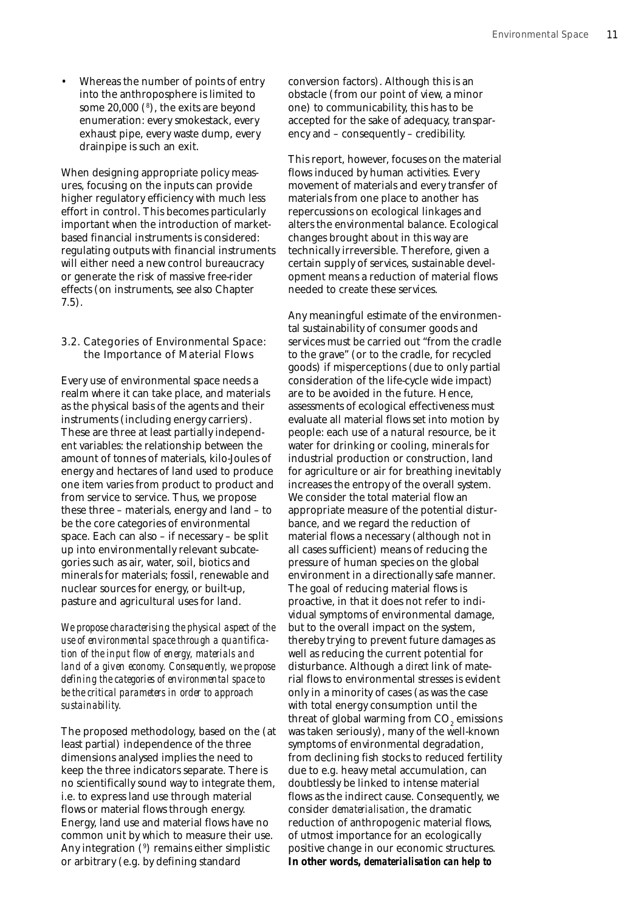Whereas the number of points of entry into the anthroposphere is limited to some 20,000 (8 ), the exits are beyond enumeration: every smokestack, every exhaust pipe, every waste dump, every drainpipe is such an exit.

When designing appropriate policy measures, focusing on the inputs can provide higher regulatory efficiency with much less effort in control. This becomes particularly important when the introduction of marketbased financial instruments is considered: regulating outputs with financial instruments will either need a new control bureaucracy or generate the risk of massive free-rider effects (on instruments, see also Chapter 7.5).

## 3.2. Categories of Environmental Space: the Importance of Material Flows

Every use of environmental space needs a realm where it can take place, and materials as the physical basis of the agents and their instruments (including energy carriers). These are three at least partially independent variables: the relationship between the amount of tonnes of materials, kilo-Joules of energy and hectares of land used to produce one item varies from product to product and from service to service. Thus, we propose these three – materials, energy and land – to be the core categories of environmental space. Each can also – if necessary – be split up into environmentally relevant subcategories such as air, water, soil, biotics and minerals for materials; fossil, renewable and nuclear sources for energy, or built-up, pasture and agricultural uses for land.

*We propose characterising the physical aspect of the use of environmental space through a quantification of the input flow of energy, materials and land of a given economy. Consequently, we propose defining the categories of environmental space to be the critical parameters in order to approach sustainability.*

The proposed methodology, based on the (at least partial) independence of the three dimensions analysed implies the need to keep the three indicators separate. There is no scientifically sound way to integrate them, i.e. to express land use through material flows or material flows through energy. Energy, land use and material flows have no common unit by which to measure their use. Any integration (9 ) remains either simplistic or arbitrary (e.g. by defining standard

conversion factors). Although this is an obstacle (from our point of view, a minor one) to communicability, this has to be accepted for the sake of adequacy, transparency and – consequently – credibility.

This report, however, focuses on the material flows induced by human activities. Every movement of materials and every transfer of materials from one place to another has repercussions on ecological linkages and alters the environmental balance. Ecological changes brought about in this way are technically irreversible. Therefore, given a certain supply of services, sustainable development means a reduction of material flows needed to create these services.

Any meaningful estimate of the environmental sustainability of consumer goods and services must be carried out "from the cradle to the grave" (or to the cradle, for recycled goods) if misperceptions (due to only partial consideration of the life-cycle wide impact) are to be avoided in the future. Hence, assessments of ecological effectiveness must evaluate all material flows set into motion by people: each use of a natural resource, be it water for drinking or cooling, minerals for industrial production or construction, land for agriculture or air for breathing inevitably increases the entropy of the overall system. We consider the total material flow an appropriate measure of the potential disturbance, and we regard the reduction of material flows a necessary (although not in all cases sufficient) means of reducing the pressure of human species on the global environment in a directionally safe manner. The goal of reducing material flows is proactive, in that it does not refer to individual symptoms of environmental damage, but to the overall impact on the system, thereby trying to prevent future damages as well as reducing the current potential for disturbance. Although a *direct* link of material flows to environmental stresses is evident only in a minority of cases (as was the case with total energy consumption until the threat of global warming from  $\mathrm{CO}_2$  emissions was taken seriously), many of the well-known symptoms of environmental degradation, from declining fish stocks to reduced fertility due to e.g. heavy metal accumulation, can doubtlessly be linked to intense material flows as the indirect cause. Consequently, we consider *dematerialisation*, the dramatic reduction of anthropogenic material flows, of utmost importance for an ecologically positive change in our economic structures. **In other words,** *dematerialisation can help to*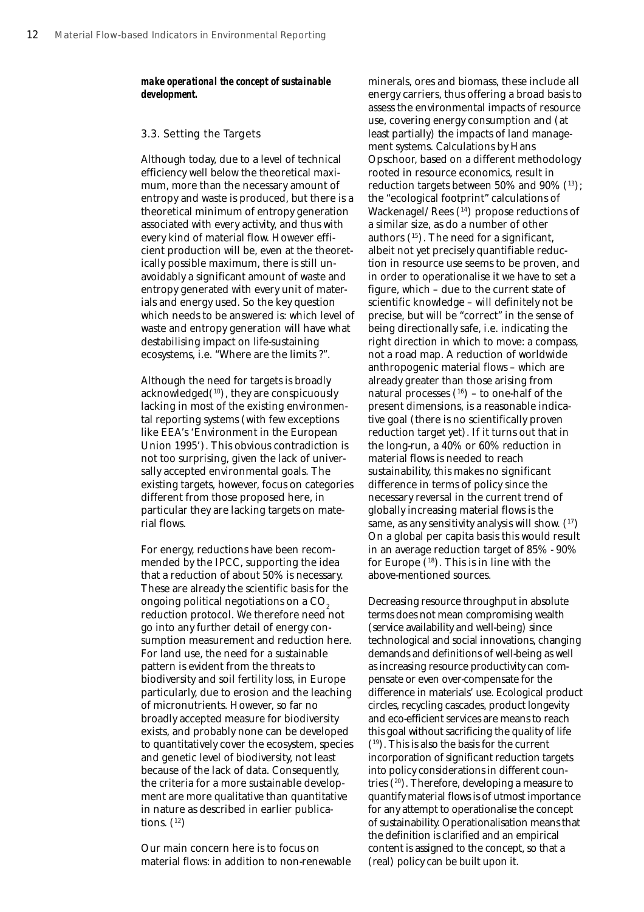*make operational the concept of sustainable development.*

#### 3.3. Setting the Targets

Although today, due to a level of technical efficiency well below the theoretical maximum, more than the necessary amount of entropy and waste is produced, but there is a theoretical minimum of entropy generation associated with every activity, and thus with every kind of material flow. However efficient production will be, even at the theoretically possible maximum, there is still unavoidably a significant amount of waste and entropy generated with every unit of materials and energy used. So the key question which needs to be answered is: which level of waste and entropy generation will have what destabilising impact on life-sustaining ecosystems, i.e. "Where are the limits ?".

Although the need for targets is broadly acknowledged $(10)$ , they are conspicuously lacking in most of the existing environmental reporting systems (with few exceptions like EEA's 'Environment in the European Union 1995'). This obvious contradiction is not too surprising, given the lack of universally accepted environmental goals. The existing targets, however, focus on categories different from those proposed here, in particular they are lacking targets on material flows.

For energy, reductions have been recommended by the IPCC, supporting the idea that a reduction of about 50% is necessary. These are already the scientific basis for the ongoing political negotiations on a CO<sub>2</sub> reduction protocol. We therefore need not go into any further detail of energy consumption measurement and reduction here. For land use, the need for a sustainable pattern is evident from the threats to biodiversity and soil fertility loss, in Europe particularly, due to erosion and the leaching of micronutrients. However, so far no broadly accepted measure for biodiversity exists, and probably none can be developed to quantitatively cover the ecosystem, species and genetic level of biodiversity, not least because of the lack of data. Consequently, the criteria for a more sustainable development are more qualitative than quantitative in nature as described in earlier publications.  $(12)$ 

Our main concern here is to focus on material flows: in addition to non-renewable

minerals, ores and biomass, these include all energy carriers, thus offering a broad basis to assess the environmental impacts of resource use, covering energy consumption and (at least partially) the impacts of land management systems. Calculations by Hans Opschoor, based on a different methodology rooted in resource economics, result in reduction targets between 50% and 90% (13); the "ecological footprint" calculations of Wackenagel/Rees (14) propose reductions of a similar size, as do a number of other authors (15). The need for a significant, albeit not yet precisely quantifiable reduction in resource use seems to be proven, and in order to operationalise it we have to set a figure, which – due to the current state of scientific knowledge – will definitely not be precise, but will be "correct" in the sense of being directionally safe, i.e. indicating the right direction in which to move: a compass, not a road map. A reduction of worldwide anthropogenic material flows – which are already greater than those arising from natural processes  $(16)$  – to one-half of the present dimensions, is a reasonable indicative goal (there is no scientifically proven reduction target yet). If it turns out that in the long-run, a 40% or 60% reduction in material flows is needed to reach sustainability, this makes no significant difference in terms of policy since the necessary reversal in the current trend of globally increasing material flows is the same, as any sensitivity analysis will show.  $(17)$ On a global per capita basis this would result in an average reduction target of 85% - 90% for Europe  $(18)$ . This is in line with the above-mentioned sources.

Decreasing resource throughput in absolute terms does not mean compromising wealth (service availability and well-being) since technological and social innovations, changing demands and definitions of well-being as well as increasing resource productivity can compensate or even over-compensate for the difference in materials' use. Ecological product circles, recycling cascades, product longevity and eco-efficient services are means to reach this goal without sacrificing the quality of life (19). This is also the basis for the current incorporation of significant reduction targets into policy considerations in different countries (20). Therefore, developing a measure to quantify material flows is of utmost importance for any attempt to operationalise the concept of sustainability. Operationalisation means that the definition is clarified and an empirical content is assigned to the concept, so that a (real) policy can be built upon it.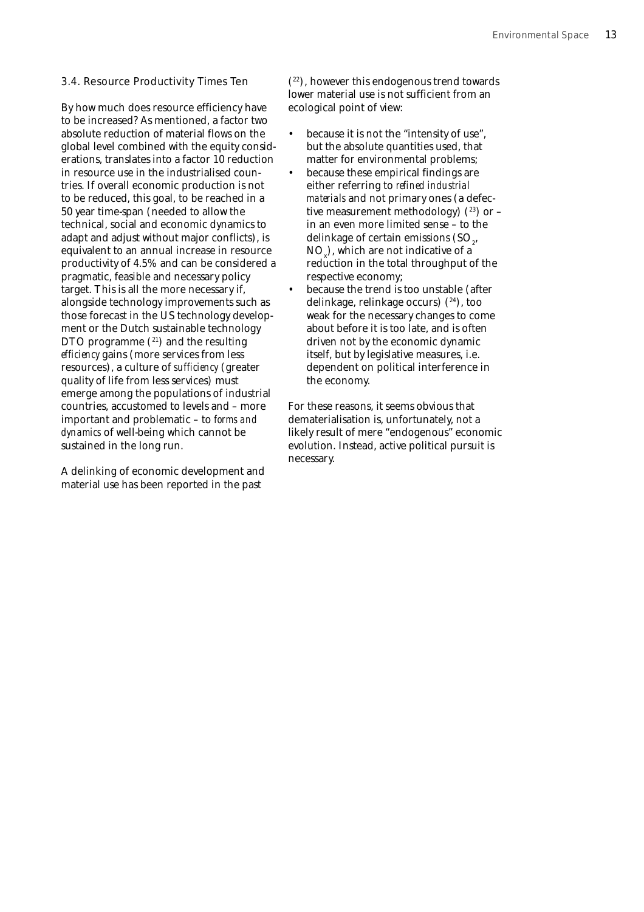### 3.4. Resource Productivity Times Ten

By how much does resource efficiency have to be increased? As mentioned, a factor two absolute reduction of material flows on the global level combined with the equity considerations, translates into a factor 10 reduction in resource use in the industrialised countries. If overall economic production is not to be reduced, this goal, to be reached in a 50 year time-span (needed to allow the technical, social and economic dynamics to adapt and adjust without major conflicts), is equivalent to an annual increase in resource productivity of 4.5% and can be considered a pragmatic, feasible and necessary policy target. This is all the more necessary if, alongside technology improvements such as those forecast in the US technology development or the Dutch sustainable technology DTO programme  $(21)$  and the resulting *efficiency* gains (more services from less resources), a culture of *sufficiency* (greater quality of life from less services) must emerge among the populations of industrial countries, accustomed to levels and – more important and problematic – to *forms and dynamics* of well-being which cannot be sustained in the long run.

A delinking of economic development and material use has been reported in the past

(22), however this endogenous trend towards lower material use is not sufficient from an ecological point of view:

- because it is not the "intensity of use", but the absolute quantities used, that matter for environmental problems;
- because these empirical findings are either referring to *refined industrial materials* and not primary ones (a defective measurement methodology)  $(^{23})$  or – in an even more limited sense – to the delinkage of certain emissions (SO $_{\textrm{\tiny{2}}}$ ,  $\mathrm{NO_x^{\phantom{\dagger}}}$ ), which are not indicative of a reduction in the total throughput of the respective economy;
- because the trend is too unstable (after delinkage, relinkage occurs)  $(24)$ , too weak for the necessary changes to come about before it is too late, and is often driven not by the economic dynamic itself, but by legislative measures, i.e. dependent on political interference in the economy.

For these reasons, it seems obvious that dematerialisation is, unfortunately, not a likely result of mere "endogenous" economic evolution. Instead, active political pursuit is necessary.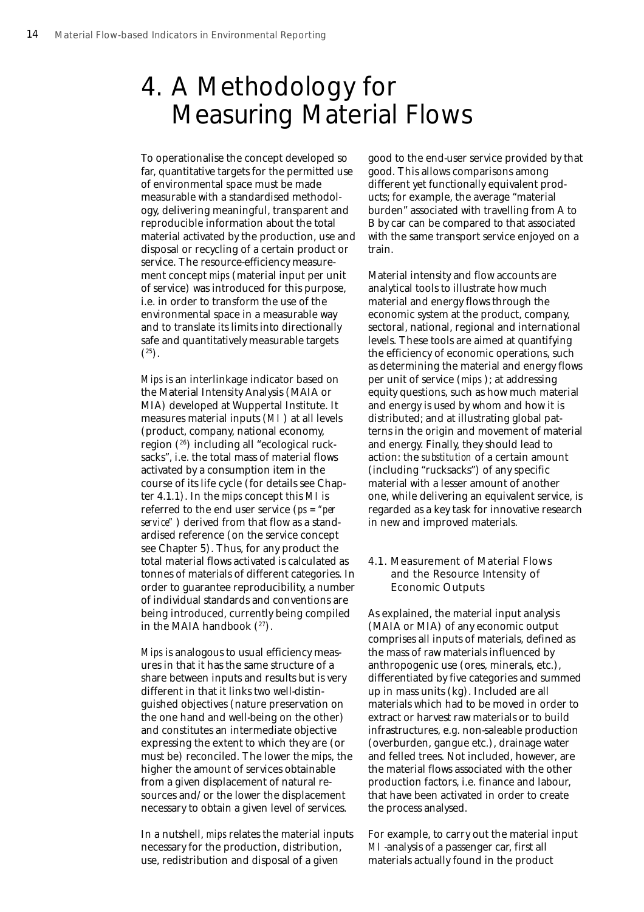## 4. A Methodology for Measuring Material Flows

To operationalise the concept developed so far, quantitative targets for the permitted use of environmental space must be made measurable with a standardised methodology, delivering meaningful, transparent and reproducible information about the total material activated by the production, use and disposal or recycling of a certain product or service. The resource-efficiency measurement concept *mips* (material input per unit of service) was introduced for this purpose, i.e. in order to transform the use of the environmental space in a measurable way and to translate its limits into directionally safe and quantitatively measurable targets  $(25)$ .

*Mips* is an interlinkage indicator based on the Material Intensity Analysis (MAIA or MIA) developed at Wuppertal Institute. It measures material inputs (*MI* ) at all levels (product, company, national economy, region (26) including all "ecological rucksacks", i.e. the total mass of material flows activated by a consumption item in the course of its life cycle (for details see Chapter 4.1.1). In the *mips* concept this *MI* is referred to the end user service (*ps = "per service"* ) derived from that flow as a standardised reference (on the service concept see Chapter 5). Thus, for any product the total material flows activated is calculated as tonnes of materials of different categories. In order to guarantee reproducibility, a number of individual standards and conventions are being introduced, currently being compiled in the MAIA handbook (27).

*Mips* is analogous to usual efficiency measures in that it has the same structure of a share between inputs and results but is very different in that it links two well-distinguished objectives (nature preservation on the one hand and well-being on the other) and constitutes an intermediate objective expressing the extent to which they are (or must be) reconciled. The lower the *mips*, the higher the amount of services obtainable from a given displacement of natural resources and/or the lower the displacement necessary to obtain a given level of services.

In a nutshell, *mips* relates the material inputs necessary for the production, distribution, use, redistribution and disposal of a given

good to the end-user service provided by that good. This allows comparisons among different yet functionally equivalent products; for example, the average "material burden" associated with travelling from A to B by car can be compared to that associated with the same transport service enjoyed on a train.

Material intensity and flow accounts are analytical tools to illustrate how much material and energy flows through the economic system at the product, company, sectoral, national, regional and international levels. These tools are aimed at quantifying the efficiency of economic operations, such as determining the material and energy flows per unit of service (*mips* ); at addressing equity questions, such as how much material and energy is used by whom and how it is distributed; and at illustrating global patterns in the origin and movement of material and energy. Finally, they should lead to action: the *substitution* of a certain amount (including "rucksacks") of any specific material with a lesser amount of another one, while delivering an equivalent service, is regarded as a key task for innovative research in new and improved materials.

4.1. Measurement of Material Flows and the Resource Intensity of Economic Outputs

As explained, the material input analysis (MAIA or MIA) of any economic output comprises all inputs of materials, defined as the mass of raw materials influenced by anthropogenic use (ores, minerals, etc.), differentiated by five categories and summed up in mass units (kg). Included are all materials which had to be moved in order to extract or harvest raw materials or to build infrastructures, e.g. non-saleable production (overburden, gangue etc.), drainage water and felled trees. Not included, however, are the material flows associated with the other production factors, i.e. finance and labour, that have been activated in order to create the process analysed.

For example, to carry out the material input *MI* -analysis of a passenger car, first all materials actually found in the product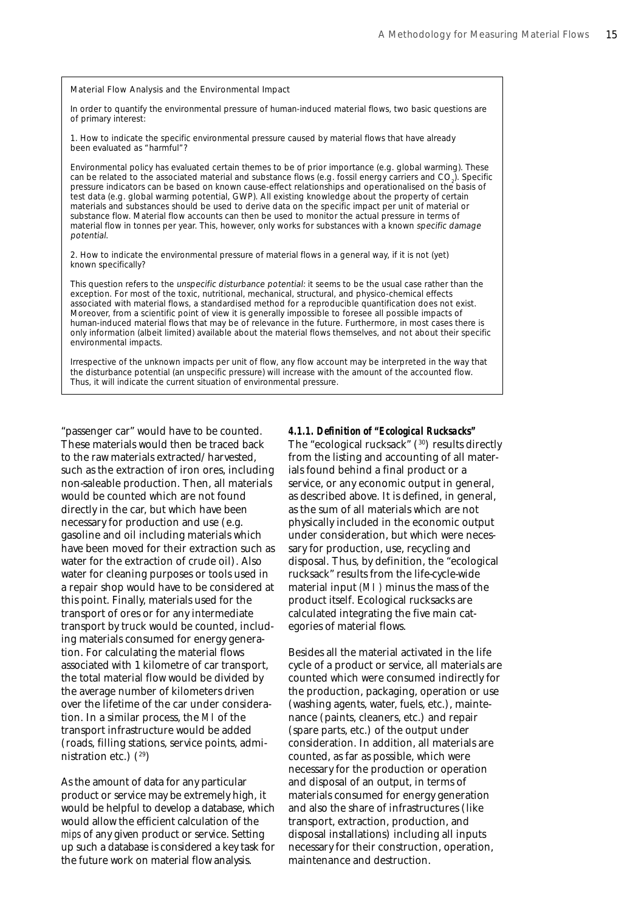#### Material Flow Analysis and the Environmental Impact

In order to quantify the environmental pressure of human-induced material flows, two basic questions are of primary interest:

1. How to indicate the specific environmental pressure caused by material flows that have already been evaluated as "harmful"?

Environmental policy has evaluated certain themes to be of prior importance (e.g. global warming). These can be related to the associated material and substance flows (e.g. fossil energy carriers and CO<sub>2</sub>). Specific pressure indicators can be based on known cause-effect relationships and operationalised on the basis of test data (e.g. global warming potential, GWP). All existing knowledge about the property of certain materials and substances should be used to derive data on the specific impact per unit of material or substance flow. Material flow accounts can then be used to monitor the actual pressure in terms of material flow in tonnes per year. This, however, only works for substances with a known specific damage potential.

2. How to indicate the environmental pressure of material flows in a general way, if it is not (yet) known specifically?

This question refers to the unspecific disturbance potential: it seems to be the usual case rather than the exception. For most of the toxic, nutritional, mechanical, structural, and physico-chemical effects associated with material flows, a standardised method for a reproducible quantification does not exist. Moreover, from a scientific point of view it is generally impossible to foresee all possible impacts of human-induced material flows that may be of relevance in the future. Furthermore, in most cases there is only information (albeit limited) available about the material flows themselves, and not about their specific environmental impacts.

Irrespective of the unknown impacts per unit of flow, any flow account may be interpreted in the way that the disturbance potential (an unspecific pressure) will increase with the amount of the accounted flow. Thus, it will indicate the current situation of environmental pressure.

"passenger car" would have to be counted. These materials would then be traced back to the raw materials extracted/harvested, such as the extraction of iron ores, including non-saleable production. Then, all materials would be counted which are not found directly in the car, but which have been necessary for production and use (e.g. gasoline and oil including materials which have been moved for their extraction such as water for the extraction of crude oil). Also water for cleaning purposes or tools used in a repair shop would have to be considered at this point. Finally, materials used for the transport of ores or for any intermediate transport by truck would be counted, including materials consumed for energy generation. For calculating the material flows associated with 1 kilometre of car transport, the total material flow would be divided by the average number of kilometers driven over the lifetime of the car under consideration. In a similar process, the *MI* of the transport infrastructure would be added (roads, filling stations, service points, administration etc.)  $(29)$ 

As the amount of data for any particular product or service may be extremely high, it would be helpful to develop a database, which would allow the efficient calculation of the *mips* of any given product or service. Setting up such a database is considered a key task for the future work on material flow analysis.

### *4.1.1. Definition of "Ecological Rucksacks"*

The "ecological rucksack" (30) results directly from the listing and accounting of all materials found behind a final product or a service, or any economic output in general, as described above. It is defined, in general, as the sum of all materials which are not physically included in the economic output under consideration, but which were necessary for production, use, recycling and disposal. Thus, by definition, the "ecological rucksack" results from the life-cycle-wide material input *(MI )* minus the mass of the product itself. Ecological rucksacks are calculated integrating the five main categories of material flows.

Besides all the material activated in the life cycle of a product or service, all materials are counted which were consumed indirectly for the production, packaging, operation or use (washing agents, water, fuels, etc.), maintenance (paints, cleaners, etc.) and repair (spare parts, etc.) of the output under consideration. In addition, all materials are counted, as far as possible, which were necessary for the production or operation and disposal of an output, in terms of materials consumed for energy generation and also the share of infrastructures (like transport, extraction, production, and disposal installations) including all inputs necessary for their construction, operation, maintenance and destruction.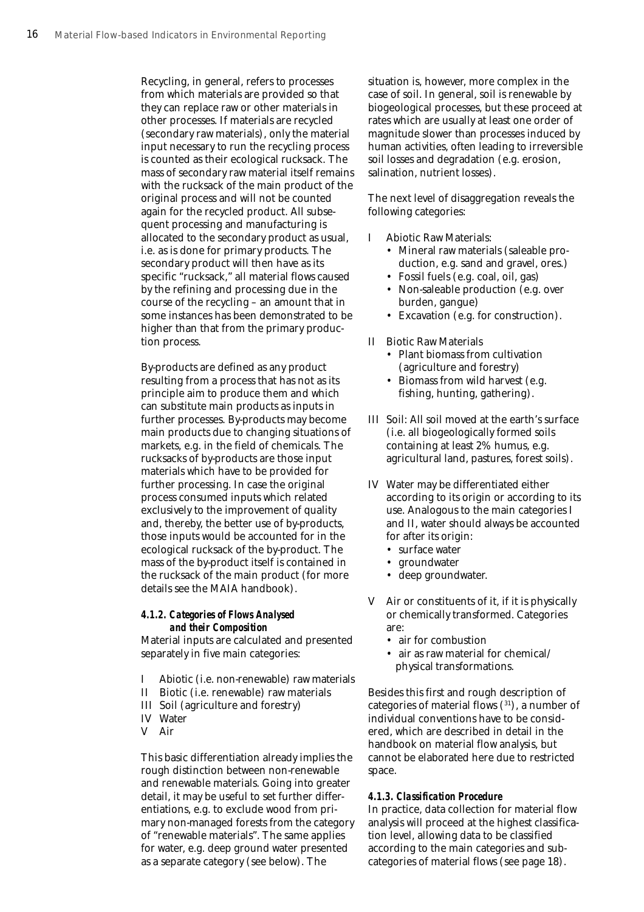Recycling, in general, refers to processes from which materials are provided so that they can replace raw or other materials in other processes. If materials are recycled (secondary raw materials), only the material input necessary to run the recycling process is counted as their ecological rucksack. The mass of secondary raw material itself remains with the rucksack of the main product of the original process and will not be counted again for the recycled product. All subsequent processing and manufacturing is allocated to the secondary product as usual, i.e. as is done for primary products. The secondary product will then have as its specific "rucksack," all material flows caused by the refining and processing due in the course of the recycling – an amount that in some instances has been demonstrated to be higher than that from the primary production process.

By-products are defined as any product resulting from a process that has not as its principle aim to produce them and which can substitute main products as inputs in further processes. By-products may become main products due to changing situations of markets, e.g. in the field of chemicals. The rucksacks of by-products are those input materials which have to be provided for further processing. In case the original process consumed inputs which related exclusively to the improvement of quality and, thereby, the better use of by-products, those inputs would be accounted for in the ecological rucksack of the by-product. The mass of the by-product itself is contained in the rucksack of the main product (for more details see the MAIA handbook).

## *4.1.2. Categories of Flows Analysed and their Composition*

Material inputs are calculated and presented separately in five main categories:

- I Abiotic (i.e. non-renewable) raw materials
- II Biotic (i.e. renewable) raw materials
- III Soil (agriculture and forestry)
- IV Water
- Air

This basic differentiation already implies the rough distinction between non-renewable and renewable materials. Going into greater detail, it may be useful to set further differentiations, e.g. to exclude wood from primary non-managed forests from the category of "renewable materials". The same applies for water, e.g. deep ground water presented as a separate category (see below). The

situation is, however, more complex in the case of soil. In general, soil is renewable by biogeological processes, but these proceed at rates which are usually at least one order of magnitude slower than processes induced by human activities, often leading to irreversible soil losses and degradation (e.g. erosion, salination, nutrient losses).

The next level of disaggregation reveals the following categories:

- I Abiotic Raw Materials:
	- Mineral raw materials (saleable production, e.g. sand and gravel, ores.)
	- Fossil fuels (e.g. coal, oil, gas)
	- Non-saleable production (e.g. over burden, gangue)
	- Excavation (e.g. for construction).
- II Biotic Raw Materials
	- Plant biomass from cultivation (agriculture and forestry)
	- Biomass from wild harvest (e.g. fishing, hunting, gathering).
- III Soil: All soil moved at the earth's surface (i.e. all biogeologically formed soils containing at least 2% humus, e.g. agricultural land, pastures, forest soils).
- IV Water may be differentiated either according to its origin or according to its use. Analogous to the main categories I and II, water should always be accounted for after its origin:
	- surface water
	- groundwater
	- deep groundwater.
- Air or constituents of it, if it is physically or chemically transformed. Categories are:
	- air for combustion
	- air as raw material for chemical/ physical transformations.

Besides this first and rough description of categories of material flows  $(31)$ , a number of individual conventions have to be considered, which are described in detail in the handbook on material flow analysis, but cannot be elaborated here due to restricted space.

## *4.1.3. Classification Procedure*

In practice, data collection for material flow analysis will proceed at the highest classification level, allowing data to be classified according to the main categories and subcategories of material flows (see page 18).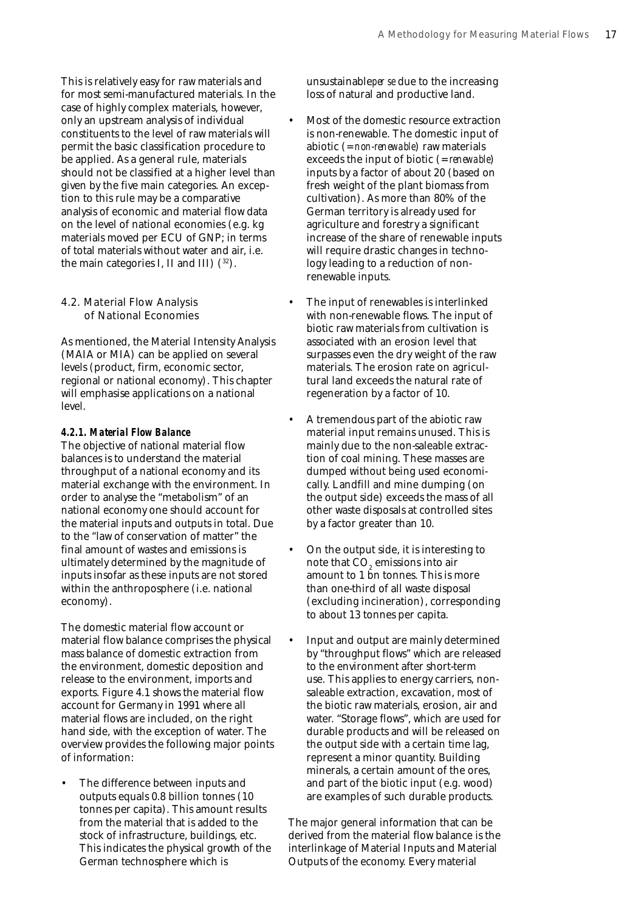This is relatively easy for raw materials and for most semi-manufactured materials. In the case of highly complex materials, however, only an upstream analysis of individual constituents to the level of raw materials will permit the basic classification procedure to be applied. As a general rule, materials should not be classified at a higher level than given by the five main categories. An exception to this rule may be a comparative analysis of economic and material flow data on the level of national economies (e.g. kg materials moved per ECU of GNP; in terms of total materials without water and air, i.e. the main categories I, II and III)  $(32)$ .

4.2. Material Flow Analysis of National Economies

As mentioned, the Material Intensity Analysis (MAIA or MIA) can be applied on several levels (product, firm, economic sector, regional or national economy). This chapter will emphasise applications on a national level.

#### *4.2.1. Material Flow Balance*

The objective of national material flow balances is to understand the material throughput of a national economy and its material exchange with the environment. In order to analyse the "metabolism" of an national economy one should account for the material inputs and outputs in total. Due to the "law of conservation of matter" the final amount of wastes and emissions is ultimately determined by the magnitude of inputs insofar as these inputs are not stored within the anthroposphere (i.e. national economy).

The domestic material flow account or material flow balance comprises the physical mass balance of domestic extraction from the environment, domestic deposition and release to the environment, imports and exports. Figure 4.1 shows the material flow account for Germany in 1991 where all material flows are included, on the right hand side, with the exception of water. The overview provides the following major points of information:

The difference between inputs and outputs equals 0.8 billion tonnes (10 tonnes per capita). This amount results from the material that is added to the stock of infrastructure, buildings, etc. This indicates the physical growth of the German technosphere which is

unsustainable*per se* due to the increasing loss of natural and productive land.

- Most of the domestic resource extraction is non-renewable. The domestic input of abiotic (= *non-renewable*) raw materials exceeds the input of biotic (= *renewable*) inputs by a factor of about 20 (based on fresh weight of the plant biomass from cultivation). As more than 80% of the German territory is already used for agriculture and forestry a significant increase of the share of renewable inputs will require drastic changes in technology leading to a reduction of nonrenewable inputs.
- The input of renewables is interlinked with non-renewable flows. The input of biotic raw materials from cultivation is associated with an erosion level that surpasses even the dry weight of the raw materials. The erosion rate on agricultural land exceeds the natural rate of regeneration by a factor of 10.
- A tremendous part of the abiotic raw material input remains unused. This is mainly due to the non-saleable extraction of coal mining. These masses are dumped without being used economically. Landfill and mine dumping (on the output side) exceeds the mass of all other waste disposals at controlled sites by a factor greater than 10.
- On the output side, it is interesting to note that  $\mathrm{CO}_2^{}$  emissions into air amount to  $1 \text{ }\text{m}$  tonnes. This is more than one-third of all waste disposal (excluding incineration), corresponding to about 13 tonnes per capita.
- Input and output are mainly determined by "throughput flows" which are released to the environment after short-term use. This applies to energy carriers, nonsaleable extraction, excavation, most of the biotic raw materials, erosion, air and water. "Storage flows", which are used for durable products and will be released on the output side with a certain time lag, represent a minor quantity. Building minerals, a certain amount of the ores, and part of the biotic input (e.g. wood) are examples of such durable products.

The major general information that can be derived from the material flow balance is the interlinkage of Material Inputs and Material Outputs of the economy. Every material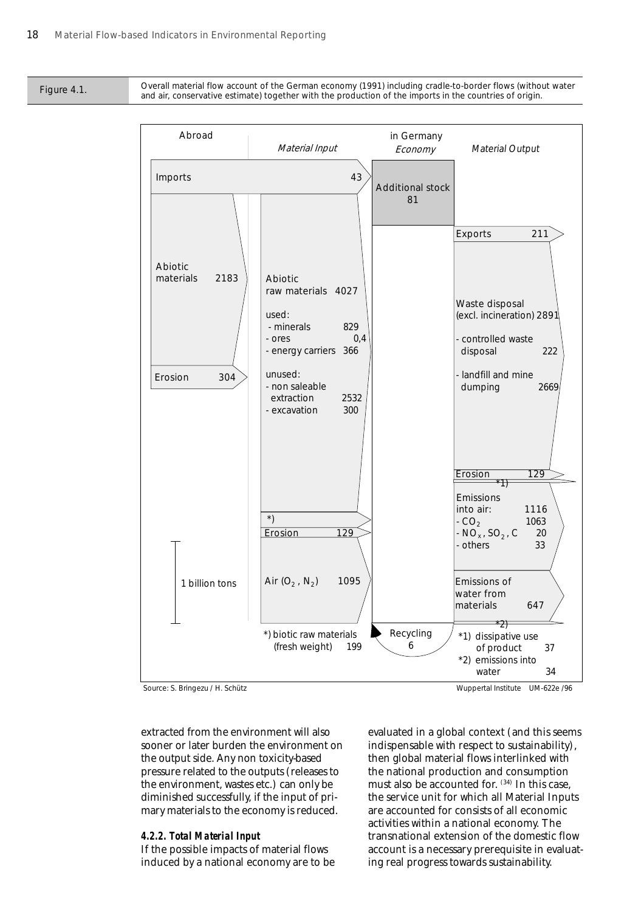

Figure 4.1. Overall material flow account of the German economy (1991) including cradle-to-border flows (without water and air, conservative estimate) together with the production of the imports in the countries of origin.



Source: S. Bringezu / H. Schütz

extracted from the environment will also sooner or later burden the environment on the output side. Any non toxicity-based pressure related to the outputs (releases to the environment, wastes etc.) can only be diminished successfully, if the input of primary materials to the economy is reduced.

### *4.2.2. Total Material Input*

If the possible impacts of material flows induced by a national economy are to be

evaluated in a global context (and this seems indispensable with respect to sustainability), then global material flows interlinked with the national production and consumption must also be accounted for. (34) In this case, the service unit for which all Material Inputs are accounted for consists of all economic activities within a national economy. The transnational extension of the domestic flow account is a necessary prerequisite in evaluating real progress towards sustainability.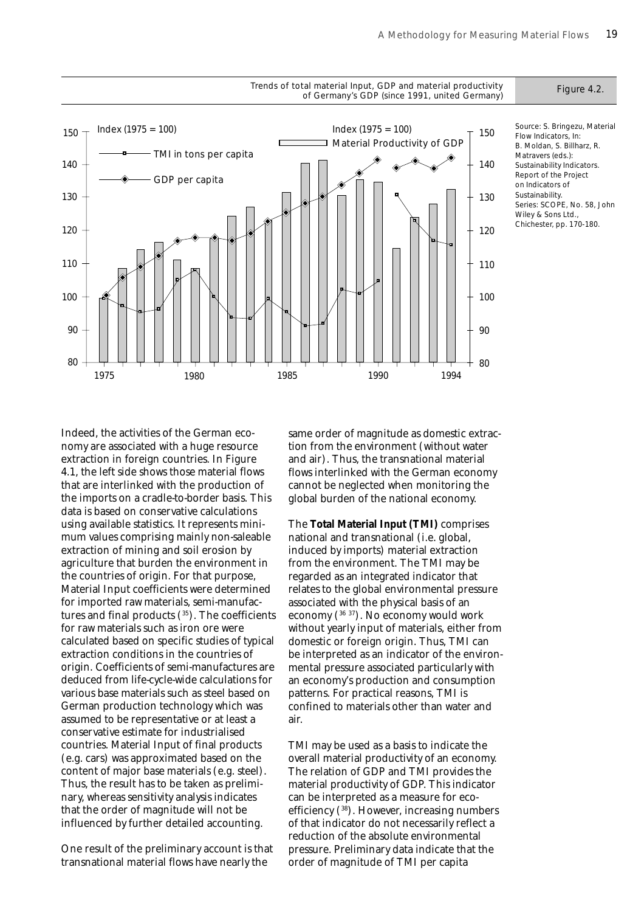



Source: S. Bringezu, Material Flow Indicators, In: B. Moldan, S. Billharz, R. Matravers (eds.): Sustainability Indicators. Report of the Project on Indicators of Sustainability. Series: SCOPE, No. 58, John Wiley & Sons Ltd., Chichester, pp. 170-180.

Indeed, the activities of the German economy are associated with a huge resource extraction in foreign countries. In Figure 4.1, the left side shows those material flows that are interlinked with the production of the imports on a cradle-to-border basis. This data is based on conservative calculations using available statistics. It represents minimum values comprising mainly non-saleable extraction of mining and soil erosion by agriculture that burden the environment in the countries of origin. For that purpose, Material Input coefficients were determined for imported raw materials, semi-manufactures and final products  $(35)$ . The coefficients for raw materials such as iron ore were calculated based on specific studies of typical extraction conditions in the countries of origin. Coefficients of semi-manufactures are deduced from life-cycle-wide calculations for various base materials such as steel based on German production technology which was assumed to be representative or at least a conservative estimate for industrialised countries. Material Input of final products (e.g. cars) was approximated based on the content of major base materials (e.g. steel). Thus, the result has to be taken as preliminary, whereas sensitivity analysis indicates that the order of magnitude will not be influenced by further detailed accounting.

One result of the preliminary account is that transnational material flows have nearly the

same order of magnitude as domestic extraction from the environment (without water and air). Thus, the transnational material flows interlinked with the German economy cannot be neglected when monitoring the global burden of the national economy.

The **Total Material Input (TMI)** comprises national and transnational (i.e. global, induced by imports) material extraction from the environment. The TMI may be regarded as an integrated indicator that relates to the global environmental pressure associated with the physical basis of an economy (36 37). No economy would work without yearly input of materials, either from domestic or foreign origin. Thus, TMI can be interpreted as an indicator of the environmental pressure associated particularly with an economy's production and consumption patterns. For practical reasons, TMI is confined to materials other than water and air.

TMI may be used as a basis to indicate the overall material productivity of an economy. The relation of GDP and TMI provides the material productivity of GDP. This indicator can be interpreted as a measure for ecoefficiency (38). However, increasing numbers of that indicator do not necessarily reflect a reduction of the absolute environmental pressure. Preliminary data indicate that the order of magnitude of TMI per capita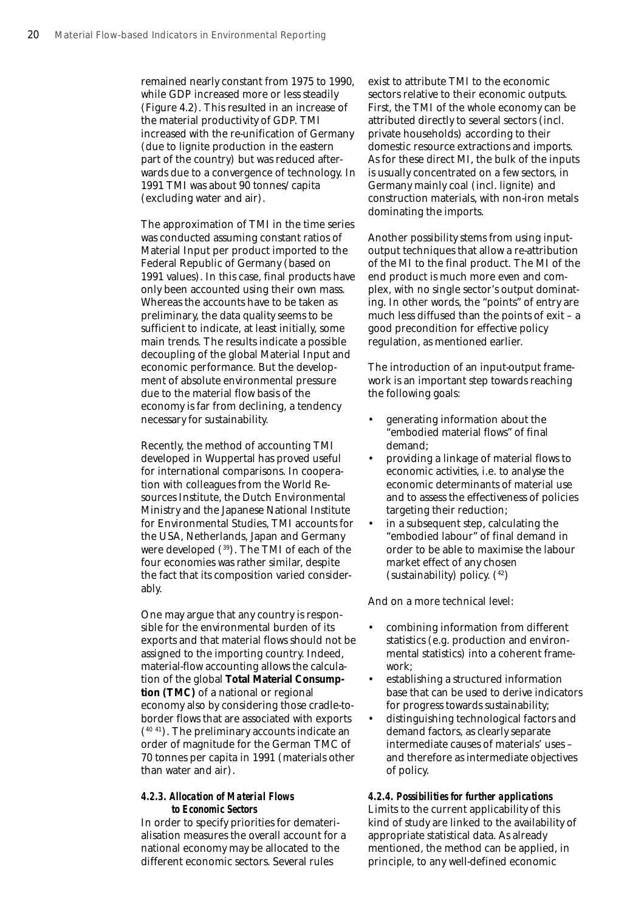remained nearly constant from 1975 to 1990, while GDP increased more or less steadily (Figure 4.2). This resulted in an increase of the material productivity of GDP. TMI increased with the re-unification of Germany (due to lignite production in the eastern part of the country) but was reduced afterwards due to a convergence of technology. In 1991 TMI was about 90 tonnes/capita (excluding water and air).

The approximation of TMI in the time series was conducted assuming constant ratios of Material Input per product imported to the Federal Republic of Germany (based on 1991 values). In this case, final products have only been accounted using their own mass. Whereas the accounts have to be taken as preliminary, the data quality seems to be sufficient to indicate, at least initially, some main trends. The results indicate a possible decoupling of the global Material Input and economic performance. But the development of absolute environmental pressure due to the material flow basis of the economy is far from declining, a tendency necessary for sustainability.

Recently, the method of accounting TMI developed in Wuppertal has proved useful for international comparisons. In cooperation with colleagues from the World Resources Institute, the Dutch Environmental Ministry and the Japanese National Institute for Environmental Studies, TMI accounts for the USA, Netherlands, Japan and Germany were developed (39). The TMI of each of the four economies was rather similar, despite the fact that its composition varied considerably.

One may argue that any country is responsible for the environmental burden of its exports and that material flows should not be assigned to the importing country. Indeed, material-flow accounting allows the calculation of the global **Total Material Consumption (TMC)** of a national or regional economy also by considering those cradle-toborder flows that are associated with exports (40 41). The preliminary accounts indicate an order of magnitude for the German TMC of 70 tonnes per capita in 1991 (materials other than water and air).

### *4.2.3. Allocation of Material Flows to Economic Sectors*

In order to specify priorities for dematerialisation measures the overall account for a national economy may be allocated to the different economic sectors. Several rules

exist to attribute TMI to the economic sectors relative to their economic outputs. First, the TMI of the whole economy can be attributed directly to several sectors (incl. private households) according to their domestic resource extractions and imports. As for these direct MI, the bulk of the inputs is usually concentrated on a few sectors, in Germany mainly coal (incl. lignite) and construction materials, with non-iron metals dominating the imports.

Another possibility stems from using inputoutput techniques that allow a re-attribution of the MI to the final product. The MI of the end product is much more even and complex, with no single sector's output dominating. In other words, the "points" of entry are much less diffused than the points of exit – a good precondition for effective policy regulation, as mentioned earlier.

The introduction of an input-output framework is an important step towards reaching the following goals:

- generating information about the "embodied material flows" of final demand;
- providing a linkage of material flows to economic activities, i.e. to analyse the economic determinants of material use and to assess the effectiveness of policies targeting their reduction;
- in a subsequent step, calculating the "embodied labour" of final demand in order to be able to maximise the labour market effect of any chosen (sustainability) policy. (42)

And on a more technical level:

- combining information from different statistics (e.g. production and environmental statistics) into a coherent framework;
- establishing a structured information base that can be used to derive indicators for progress towards sustainability;
- distinguishing technological factors and demand factors, as clearly separate intermediate causes of materials' uses – and therefore as intermediate objectives of policy.

#### *4.2.4. Possibilities for further applications*

Limits to the current applicability of this kind of study are linked to the availability of appropriate statistical data. As already mentioned, the method can be applied, in principle, to any well-defined economic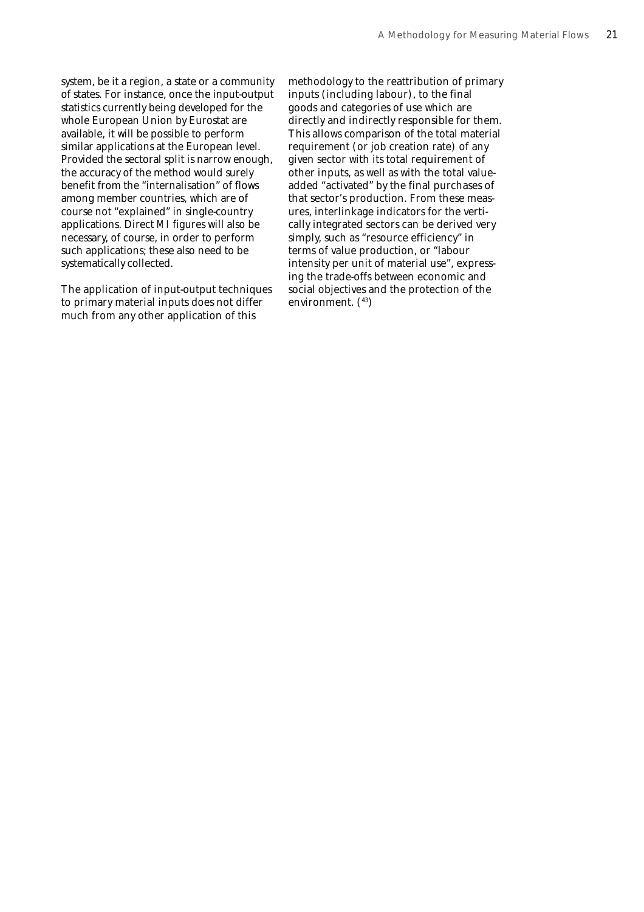system, be it a region, a state or a community of states. For instance, once the input-output statistics currently being developed for the whole European Union by Eurostat are available, it will be possible to perform similar applications at the European level. Provided the sectoral split is narrow enough, the accuracy of the method would surely benefit from the "internalisation" of flows among member countries, which are of course not "explained" in single-country applications. Direct *MI* figures will also be necessary, of course, in order to perform such applications; these also need to be systematically collected.

The application of input-output techniques to primary material inputs does not differ much from any other application of this

methodology to the reattribution of primary inputs (including labour), to the final goods and categories of use which are directly and indirectly responsible for them. This allows comparison of the total material requirement (or job creation rate) of any given sector with its total requirement of other inputs, as well as with the total valueadded "activated" by the final purchases of that sector's production. From these measures, interlinkage indicators for the vertically integrated sectors can be derived very simply, such as "resource efficiency" in terms of value production, or "labour intensity per unit of material use", expressing the trade-offs between economic and social objectives and the protection of the environment. (43)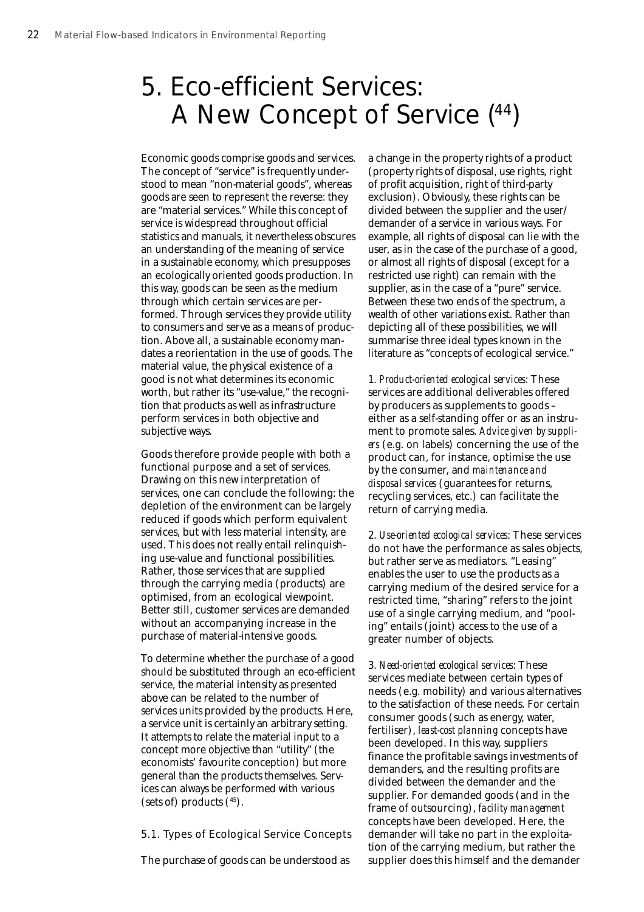## 5. Eco-efficient Services: A New Concept of Service (44)

Economic goods comprise goods and services. The concept of "service" is frequently understood to mean "non-material goods", whereas goods are seen to represent the reverse: they are "material services." While this concept of service is widespread throughout official statistics and manuals, it nevertheless obscures an understanding of the meaning of service in a sustainable economy, which presupposes an ecologically oriented goods production. In this way, goods can be seen as the medium through which certain services are performed. Through services they provide utility to consumers and serve as a means of production. Above all, a sustainable economy mandates a reorientation in the use of goods. The material value, the physical existence of a good is not what determines its economic worth, but rather its "use-value," the recognition that products as well as infrastructure perform services in both objective and subjective ways.

Goods therefore provide people with both a functional purpose and a set of services. Drawing on this new interpretation of services, one can conclude the following: the depletion of the environment can be largely reduced if goods which perform equivalent services, but with less material intensity, are used. This does not really entail relinquishing use-value and functional possibilities. Rather, those services that are supplied through the carrying media (products) are optimised, from an ecological viewpoint. Better still, customer services are demanded without an accompanying increase in the purchase of material-intensive goods.

To determine whether the purchase of a good should be substituted through an eco-efficient service, the material intensity as presented above can be related to the number of services units provided by the products. Here, a service unit is certainly an arbitrary setting. It attempts to relate the material input to a concept more objective than "utility" (the economists' favourite conception) but more general than the products themselves. Services can always be performed with various (sets of) products  $(45)$ .

5.1. Types of Ecological Service Concepts

The purchase of goods can be understood as

a change in the property rights of a product (property rights of disposal, use rights, right of profit acquisition, right of third-party exclusion). Obviously, these rights can be divided between the supplier and the user/ demander of a service in various ways. For example, all rights of disposal can lie with the user, as in the case of the purchase of a good, or almost all rights of disposal (except for a restricted use right) can remain with the supplier, as in the case of a "pure" service. Between these two ends of the spectrum, a wealth of other variations exist. Rather than depicting all of these possibilities, we will summarise three ideal types known in the literature as "concepts of ecological service."

1. *Product-oriented ecological services*: These services are additional deliverables offered by producers as supplements to goods – either as a self-standing offer or as an instrument to promote sales. *Advice given by suppliers* (e.g. on labels) concerning the use of the product can, for instance, optimise the use by the consumer, and *maintenance and disposal services* (guarantees for returns, recycling services, etc.) can facilitate the return of carrying media.

2. *Use-oriented ecological services*: These services do not have the performance as sales objects, but rather serve as mediators. "Leasing" enables the user to use the products as a carrying medium of the desired service for a restricted time, "sharing" refers to the joint use of a single carrying medium, and "pooling" entails (joint) access to the use of a greater number of objects.

3. *Need-oriented ecological services*: These services mediate between certain types of needs (e.g. mobility) and various alternatives to the satisfaction of these needs. For certain consumer goods (such as energy, water, fertiliser), *least-cost planning* concepts have been developed. In this way, suppliers finance the profitable savings investments of demanders, and the resulting profits are divided between the demander and the supplier. For demanded goods (and in the frame of outsourcing), *facility management* concepts have been developed. Here, the demander will take no part in the exploitation of the carrying medium, but rather the supplier does this himself and the demander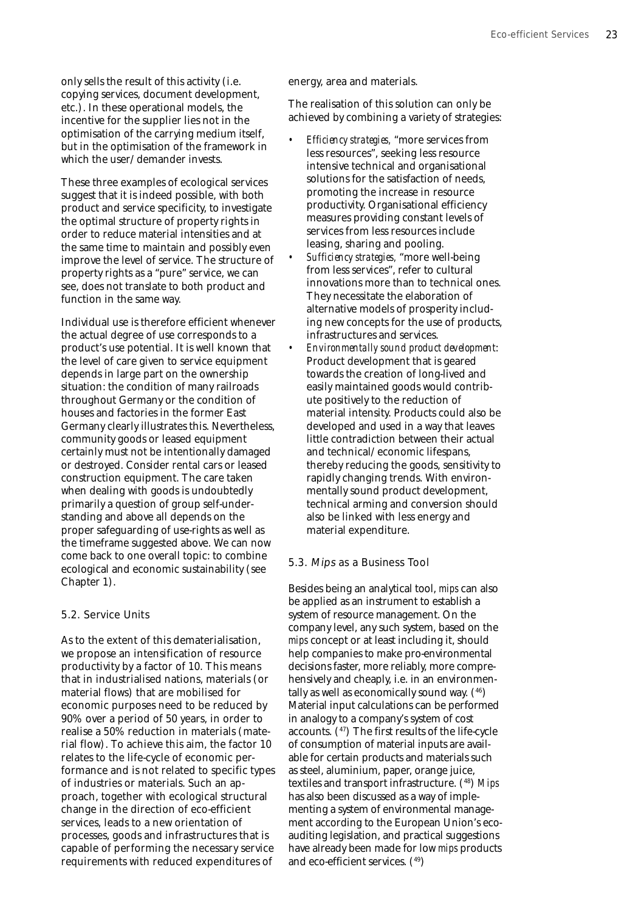only sells the result of this activity (i.e. copying services, document development, etc.). In these operational models, the incentive for the supplier lies not in the optimisation of the carrying medium itself, but in the optimisation of the framework in which the user/demander invests.

These three examples of ecological services suggest that it is indeed possible, with both product and service specificity, to investigate the optimal structure of property rights in order to reduce material intensities and at the same time to maintain and possibly even improve the level of service. The structure of property rights as a "pure" service, we can see, does not translate to both product and function in the same way.

Individual use is therefore efficient whenever the actual degree of use corresponds to a product's use potential. It is well known that the level of care given to service equipment depends in large part on the ownership situation: the condition of many railroads throughout Germany or the condition of houses and factories in the former East Germany clearly illustrates this. Nevertheless, community goods or leased equipment certainly must not be intentionally damaged or destroyed. Consider rental cars or leased construction equipment. The care taken when dealing with goods is undoubtedly primarily a question of group self-understanding and above all depends on the proper safeguarding of use-rights as well as the timeframe suggested above. We can now come back to one overall topic: to combine ecological and economic sustainability (see Chapter 1).

## 5.2. Service Units

As to the extent of this dematerialisation, we propose an intensification of resource productivity by a factor of 10. This means that in industrialised nations, materials (or material flows) that are mobilised for economic purposes need to be reduced by 90% over a period of 50 years, in order to realise a 50% reduction in materials (material flow). To achieve this aim, the factor 10 relates to the life-cycle of economic performance and is not related to specific types of industries or materials. Such an approach, together with ecological structural change in the direction of eco-efficient services, leads to a new orientation of processes, goods and infrastructures that is capable of performing the necessary service requirements with reduced expenditures of

energy, area and materials.

The realisation of this solution can only be achieved by combining a variety of strategies:

- *Efficiency strategies,* "more services from less resources", seeking less resource intensive technical and organisational solutions for the satisfaction of needs, promoting the increase in resource productivity. Organisational efficiency measures providing constant levels of services from less resources include leasing, sharing and pooling.
- *Sufficiency strategies,* "more well-being from less services", refer to cultural innovations more than to technical ones. They necessitate the elaboration of alternative models of prosperity including new concepts for the use of products, infrastructures and services.
- *Environmentally sound product development*: Product development that is geared towards the creation of long-lived and easily maintained goods would contribute positively to the reduction of material intensity. Products could also be developed and used in a way that leaves little contradiction between their actual and technical/economic lifespans, thereby reducing the goods, sensitivity to rapidly changing trends. With environmentally sound product development, technical arming and conversion should also be linked with less energy and material expenditure.

### 5.3. Mips as a Business Tool

Besides being an analytical tool, *mips* can also be applied as an instrument to establish a system of resource management. On the company level, any such system, based on the *mips* concept or at least including it, should help companies to make pro-environmental decisions faster, more reliably, more comprehensively and cheaply, i.e. in an environmentally as well as economically sound way. (46) Material input calculations can be performed in analogy to a company's system of cost accounts. (47) The first results of the life-cycle of consumption of material inputs are available for certain products and materials such as steel, aluminium, paper, orange juice, textiles and transport infrastructure. (48) *Mips* has also been discussed as a way of implementing a system of environmental management according to the European Union's ecoauditing legislation, and practical suggestions have already been made for low *mips* products and eco-efficient services. (49)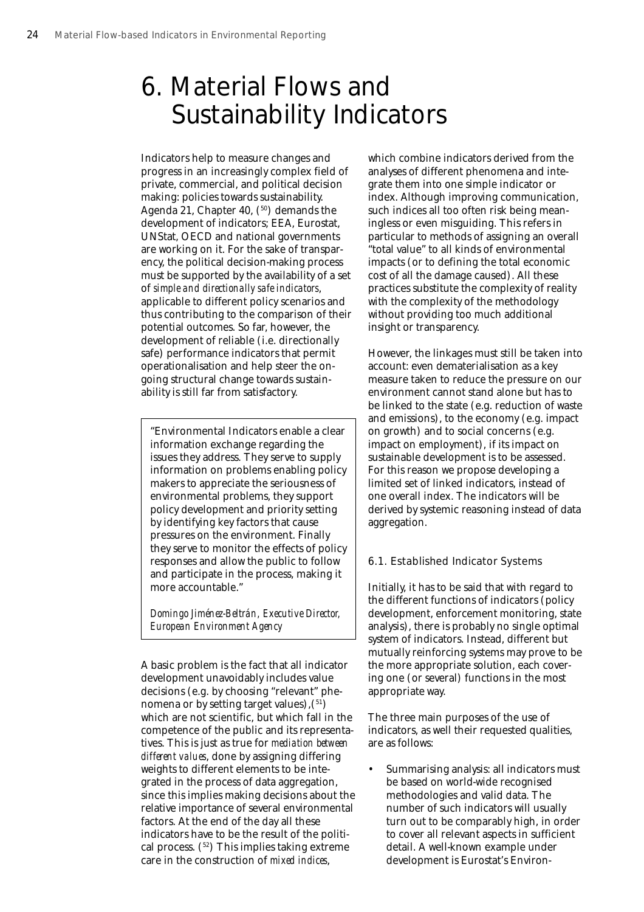## 6. Material Flows and Sustainability Indicators

Indicators help to measure changes and progress in an increasingly complex field of private, commercial, and political decision making: policies towards sustainability. Agenda 21, Chapter 40,  $(50)$  demands the development of indicators; EEA, Eurostat, UNStat, OECD and national governments are working on it. For the sake of transparency, the political decision-making process must be supported by the availability of a set of *simple and directionally safe indicators*, applicable to different policy scenarios and thus contributing to the comparison of their potential outcomes. So far, however, the development of reliable (i.e. directionally safe) performance indicators that permit operationalisation and help steer the ongoing structural change towards sustainability is still far from satisfactory.

"Environmental Indicators enable a clear information exchange regarding the issues they address. They serve to supply information on problems enabling policy makers to appreciate the seriousness of environmental problems, they support policy development and priority setting by identifying key factors that cause pressures on the environment. Finally they serve to monitor the effects of policy responses and allow the public to follow and participate in the process, making it more accountable."

*Domingo Jiménez-Beltrán, Executive Director, European Environment Agency*

A basic problem is the fact that all indicator development unavoidably includes value decisions (e.g. by choosing "relevant" phenomena or by setting target values),  $(51)$ which are not scientific, but which fall in the competence of the public and its representatives. This is just as true for *mediation between different values*, done by assigning differing weights to different elements to be integrated in the process of data aggregation, since this implies making decisions about the relative importance of several environmental factors. At the end of the day all these indicators have to be the result of the political process. (52) This implies taking extreme care in the construction of *mixed indices*,

which combine indicators derived from the analyses of different phenomena and integrate them into one simple indicator or index. Although improving communication, such indices all too often risk being meaningless or even misguiding. This refers in particular to methods of assigning an overall "total value" to all kinds of environmental impacts (or to defining the total economic cost of all the damage caused). All these practices substitute the complexity of reality with the complexity of the methodology without providing too much additional insight or transparency.

However, the linkages must still be taken into account: even dematerialisation as a key measure taken to reduce the pressure on our environment cannot stand alone but has to be linked to the state (e.g. reduction of waste and emissions), to the economy (e.g. impact on growth) and to social concerns (e.g. impact on employment), if its impact on sustainable development is to be assessed. For this reason we propose developing a limited set of linked indicators, instead of one overall index. The indicators will be derived by systemic reasoning instead of data aggregation.

### 6.1. Established Indicator Systems

Initially, it has to be said that with regard to the different functions of indicators (policy development, enforcement monitoring, state analysis), there is probably no single optimal system of indicators. Instead, different but mutually reinforcing systems may prove to be the more appropriate solution, each covering one (or several) functions in the most appropriate way.

The three main purposes of the use of indicators, as well their requested qualities, are as follows:

• Summarising analysis: all indicators must be based on world-wide recognised methodologies and valid data. The number of such indicators will usually turn out to be comparably high, in order to cover all relevant aspects in sufficient detail. A well-known example under development is Eurostat's Environ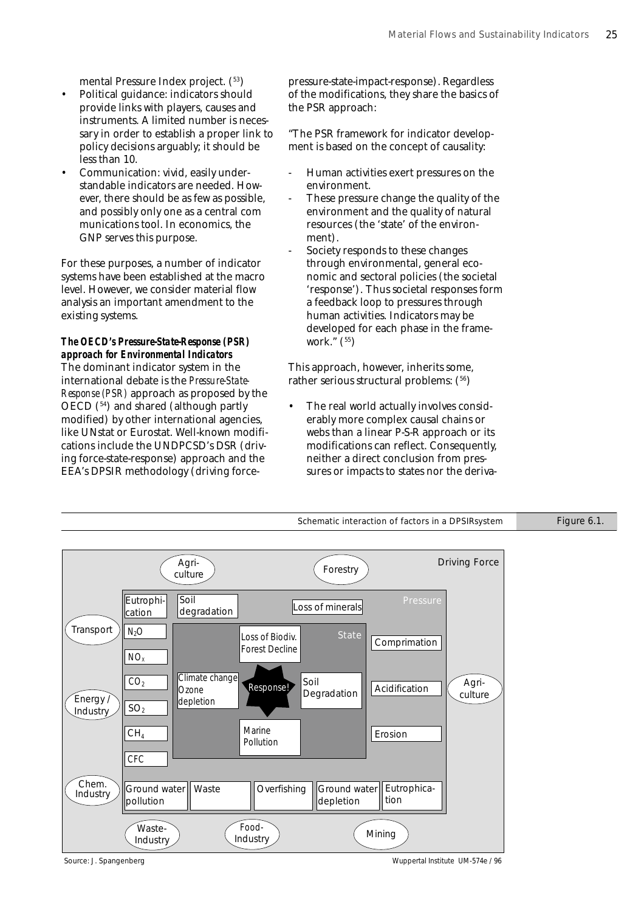mental Pressure Index project. (53)

- Political guidance: indicators should provide links with players, causes and instruments. A limited number is necessary in order to establish a proper link to policy decisions arguably; it should be less than 10.
- Communication: vivid, easily understandable indicators are needed. However, there should be as few as possible, and possibly only one as a central com munications tool. In economics, the GNP serves this purpose.

For these purposes, a number of indicator systems have been established at the macro level. However, we consider material flow analysis an important amendment to the existing systems.

## *The OECD's Pressure-State-Response (PSR) approach for Environmental Indicators*

The dominant indicator system in the international debate is the *Pressure-State-Response (PSR)* approach as proposed by the OECD (54) and shared (although partly modified) by other international agencies, like UNstat or Eurostat. Well-known modifications include the UNDPCSD's DSR (driving force-state-response) approach and the EEA's DPSIR methodology (driving forcepressure-state-impact-response). Regardless of the modifications, they share the basics of the PSR approach:

"The PSR framework for indicator development is based on the concept of causality:

- Human activities exert pressures on the environment.
- These pressure change the quality of the environment and the quality of natural resources (the 'state' of the environment).
- Society responds to these changes through environmental, general economic and sectoral policies (the societal 'response'). Thus societal responses form a feedback loop to pressures through human activities. Indicators may be developed for each phase in the framework." $(55)$

This approach, however, inherits some, rather serious structural problems: (56)

• The real world actually involves considerably more complex causal chains or webs than a linear P-S-R approach or its modifications can reflect. Consequently, neither a direct conclusion from pressures or impacts to states nor the deriva-





Source: J. Spangenberg Wuppertal Institute UM-574e / 96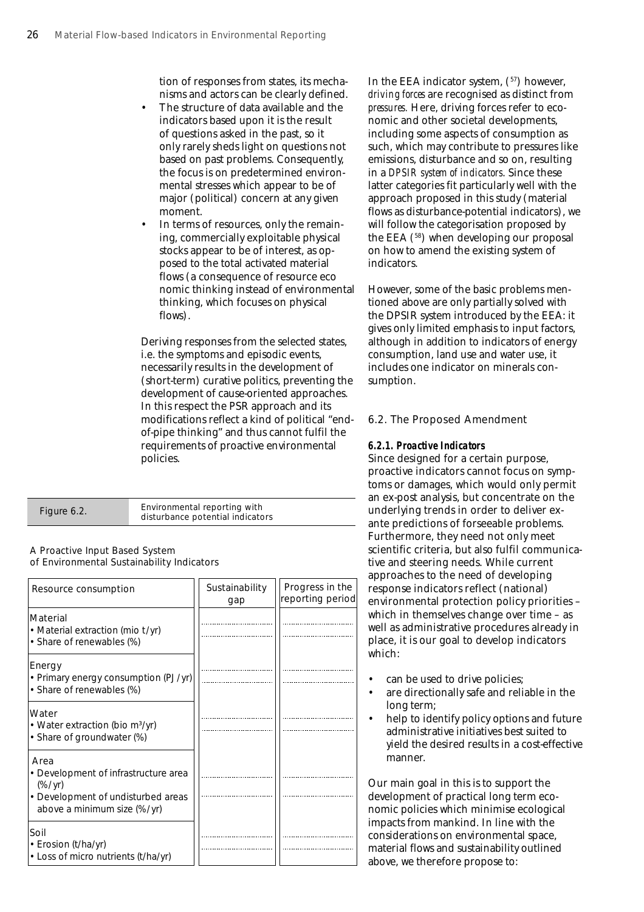tion of responses from states, its mechanisms and actors can be clearly defined.

- The structure of data available and the indicators based upon it is the result of questions asked in the past, so it only rarely sheds light on questions not based on past problems. Consequently, the focus is on predetermined environmental stresses which appear to be of major (political) concern at any given moment.
- In terms of resources, only the remaining, commercially exploitable physical stocks appear to be of interest, as opposed to the total activated material flows (a consequence of resource eco nomic thinking instead of environmental thinking, which focuses on physical flows).

Deriving responses from the selected states, i.e. the symptoms and episodic events, necessarily results in the development of (short-term) curative politics, preventing the development of cause-oriented approaches. In this respect the PSR approach and its modifications reflect a kind of political "endof-pipe thinking" and thus cannot fulfil the requirements of proactive environmental policies.

Figure 6.2. Environmental reporting with disturbance potential indicators

## A Proactive Input Based System of Environmental Sustainability Indicators

| Resource consumption                                                                                                           | Sustainability<br>gap | Progress in the<br>reporting period |
|--------------------------------------------------------------------------------------------------------------------------------|-----------------------|-------------------------------------|
| <b>Material</b><br>• Material extraction (mio t/yr)<br>• Share of renewables (%)                                               |                       |                                     |
| Energy<br>• Primary energy consumption (PJ/yr)<br>• Share of renewables (%)                                                    |                       |                                     |
| Water<br>• Water extraction (bio m <sup>3</sup> /yr)<br>• Share of groundwater (%)                                             |                       |                                     |
| Area<br>• Development of infrastructure area<br>$(\%/yr)$<br>• Development of undisturbed areas<br>above a minimum size (%/yr) |                       |                                     |
| Soil<br>• Erosion (t/ha/yr)<br>• Loss of micro nutrients (t/ha/yr)                                                             |                       |                                     |

In the EEA indicator system,  $(57)$  however, *driving forces* are recognised as distinct from *pressures.* Here, driving forces refer to economic and other societal developments, including some aspects of consumption as such, which may contribute to pressures like emissions, disturbance and so on, resulting in a *DPSIR system of indicators*. Since these latter categories fit particularly well with the approach proposed in this study (material flows as disturbance-potential indicators), we will follow the categorisation proposed by the EEA (58) when developing our proposal on how to amend the existing system of indicators.

However, some of the basic problems mentioned above are only partially solved with the DPSIR system introduced by the EEA: it gives only limited emphasis to input factors, although in addition to indicators of energy consumption, land use and water use, it includes one indicator on minerals consumption.

## 6.2. The Proposed Amendment

## *6.2.1. Proactive Indicators*

Since designed for a certain purpose, proactive indicators cannot focus on symptoms or damages, which would only permit an ex-post analysis, but concentrate on the underlying trends in order to deliver exante predictions of forseeable problems. Furthermore, they need not only meet scientific criteria, but also fulfil communicative and steering needs. While current approaches to the need of developing response indicators reflect (national) environmental protection policy priorities – which in themselves change over time – as well as administrative procedures already in place, it is our goal to develop indicators which:

- can be used to drive policies;
- are directionally safe and reliable in the long term;
- help to identify policy options and future administrative initiatives best suited to yield the desired results in a cost-effective manner.

Our main goal in this is to support the development of practical long term economic policies which minimise ecological impacts from mankind. In line with the considerations on environmental space, material flows and sustainability outlined above, we therefore propose to: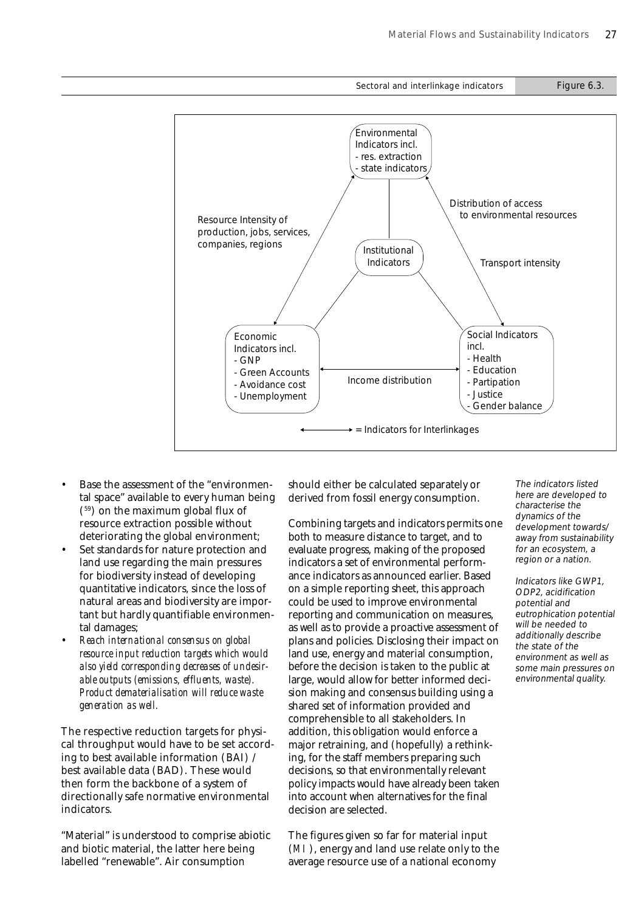Sectoral and interlinkage indicators Figure 6.3.



- Base the assessment of the "environmental space" available to every human being (59) on the maximum global flux of resource extraction possible without deteriorating the global environment;
- Set standards for nature protection and land use regarding the main pressures for biodiversity instead of developing quantitative indicators, since the loss of natural areas and biodiversity are important but hardly quantifiable environmental damages;
- *Reach international consensus on global resource input reduction targets which would also yield corresponding decreases of undesirable outputs (emissions, effluents, waste). Product dematerialisation will reduce waste generation as well.*

The respective reduction targets for physical throughput would have to be set according to best available information (BAI) / best available data (BAD). These would then form the backbone of a system of directionally safe normative environmental indicators.

"Material" is understood to comprise abiotic and biotic material, the latter here being labelled "renewable". Air consumption

should either be calculated separately or derived from fossil energy consumption.

Combining targets and indicators permits one both to measure distance to target, and to evaluate progress, making of the proposed indicators a set of environmental performance indicators as announced earlier. Based on a simple reporting sheet, this approach could be used to improve environmental reporting and communication on measures, as well as to provide a proactive assessment of plans and policies. Disclosing their impact on land use, energy and material consumption, before the decision is taken to the public at large, would allow for better informed decision making and consensus building using a shared set of information provided and comprehensible to all stakeholders. In addition, this obligation would enforce a major retraining, and (hopefully) a rethinking, for the staff members preparing such decisions, so that environmentally relevant policy impacts would have already been taken into account when alternatives for the final decision are selected.

The figures given so far for material input (MI), energy and land use relate only to the average resource use of a national economy

The indicators listed here are developed to characterise the dynamics of the development towards/ away from sustainability for an ecosystem, a region or a nation.

Indicators like GWP1, ODP2, acidification potential and eutrophication potential will be needed to additionally describe the state of the environment as well as some main pressures on environmental quality.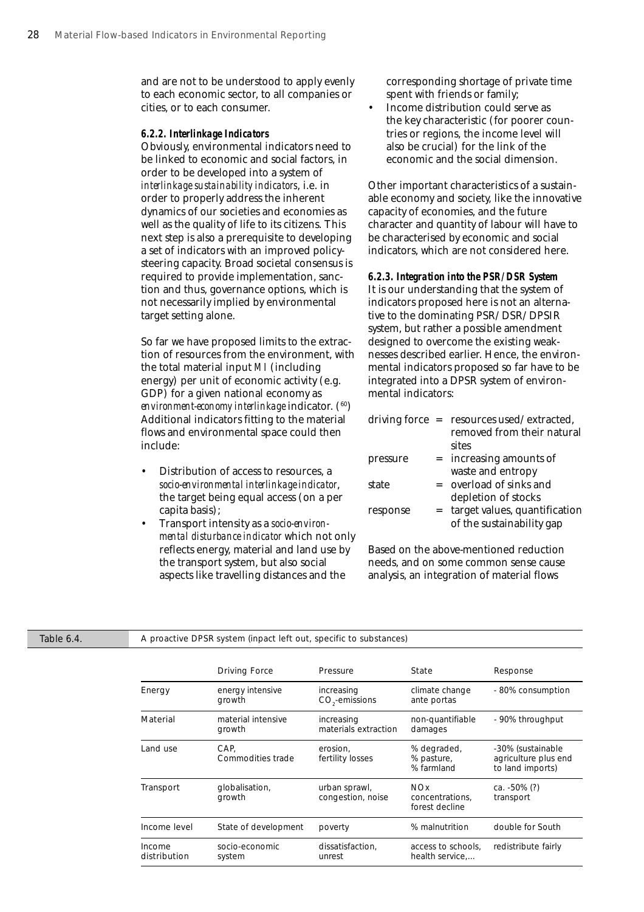and are not to be understood to apply evenly to each economic sector, to all companies or cities, or to each consumer.

#### *6.2.2. Interlinkage Indicators*

Obviously, environmental indicators need to be linked to economic and social factors, in order to be developed into a system of *interlinkage sustainability indicators*, i.e. in order to properly address the inherent dynamics of our societies and economies as well as the quality of life to its citizens. This next step is also a prerequisite to developing a set of indicators with an improved policysteering capacity. Broad societal consensus is required to provide implementation, sanction and thus, governance options, which is not necessarily implied by environmental target setting alone.

So far we have proposed limits to the extraction of resources from the environment, with the total material input *MI* (including energy) per unit of economic activity (e.g. GDP) for a given national economy as *environment-economy interlinkage* indicator. (<sup>60</sup>) Additional indicators fitting to the material flows and environmental space could then include:

- Distribution of access to resources, a *socio-environmental interlinkage indicator*, the target being equal access (on a per capita basis);
- Transport intensity as a *socio-environmental disturbance indicator* which not only reflects energy, material and land use by the transport system, but also social aspects like travelling distances and the

corresponding shortage of private time spent with friends or family;

• Income distribution could serve as the key characteristic (for poorer countries or regions, the income level will also be crucial) for the link of the economic and the social dimension.

Other important characteristics of a sustainable economy and society, like the innovative capacity of economies, and the future character and quantity of labour will have to be characterised by economic and social indicators, which are not considered here.

#### *6.2.3. Integration into the PSR/DSR System*

It is our understanding that the system of indicators proposed here is not an alternative to the dominating PSR/DSR/DPSIR system, but rather a possible amendment designed to overcome the existing weaknesses described earlier. Hence, the environmental indicators proposed so far have to be integrated into a DPSR system of environmental indicators:

|          |     | driving force = $resources used/extracted$ , |
|----------|-----|----------------------------------------------|
|          |     | removed from their natural                   |
|          |     | sites                                        |
| pressure |     | = increasing amounts of                      |
|          |     | waste and entropy                            |
| state    |     | = overload of sinks and                      |
|          |     | depletion of stocks                          |
| response | $=$ | target values, quantification                |
|          |     | of the sustainability gap                    |

Based on the above-mentioned reduction needs, and on some common sense cause analysis, an integration of material flows

Table 6.4. A proactive DPSR system (inpact left out, specific to substances)

|                        | <b>Driving Force</b>         | Pressure                           | State                                    | Response                                                      |
|------------------------|------------------------------|------------------------------------|------------------------------------------|---------------------------------------------------------------|
| Energy                 | energy intensive<br>growth   | increasing<br>$CO2$ -emissions     | climate change<br>ante portas            | - 80% consumption                                             |
| Material               | material intensive<br>growth | increasing<br>materials extraction | non-quantifiable<br>damages              | - 90% throughput                                              |
| Land use               | CAP.<br>Commodities trade    | erosion.<br>fertility losses       | % degraded,<br>% pasture,<br>% farmland  | -30% (sustainable<br>agriculture plus end<br>to land imports) |
| Transport              | globalisation,<br>growth     | urban sprawl,<br>congestion, noise | NQx<br>concentrations.<br>forest decline | ca. -50% (?)<br>transport                                     |
| Income level           | State of development         | poverty                            | % malnutrition                           | double for South                                              |
| Income<br>distribution | socio-economic<br>system     | dissatisfaction.<br>unrest         | access to schools.<br>health service     | redistribute fairly                                           |
|                        |                              |                                    |                                          |                                                               |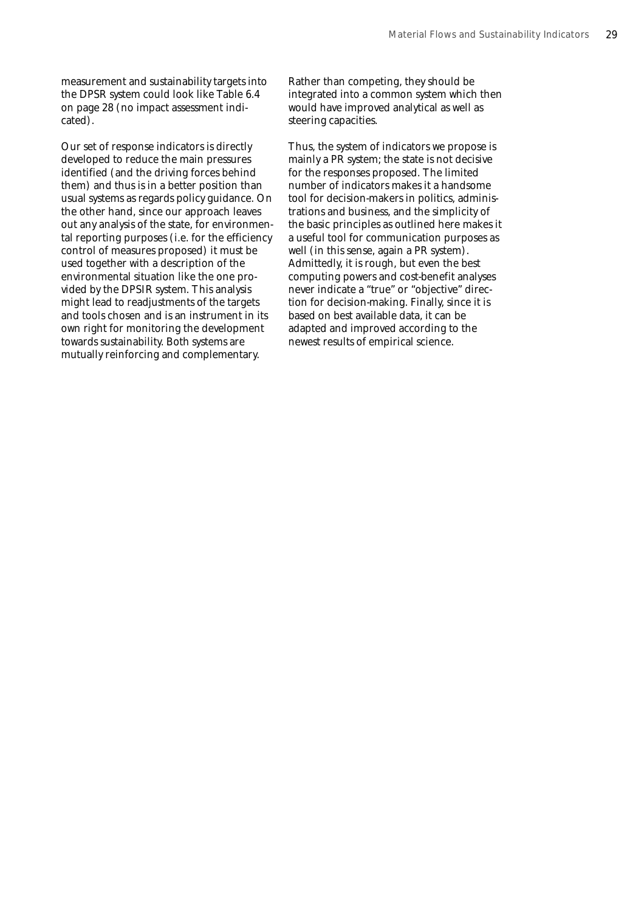measurement and sustainability targets into the DPSR system could look like Table 6.4 on page 28 (no impact assessment indicated).

Our set of response indicators is directly developed to reduce the main pressures identified (and the driving forces behind them) and thus is in a better position than usual systems as regards policy guidance. On the other hand, since our approach leaves out any analysis of the state, for environmental reporting purposes (i.e. for the efficiency control of measures proposed) it must be used together with a description of the environmental situation like the one provided by the DPSIR system. This analysis might lead to readjustments of the targets and tools chosen and is an instrument in its own right for monitoring the development towards sustainability. Both systems are mutually reinforcing and complementary.

Rather than competing, they should be integrated into a common system which then would have improved analytical as well as steering capacities.

Thus, the system of indicators we propose is mainly a PR system; the state is not decisive for the responses proposed. The limited number of indicators makes it a handsome tool for decision-makers in politics, administrations and business, and the simplicity of the basic principles as outlined here makes it a useful tool for communication purposes as well (in this sense, again a PR system). Admittedly, it is rough, but even the best computing powers and cost-benefit analyses never indicate a "true" or "objective" direction for decision-making. Finally, since it is based on best available data, it can be adapted and improved according to the newest results of empirical science.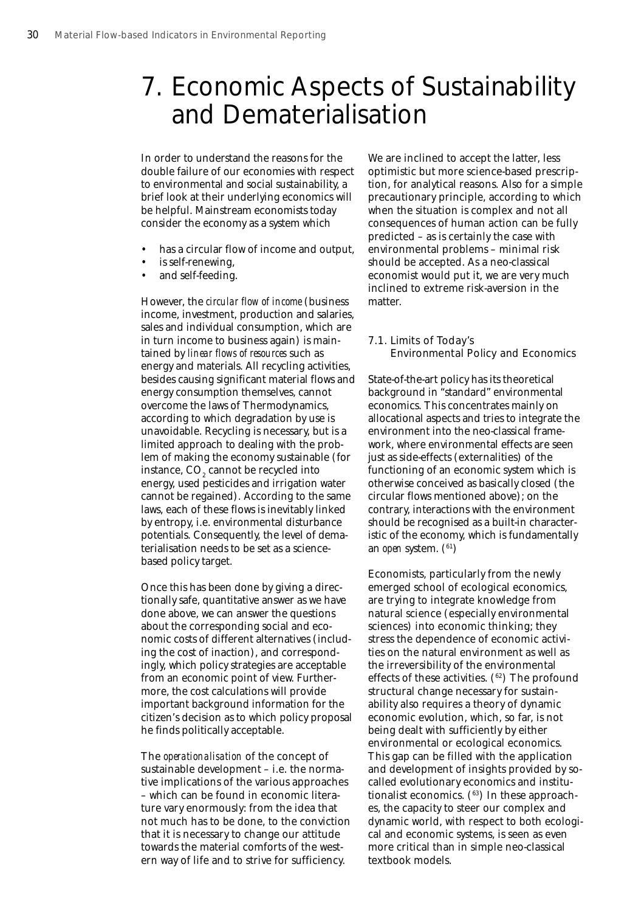## 7. Economic Aspects of Sustainability and Dematerialisation

In order to understand the reasons for the double failure of our economies with respect to environmental and social sustainability, a brief look at their underlying economics will be helpful. Mainstream economists today consider the economy as a system which

- has a circular flow of income and output,
- is self-renewing,
- and self-feeding.

However, the *circular flow of income* (business income, investment, production and salaries, sales and individual consumption, which are in turn income to business again) is maintained by *linear flows of resources* such as energy and materials. All recycling activities, besides causing significant material flows and energy consumption themselves, cannot overcome the laws of Thermodynamics, according to which degradation by use is unavoidable. Recycling is necessary, but is a limited approach to dealing with the problem of making the economy sustainable (for instance, CO $_{\tiny 2}$  cannot be recycled into energy, used pesticides and irrigation water cannot be regained). According to the same laws, each of these flows is inevitably linked by entropy, i.e. environmental disturbance potentials. Consequently, the level of dematerialisation needs to be set as a sciencebased policy target.

Once this has been done by giving a directionally safe, quantitative answer as we have done above, we can answer the questions about the corresponding social and economic costs of different alternatives (including the cost of inaction), and correspondingly, which policy strategies are acceptable from an economic point of view. Furthermore, the cost calculations will provide important background information for the citizen's decision as to which policy proposal he finds politically acceptable.

The *operationalisation* of the concept of sustainable development – i.e. the normative implications of the various approaches – which can be found in economic literature vary enormously: from the idea that not much has to be done, to the conviction that it is necessary to change our attitude towards the material comforts of the western way of life and to strive for sufficiency.

We are inclined to accept the latter, less optimistic but more science-based prescription, for analytical reasons. Also for a simple precautionary principle, according to which when the situation is complex and not all consequences of human action can be fully predicted – as is certainly the case with environmental problems – minimal risk should be accepted. As a neo-classical economist would put it, we are very much inclined to extreme risk-aversion in the matter.

## 7.1. Limits of Today's Environmental Policy and Economics

State-of-the-art policy has its theoretical background in "standard" environmental economics. This concentrates mainly on allocational aspects and tries to integrate the environment into the neo-classical framework, where environmental effects are seen just as side-effects (externalities) of the functioning of an economic system which is otherwise conceived as basically closed (the circular flows mentioned above); on the contrary, interactions with the environment should be recognised as a built-in characteristic of the economy, which is fundamentally an *open* system. (61)

Economists, particularly from the newly emerged school of ecological economics, are trying to integrate knowledge from natural science (especially environmental sciences) into economic thinking; they stress the dependence of economic activities on the natural environment as well as the irreversibility of the environmental effects of these activities.  $(^{62})$  The profound structural change necessary for sustainability also requires a theory of dynamic economic evolution, which, so far, is not being dealt with sufficiently by either environmental or ecological economics. This gap can be filled with the application and development of insights provided by socalled evolutionary economics and institutionalist economics.  $(63)$  In these approaches, the capacity to steer our complex and dynamic world, with respect to both ecological and economic systems, is seen as even more critical than in simple neo-classical textbook models.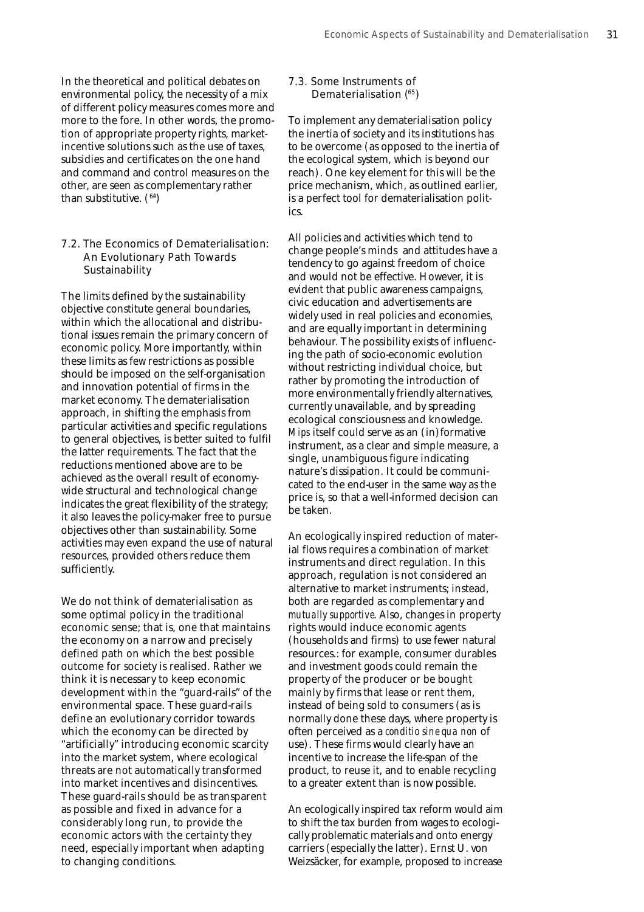In the theoretical and political debates on environmental policy, the necessity of a mix of different policy measures comes more and more to the fore. In other words, the promotion of appropriate property rights, marketincentive solutions such as the use of taxes, subsidies and certificates on the one hand and command and control measures on the other, are seen as complementary rather than substitutive. (64)

## 7.2. The Economics of Dematerialisation: An Evolutionary Path Towards **Sustainability**

The limits defined by the sustainability objective constitute general boundaries, within which the allocational and distributional issues remain the primary concern of economic policy. More importantly, within these limits as few restrictions as possible should be imposed on the self-organisation and innovation potential of firms in the market economy. The dematerialisation approach, in shifting the emphasis from particular activities and specific regulations to general objectives, is better suited to fulfil the latter requirements. The fact that the reductions mentioned above are to be achieved as the overall result of economywide structural and technological change indicates the great flexibility of the strategy; it also leaves the policy-maker free to pursue objectives other than sustainability. Some activities may even expand the use of natural resources, provided others reduce them sufficiently.

We do not think of dematerialisation as some optimal policy in the traditional economic sense; that is, one that maintains the economy on a narrow and precisely defined path on which the best possible outcome for society is realised. Rather we think it is necessary to keep economic development within the "guard-rails" of the environmental space. These guard-rails define an evolutionary corridor towards which the economy can be directed by "artificially" introducing economic scarcity into the market system, where ecological threats are not automatically transformed into market incentives and disincentives. These guard-rails should be as transparent as possible and fixed in advance for a considerably long run, to provide the economic actors with the certainty they need, especially important when adapting to changing conditions.

## 7.3. Some Instruments of Dematerialisation (65)

To implement any dematerialisation policy the inertia of society and its institutions has to be overcome (as opposed to the inertia of the ecological system, which is beyond our reach). One key element for this will be the price mechanism, which, as outlined earlier, is a perfect tool for dematerialisation politics.

All policies and activities which tend to change people's minds and attitudes have a tendency to go against freedom of choice and would not be effective. However, it is evident that public awareness campaigns, civic education and advertisements are widely used in real policies and economies, and are equally important in determining behaviour. The possibility exists of influencing the path of socio-economic evolution without restricting individual choice, but rather by promoting the introduction of more environmentally friendly alternatives, currently unavailable, and by spreading ecological consciousness and knowledge. *Mips* itself could serve as an (in)formative instrument, as a clear and simple measure, a single, unambiguous figure indicating nature's dissipation. It could be communicated to the end-user in the same way as the price is, so that a well-informed decision can be taken.

An ecologically inspired reduction of material flows requires a combination of market instruments and direct regulation. In this approach, regulation is not considered an alternative to market instruments; instead, both are regarded as complementary and *mutually supportive*. Also, changes in property rights would induce economic agents (households and firms) to use fewer natural resources.: for example, consumer durables and investment goods could remain the property of the producer or be bought mainly by firms that lease or rent them, instead of being sold to consumers (as is normally done these days, where property is often perceived as a *conditio sine qua non* of use). These firms would clearly have an incentive to increase the life-span of the product, to reuse it, and to enable recycling to a greater extent than is now possible.

An ecologically inspired tax reform would aim to shift the tax burden from wages to ecologically problematic materials and onto energy carriers (especially the latter). Ernst U. von Weizsäcker, for example, proposed to increase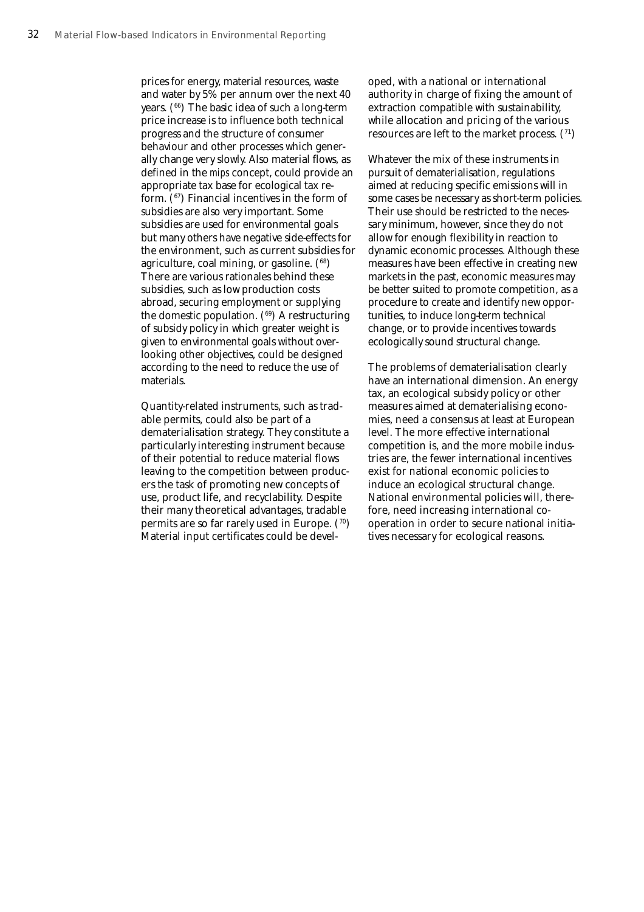prices for energy, material resources, waste and water by 5% per annum over the next 40 years. (66) The basic idea of such a long-term price increase is to influence both technical progress and the structure of consumer behaviour and other processes which generally change very slowly. Also material flows, as defined in the *mips* concept, could provide an appropriate tax base for ecological tax reform. (67) Financial incentives in the form of subsidies are also very important. Some subsidies are used for environmental goals but many others have negative side-effects for the environment, such as current subsidies for agriculture, coal mining, or gasoline. (68) There are various rationales behind these subsidies, such as low production costs abroad, securing employment or supplying the domestic population.  $(^{69})$  A restructuring of subsidy policy in which greater weight is given to environmental goals without overlooking other objectives, could be designed according to the need to reduce the use of materials.

Quantity-related instruments, such as tradable permits, could also be part of a dematerialisation strategy. They constitute a particularly interesting instrument because of their potential to reduce material flows leaving to the competition between producers the task of promoting new concepts of use, product life, and recyclability. Despite their many theoretical advantages, tradable permits are so far rarely used in Europe. (70) Material input certificates could be devel-

oped, with a national or international authority in charge of fixing the amount of extraction compatible with sustainability, while allocation and pricing of the various resources are left to the market process.  $(71)$ 

Whatever the mix of these instruments in pursuit of dematerialisation, regulations aimed at reducing specific emissions will in some cases be necessary as short-term policies. Their use should be restricted to the necessary minimum, however, since they do not allow for enough flexibility in reaction to dynamic economic processes. Although these measures have been effective in creating new markets in the past, economic measures may be better suited to promote competition, as a procedure to create and identify new opportunities, to induce long-term technical change, or to provide incentives towards ecologically sound structural change.

The problems of dematerialisation clearly have an international dimension. An energy tax, an ecological subsidy policy or other measures aimed at dematerialising economies, need a consensus at least at European level. The more effective international competition is, and the more mobile industries are, the fewer international incentives exist for national economic policies to induce an ecological structural change. National environmental policies will, therefore, need increasing international cooperation in order to secure national initiatives necessary for ecological reasons.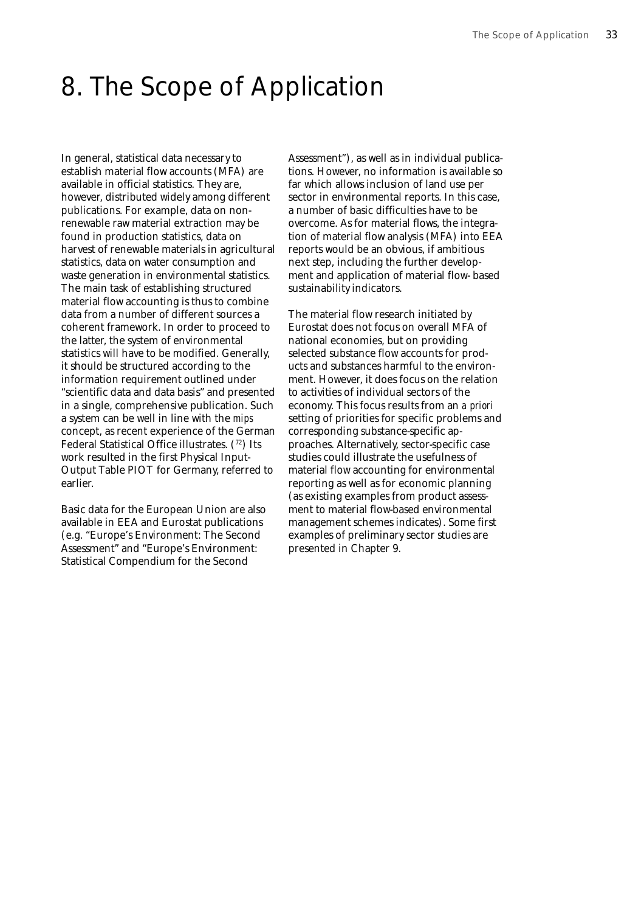## 8. The Scope of Application

In general, statistical data necessary to establish material flow accounts (MFA) are available in official statistics. They are, however, distributed widely among different publications. For example, data on nonrenewable raw material extraction may be found in production statistics, data on harvest of renewable materials in agricultural statistics, data on water consumption and waste generation in environmental statistics. The main task of establishing structured material flow accounting is thus to combine data from a number of different sources a coherent framework. In order to proceed to the latter, the system of environmental statistics will have to be modified. Generally, it should be structured according to the information requirement outlined under "scientific data and data basis" and presented in a single, comprehensive publication. Such a system can be well in line with the *mips* concept, as recent experience of the German Federal Statistical Office illustrates. (72) Its work resulted in the first Physical Input-Output Table PIOT for Germany, referred to earlier.

Basic data for the European Union are also available in EEA and Eurostat publications (e.g. "Europe's Environment: The Second Assessment" and "Europe's Environment: Statistical Compendium for the Second

Assessment"), as well as in individual publications. However, no information is available so far which allows inclusion of land use per sector in environmental reports. In this case, a number of basic difficulties have to be overcome. As for material flows, the integration of material flow analysis (MFA) into EEA reports would be an obvious, if ambitious next step, including the further development and application of material flow- based sustainability indicators.

The material flow research initiated by Eurostat does not focus on overall MFA of national economies, but on providing selected substance flow accounts for products and substances harmful to the environment. However, it does focus on the relation to activities of individual sectors of the economy. This focus results from an *a priori* setting of priorities for specific problems and corresponding substance-specific approaches. Alternatively, sector-specific case studies could illustrate the usefulness of material flow accounting for environmental reporting as well as for economic planning (as existing examples from product assessment to material flow-based environmental management schemes indicates). Some first examples of preliminary sector studies are presented in Chapter 9.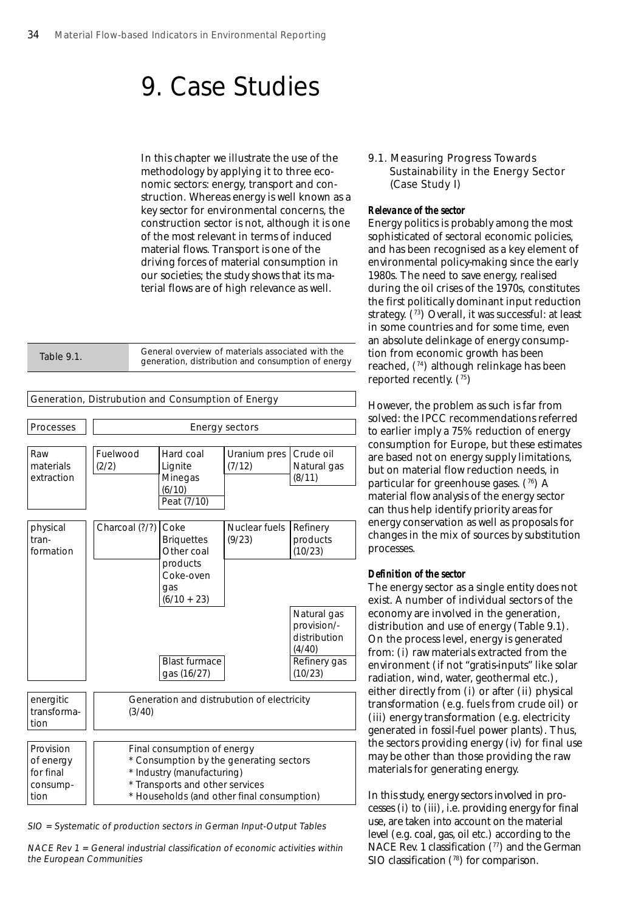## 9. Case Studies

In this chapter we illustrate the use of the methodology by applying it to three economic sectors: energy, transport and construction. Whereas energy is well known as a key sector for environmental concerns, the construction sector is not, although it is one of the most relevant in terms of induced material flows. Transport is one of the driving forces of material consumption in our societies; the study shows that its material flows are of high relevance as well.

| Table 9.1. | General overview of materials associated with the<br>generation, distribution and consumption of energy |
|------------|---------------------------------------------------------------------------------------------------------|
|            |                                                                                                         |

|                                                         | Generation, Distrubution and Consumption of Energy                                                                                                                                    |                                                                                                                                 |                                            |                                                                                                                    |
|---------------------------------------------------------|---------------------------------------------------------------------------------------------------------------------------------------------------------------------------------------|---------------------------------------------------------------------------------------------------------------------------------|--------------------------------------------|--------------------------------------------------------------------------------------------------------------------|
| <b>Processes</b>                                        |                                                                                                                                                                                       |                                                                                                                                 | <b>Energy sectors</b>                      |                                                                                                                    |
| Raw<br>materials<br>extraction                          | Fuelwood<br>(2/2)                                                                                                                                                                     | Hard coal<br>Lignite<br>Minegas<br>(6/10)<br>Peat (7/10)                                                                        | Uranium pres<br>(7/12)                     | Crude oil<br>Natural gas<br>(8/11)                                                                                 |
| physical<br>tran-<br>formation                          | Charcoal (?/?)                                                                                                                                                                        | Coke<br><b>Briquettes</b><br>Other coal<br>products<br>Coke-oven<br>gas<br>$(6/10 + 23)$<br><b>Blast furmace</b><br>gas (16/27) | Nuclear fuels<br>(9/23)                    | Refinery<br>products<br>(10/23)<br>Natural gas<br>provision/-<br>distribution<br>(4/40)<br>Refinery gas<br>(10/23) |
| energitic<br>transforma-<br>tion                        | (3/40)                                                                                                                                                                                |                                                                                                                                 | Generation and distrubution of electricity |                                                                                                                    |
| Provision<br>of energy<br>for final<br>consump-<br>tion | Final consumption of energy<br>* Consumption by the generating sectors<br>* Industry (manufacturing)<br>* Transports and other services<br>* Households (and other final consumption) |                                                                                                                                 |                                            |                                                                                                                    |

SIO = Systematic of production sectors in German Input-Output Tables

NACE Rev 1 = General industrial classification of economic activities within the European Communities

9.1. Measuring Progress Towards Sustainability in the Energy Sector (Case Study I)

### *Relevance of the sector*

Energy politics is probably among the most sophisticated of sectoral economic policies, and has been recognised as a key element of environmental policy-making since the early 1980s. The need to save energy, realised during the oil crises of the 1970s, constitutes the first politically dominant input reduction strategy. (73) Overall, it was successful: at least in some countries and for some time, even an absolute delinkage of energy consumption from economic growth has been reached, (74) although relinkage has been reported recently. (75)

However, the problem as such is far from solved: the IPCC recommendations referred to earlier imply a 75% reduction of energy consumption for Europe, but these estimates are based not on energy supply limitations, but on material flow reduction needs, in particular for greenhouse gases. (76) A material flow analysis of the energy sector can thus help identify priority areas for energy conservation as well as proposals for changes in the mix of sources by substitution processes.

### *Definition of the sector*

The energy sector as a single entity does not exist. A number of individual sectors of the economy are involved in the generation, distribution and use of energy (Table 9.1). On the process level, energy is generated from: (i) raw materials extracted from the environment (if not "gratis-inputs" like solar radiation, wind, water, geothermal etc.), either directly from (i) or after (ii) physical transformation (e.g. fuels from crude oil) or (iii) energy transformation (e.g. electricity generated in fossil-fuel power plants). Thus, the sectors providing energy (iv) for final use may be other than those providing the raw materials for generating energy.

In this study, energy sectors involved in processes (i) to (iii), i.e. providing energy for final use, are taken into account on the material level (e.g. coal, gas, oil etc.) according to the NACE Rev. 1 classification  $(77)$  and the German SIO classification (78) for comparison.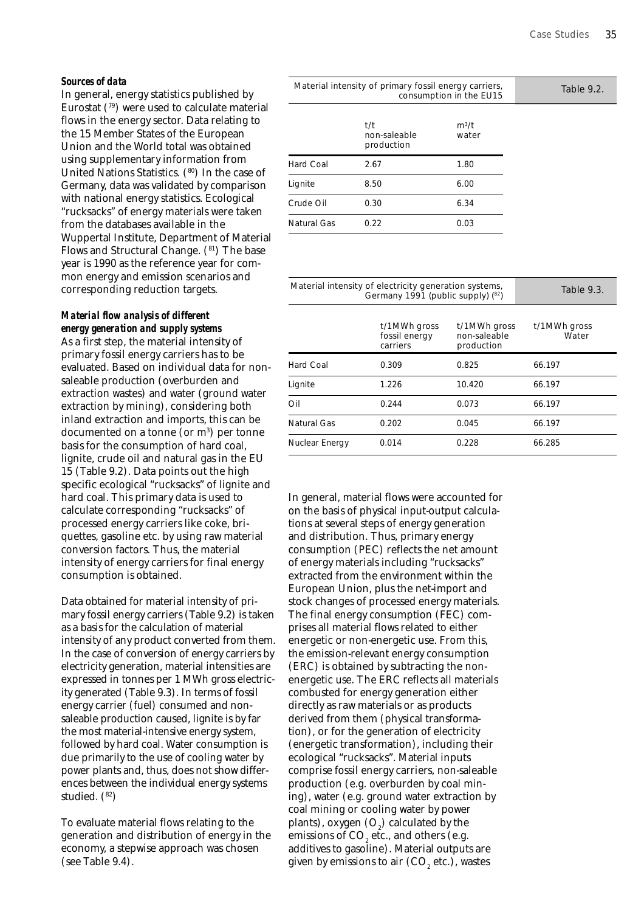#### *Sources of data*

In general, energy statistics published by Eurostat (79) were used to calculate material flows in the energy sector. Data relating to the 15 Member States of the European Union and the World total was obtained using supplementary information from United Nations Statistics. (80) In the case of Germany, data was validated by comparison with national energy statistics. Ecological "rucksacks" of energy materials were taken from the databases available in the Wuppertal Institute, Department of Material Flows and Structural Change. (81) The base year is 1990 as the reference year for common energy and emission scenarios and corresponding reduction targets.

### *Material flow analysis of different energy generation and supply systems*

As a first step, the material intensity of primary fossil energy carriers has to be evaluated. Based on individual data for nonsaleable production (overburden and extraction wastes) and water (ground water extraction by mining), considering both inland extraction and imports, this can be documented on a tonne (or  $m^3$ ) per tonne basis for the consumption of hard coal, lignite, crude oil and natural gas in the EU 15 (Table 9.2). Data points out the high specific ecological "rucksacks" of lignite and hard coal. This primary data is used to calculate corresponding "rucksacks" of processed energy carriers like coke, briquettes, gasoline etc. by using raw material conversion factors. Thus, the material intensity of energy carriers for final energy consumption is obtained.

Data obtained for material intensity of primary fossil energy carriers (Table 9.2) is taken as a basis for the calculation of material intensity of any product converted from them. In the case of conversion of energy carriers by electricity generation, material intensities are expressed in tonnes per 1 MWh gross electricity generated (Table 9.3). In terms of fossil energy carrier (fuel) consumed and nonsaleable production caused, lignite is by far the most material-intensive energy system, followed by hard coal. Water consumption is due primarily to the use of cooling water by power plants and, thus, does not show differences between the individual energy systems studied. (82)

To evaluate material flows relating to the generation and distribution of energy in the economy, a stepwise approach was chosen (see Table 9.4).

| Material intensity of primary fossil energy carriers, | Table 9.2.                        |                  |  |
|-------------------------------------------------------|-----------------------------------|------------------|--|
|                                                       | t/t<br>non-saleable<br>production | $m^3/t$<br>water |  |
| Hard Coal                                             | 2.67                              | 1.80             |  |
| Lignite                                               | 8.50                              | 6.00             |  |
| Crude Oil                                             | 0.30                              | 6.34             |  |
| Natural Gas                                           | 0.22                              | 0.03             |  |
|                                                       |                                   |                  |  |

|                | Material intensity of electricity generation systems,<br>Germany 1991 (public supply) (82) |                                            |                       |  |  |
|----------------|--------------------------------------------------------------------------------------------|--------------------------------------------|-----------------------|--|--|
|                | t/1MWh gross<br>fossil energy<br>carriers                                                  | t/1MWh gross<br>non-saleable<br>production | t/1MWh gross<br>Water |  |  |
| Hard Coal      | 0.309                                                                                      | 0.825                                      | 66.197                |  |  |
| Lignite        | 1.226                                                                                      | 10.420                                     | 66.197                |  |  |
| Oil            | 0.244                                                                                      | 0.073                                      | 66.197                |  |  |
| Natural Gas    | 0.202                                                                                      | 0.045                                      | 66.197                |  |  |
| Nuclear Energy | 0.014                                                                                      | 0.228                                      | 66.285                |  |  |

In general, material flows were accounted for on the basis of physical input-output calculations at several steps of energy generation and distribution. Thus, primary energy consumption (PEC) reflects the net amount of energy materials including "rucksacks" extracted from the environment within the European Union, plus the net-import and stock changes of processed energy materials. The final energy consumption (FEC) comprises all material flows related to either energetic or non-energetic use. From this, the emission-relevant energy consumption (ERC) is obtained by subtracting the nonenergetic use. The ERC reflects all materials combusted for energy generation either directly as raw materials or as products derived from them (physical transformation), or for the generation of electricity (energetic transformation), including their ecological "rucksacks". Material inputs comprise fossil energy carriers, non-saleable production (e.g. overburden by coal mining), water (e.g. ground water extraction by coal mining or cooling water by power plants), oxygen  $(O_{2})$  calculated by the emissions of  $\mathrm{CO}_2$  etc., and others (e.g. additives to gasoline). Material outputs are given by emissions to air  $(\mathrm{CO}_2^{\phantom i}$  etc.), wastes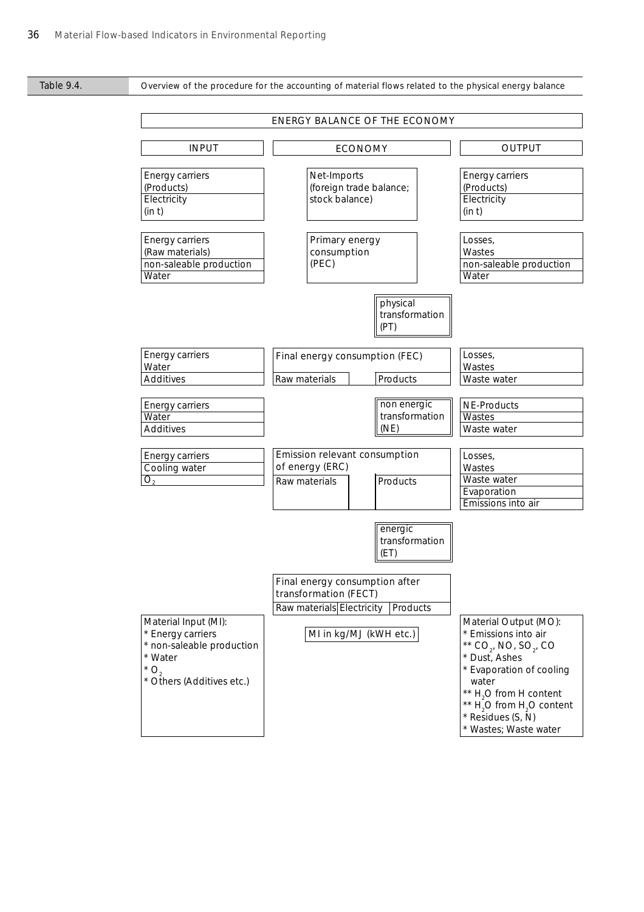Table 9.4. Overview of the procedure for the accounting of material flows related to the physical energy balance

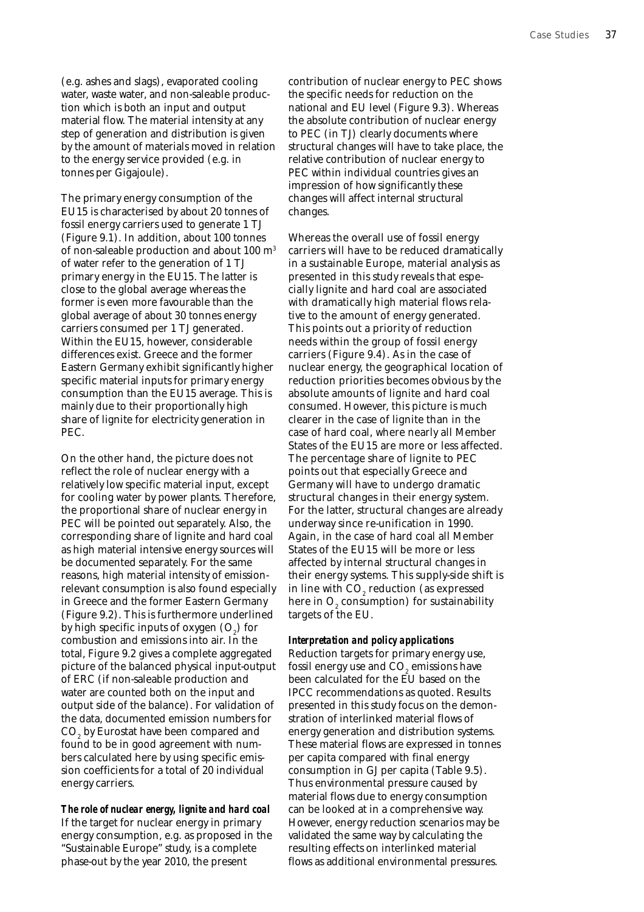(e.g. ashes and slags), evaporated cooling water, waste water, and non-saleable production which is both an input and output material flow. The material intensity at any step of generation and distribution is given by the amount of materials moved in relation to the energy service provided (e.g. in tonnes per Gigajoule).

The primary energy consumption of the EU15 is characterised by about 20 tonnes of fossil energy carriers used to generate 1 TJ (Figure 9.1). In addition, about 100 tonnes of non-saleable production and about 100 m3 of water refer to the generation of 1 TJ primary energy in the EU15. The latter is close to the global average whereas the former is even more favourable than the global average of about 30 tonnes energy carriers consumed per 1 TJ generated. Within the EU15, however, considerable differences exist. Greece and the former Eastern Germany exhibit significantly higher specific material inputs for primary energy consumption than the EU15 average. This is mainly due to their proportionally high share of lignite for electricity generation in PEC.

On the other hand, the picture does not reflect the role of nuclear energy with a relatively low specific material input, except for cooling water by power plants. Therefore, the proportional share of nuclear energy in PEC will be pointed out separately. Also, the corresponding share of lignite and hard coal as high material intensive energy sources will be documented separately. For the same reasons, high material intensity of emissionrelevant consumption is also found especially in Greece and the former Eastern Germany (Figure 9.2). This is furthermore underlined by high specific inputs of oxygen  $(O_2)$  for combustion and emissions into air. In the total, Figure 9.2 gives a complete aggregated picture of the balanced physical input-output of ERC (if non-saleable production and water are counted both on the input and output side of the balance). For validation of the data, documented emission numbers for  $\mathrm{CO}_2$  by Eurostat have been compared and found to be in good agreement with numbers calculated here by using specific emission coefficients for a total of 20 individual energy carriers.

### *The role of nuclear energy, lignite and hard coal*

If the target for nuclear energy in primary energy consumption, e.g. as proposed in the "Sustainable Europe" study, is a complete phase-out by the year 2010, the present

contribution of nuclear energy to PEC shows the specific needs for reduction on the national and EU level (Figure 9.3). Whereas the absolute contribution of nuclear energy to PEC (in TJ) clearly documents where structural changes will have to take place, the relative contribution of nuclear energy to PEC within individual countries gives an impression of how significantly these changes will affect internal structural changes.

Whereas the overall use of fossil energy carriers will have to be reduced dramatically in a sustainable Europe, material analysis as presented in this study reveals that especially lignite and hard coal are associated with dramatically high material flows relative to the amount of energy generated. This points out a priority of reduction needs within the group of fossil energy carriers (Figure 9.4). As in the case of nuclear energy, the geographical location of reduction priorities becomes obvious by the absolute amounts of lignite and hard coal consumed. However, this picture is much clearer in the case of lignite than in the case of hard coal, where nearly all Member States of the EU15 are more or less affected. The percentage share of lignite to PEC points out that especially Greece and Germany will have to undergo dramatic structural changes in their energy system. For the latter, structural changes are already underway since re-unification in 1990. Again, in the case of hard coal all Member States of the EU15 will be more or less affected by internal structural changes in their energy systems. This supply-side shift is in line with  $\mathrm{CO}_2$  reduction (as expressed here in  $\mathrm{O}_2$  consumption) for sustainability targets of the EU.

#### *Interpretation and policy applications*

Reduction targets for primary energy use, fossil energy use and  $\mathrm{CO}_2$  emissions have been calculated for the EU based on the IPCC recommendations as quoted. Results presented in this study focus on the demonstration of interlinked material flows of energy generation and distribution systems. These material flows are expressed in tonnes per capita compared with final energy consumption in GJ per capita (Table 9.5). Thus environmental pressure caused by material flows due to energy consumption can be looked at in a comprehensive way. However, energy reduction scenarios may be validated the same way by calculating the resulting effects on interlinked material flows as additional environmental pressures.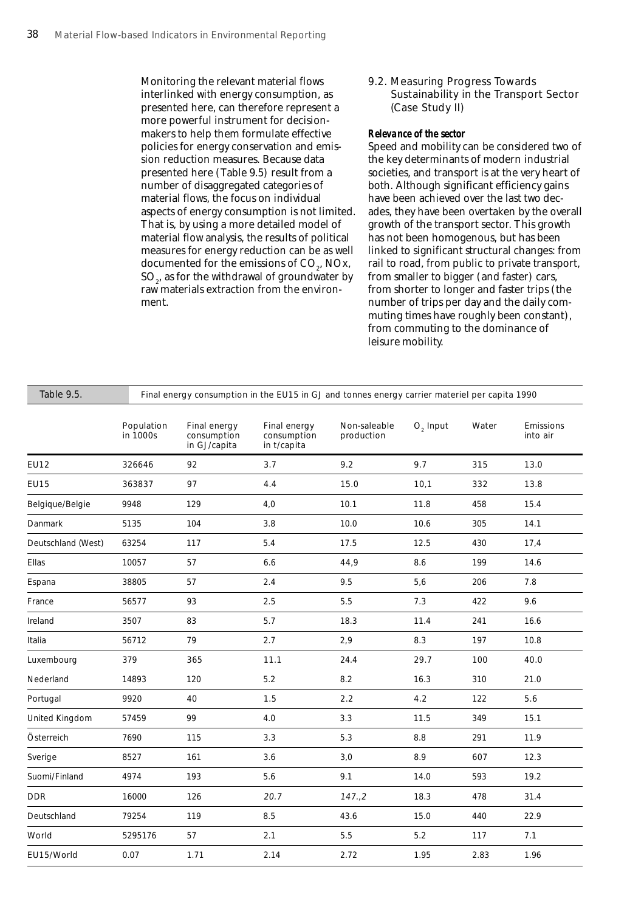Monitoring the relevant material flows interlinked with energy consumption, as presented here, can therefore represent a more powerful instrument for decisionmakers to help them formulate effective policies for energy conservation and emission reduction measures. Because data presented here (Table 9.5) result from a number of disaggregated categories of material flows, the focus on individual aspects of energy consumption is not limited. That is, by using a more detailed model of material flow analysis, the results of political measures for energy reduction can be as well documented for the emissions of CO<sub>2</sub>, NOx, SO $_{\textrm{\tiny{\it 2}}}$ , as for the withdrawal of groundwater by raw materials extraction from the environment.

9.2. Measuring Progress Towards Sustainability in the Transport Sector (Case Study II)

#### *Relevance of the sector*

Speed and mobility can be considered two of the key determinants of modern industrial societies, and transport is at the very heart of both. Although significant efficiency gains have been achieved over the last two decades, they have been overtaken by the overall growth of the transport sector. This growth has not been homogenous, but has been linked to significant structural changes: from rail to road, from public to private transport, from smaller to bigger (and faster) cars, from shorter to longer and faster trips (the number of trips per day and the daily commuting times have roughly been constant), from commuting to the dominance of leisure mobility.

| Table 9.5.         | Final energy consumption in the EU15 in GJ and tonnes energy carrier materiel per capita 1990 |                                             |                                            |                            |            |       |                       |
|--------------------|-----------------------------------------------------------------------------------------------|---------------------------------------------|--------------------------------------------|----------------------------|------------|-------|-----------------------|
|                    | Population<br>in 1000s                                                                        | Final energy<br>consumption<br>in GJ/capita | Final energy<br>consumption<br>in t/capita | Non-saleable<br>production | $O2$ Input | Water | Emissions<br>into air |
| <b>EU12</b>        | 326646                                                                                        | 92                                          | 3.7                                        | 9.2                        | 9.7        | 315   | 13.0                  |
| <b>EU15</b>        | 363837                                                                                        | 97                                          | 4.4                                        | 15.0                       | 10,1       | 332   | 13.8                  |
| Belgique/Belgie    | 9948                                                                                          | 129                                         | 4,0                                        | 10.1                       | 11.8       | 458   | 15.4                  |
| Danmark            | 5135                                                                                          | 104                                         | 3.8                                        | 10.0                       | 10.6       | 305   | 14.1                  |
| Deutschland (West) | 63254                                                                                         | 117                                         | 5.4                                        | 17.5                       | 12.5       | 430   | 17,4                  |
| Ellas              | 10057                                                                                         | 57                                          | 6.6                                        | 44,9                       | 8.6        | 199   | 14.6                  |
| Espana             | 38805                                                                                         | 57                                          | 2.4                                        | 9.5                        | 5,6        | 206   | 7.8                   |
| France             | 56577                                                                                         | 93                                          | 2.5                                        | 5.5                        | 7.3        | 422   | 9.6                   |
| Ireland            | 3507                                                                                          | 83                                          | 5.7                                        | 18.3                       | 11.4       | 241   | 16.6                  |
| Italia             | 56712                                                                                         | 79                                          | 2.7                                        | 2,9                        | 8.3        | 197   | 10.8                  |
| Luxembourg         | 379                                                                                           | 365                                         | 11.1                                       | 24.4                       | 29.7       | 100   | 40.0                  |
| Nederland          | 14893                                                                                         | 120                                         | 5.2                                        | 8.2                        | 16.3       | 310   | 21.0                  |
| Portugal           | 9920                                                                                          | 40                                          | 1.5                                        | 2.2                        | 4.2        | 122   | 5.6                   |
| United Kingdom     | 57459                                                                                         | 99                                          | 4.0                                        | 3.3                        | 11.5       | 349   | 15.1                  |
| Österreich         | 7690                                                                                          | 115                                         | 3.3                                        | 5.3                        | 8.8        | 291   | 11.9                  |
| Sverige            | 8527                                                                                          | 161                                         | 3.6                                        | 3,0                        | 8.9        | 607   | 12.3                  |
| Suomi/Finland      | 4974                                                                                          | 193                                         | 5.6                                        | 9.1                        | 14.0       | 593   | 19.2                  |
| <b>DDR</b>         | 16000                                                                                         | 126                                         | 20.7                                       | 147.2                      | 18.3       | 478   | 31.4                  |
| Deutschland        | 79254                                                                                         | 119                                         | 8.5                                        | 43.6                       | 15.0       | 440   | 22.9                  |
| World              | 5295176                                                                                       | 57                                          | 2.1                                        | 5.5                        | 5.2        | 117   | 7.1                   |
| EU15/World         | 0.07                                                                                          | 1.71                                        | 2.14                                       | 2.72                       | 1.95       | 2.83  | 1.96                  |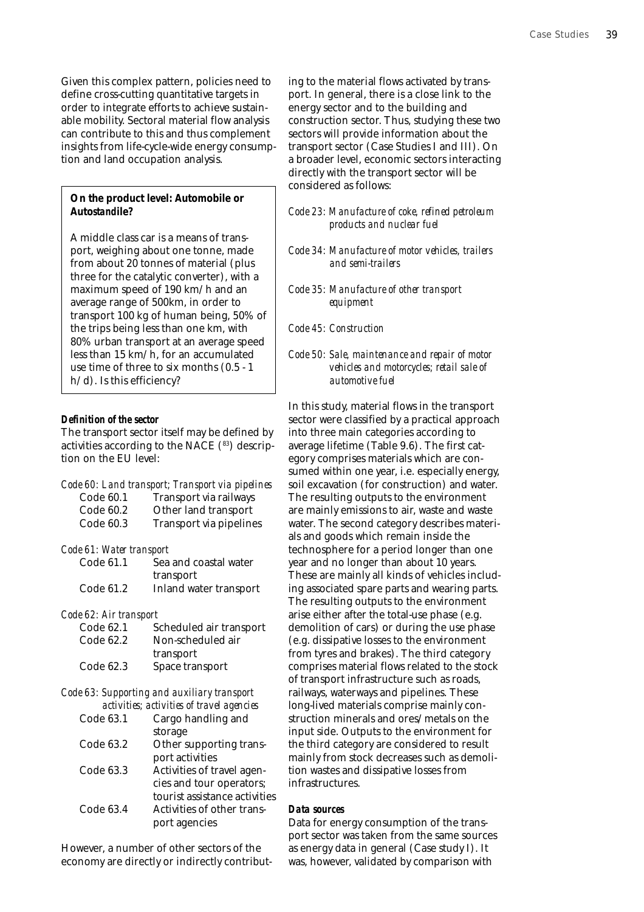Given this complex pattern, policies need to define cross-cutting quantitative targets in order to integrate efforts to achieve sustainable mobility. Sectoral material flow analysis can contribute to this and thus complement insights from life-cycle-wide energy consumption and land occupation analysis.

## **On the product level: Automobile or Auto***stand***ile?**

A middle class car is a means of transport, weighing about one tonne, made from about 20 tonnes of material (plus three for the catalytic converter), with a maximum speed of 190 km/h and an average range of 500km, in order to transport 100 kg of human being, 50% of the trips being less than one km, with 80% urban transport at an average speed less than 15 km/h, for an accumulated use time of three to six months (0.5 - 1 h/d). Is this efficiency?

#### *Definition of the sector*

The transport sector itself may be defined by activities according to the NACE (83) description on the EU level:

|           | Code 60: Land transport; Transport via pipelines |
|-----------|--------------------------------------------------|
| Code 60.1 | Transport via railways                           |
| Code 60.2 | Other land transport                             |
| Code 60.3 | Transport via pipelines                          |

#### *Code 61: Water transport*

| Code 61.1 | Sea and coastal water         |
|-----------|-------------------------------|
|           | transport                     |
| Code 61.2 | <b>Inland water transport</b> |

### *Code 62: Air transport*

| Code 62.1 | Scheduled air transport |
|-----------|-------------------------|
| Code 62.2 | Non-scheduled air       |
|           | transport               |
| Code 62.3 | Space transport         |

*Code 63: Supporting and auxiliary transport activities; activities of travel agencies*

| Cargo handling and            |
|-------------------------------|
| storage                       |
| Other supporting trans-       |
| port activities               |
| Activities of travel agen-    |
| cies and tour operators;      |
| tourist assistance activities |
| Activities of other trans-    |
| port agencies                 |
|                               |

However, a number of other sectors of the economy are directly or indirectly contributing to the material flows activated by transport. In general, there is a close link to the energy sector and to the building and construction sector. Thus, studying these two sectors will provide information about the transport sector (Case Studies I and III). On a broader level, economic sectors interacting directly with the transport sector will be considered as follows:

*Code 23: Manufacture of coke, refined petroleum products and nuclear fuel*

- *Code 34: Manufacture of motor vehicles, trailers and semi-trailers*
- *Code 35: Manufacture of other transport equipment*

*Code 45: Construction*

*Code 50: Sale, maintenance and repair of motor vehicles and motorcycles; retail sale of automotive fuel*

In this study, material flows in the transport sector were classified by a practical approach into three main categories according to average lifetime (Table 9.6). The first category comprises materials which are consumed within one year, i.e. especially energy, soil excavation (for construction) and water. The resulting outputs to the environment are mainly emissions to air, waste and waste water. The second category describes materials and goods which remain inside the technosphere for a period longer than one year and no longer than about 10 years. These are mainly all kinds of vehicles including associated spare parts and wearing parts. The resulting outputs to the environment arise either after the total-use phase (e.g. demolition of cars) or during the use phase (e.g. dissipative losses to the environment from tyres and brakes). The third category comprises material flows related to the stock of transport infrastructure such as roads, railways, waterways and pipelines. These long-lived materials comprise mainly construction minerals and ores/metals on the input side. Outputs to the environment for the third category are considered to result mainly from stock decreases such as demolition wastes and dissipative losses from infrastructures.

#### *Data sources*

Data for energy consumption of the transport sector was taken from the same sources as energy data in general (Case study I). It was, however, validated by comparison with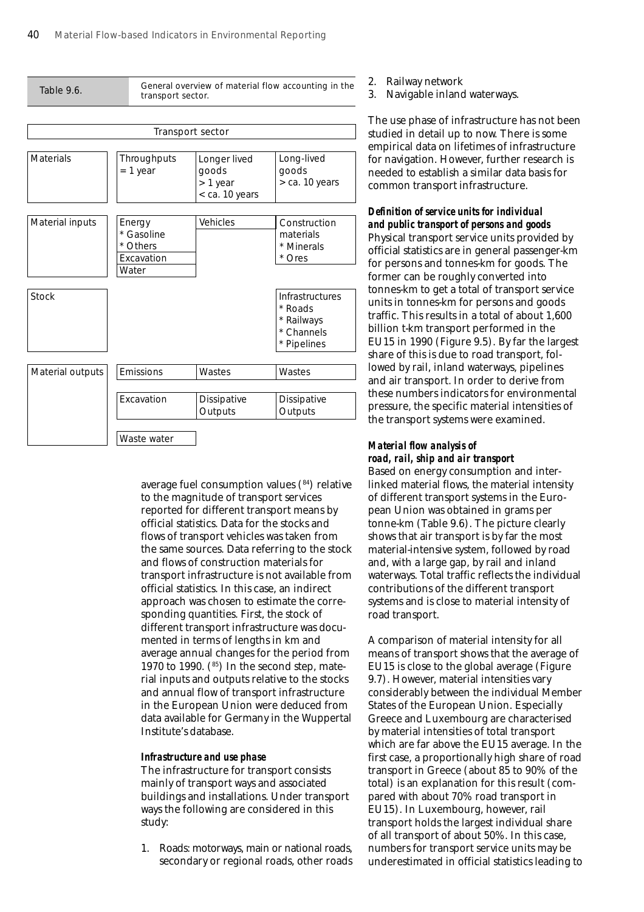

average fuel consumption values (84) relative to the magnitude of transport services reported for different transport means by official statistics. Data for the stocks and flows of transport vehicles was taken from the same sources. Data referring to the stock and flows of construction materials for transport infrastructure is not available from official statistics. In this case, an indirect approach was chosen to estimate the corresponding quantities. First, the stock of different transport infrastructure was documented in terms of lengths in km and average annual changes for the period from 1970 to 1990.  $(^{85})$  In the second step, material inputs and outputs relative to the stocks and annual flow of transport infrastructure in the European Union were deduced from data available for Germany in the Wuppertal Institute's database.

#### *Infrastructure and use phase*

The infrastructure for transport consists mainly of transport ways and associated buildings and installations. Under transport ways the following are considered in this study:

1. Roads: motorways, main or national roads, secondary or regional roads, other roads

- 2. Railway network
- 3. Navigable inland waterways.

The use phase of infrastructure has not been studied in detail up to now. There is some empirical data on lifetimes of infrastructure for navigation. However, further research is needed to establish a similar data basis for common transport infrastructure.

## *Definition of service units for individual*

*and public transport of persons and goods* Physical transport service units provided by official statistics are in general passenger-km for persons and tonnes-km for goods. The former can be roughly converted into tonnes-km to get a total of transport service units in tonnes-km for persons and goods traffic. This results in a total of about 1,600 billion t-km transport performed in the EU15 in 1990 (Figure 9.5). By far the largest share of this is due to road transport, followed by rail, inland waterways, pipelines and air transport. In order to derive from these numbers indicators for environmental pressure, the specific material intensities of the transport systems were examined.

## *Material flow analysis of road, rail, ship and air transport*

Based on energy consumption and interlinked material flows, the material intensity of different transport systems in the European Union was obtained in grams per tonne-km (Table 9.6). The picture clearly shows that air transport is by far the most material-intensive system, followed by road and, with a large gap, by rail and inland waterways. Total traffic reflects the individual contributions of the different transport systems and is close to material intensity of road transport.

A comparison of material intensity for all means of transport shows that the average of EU15 is close to the global average (Figure 9.7). However, material intensities vary considerably between the individual Member States of the European Union. Especially Greece and Luxembourg are characterised by material intensities of total transport which are far above the EU15 average. In the first case, a proportionally high share of road transport in Greece (about 85 to 90% of the total) is an explanation for this result (compared with about 70% road transport in EU15). In Luxembourg, however, rail transport holds the largest individual share of all transport of about 50%. In this case, numbers for transport service units may be underestimated in official statistics leading to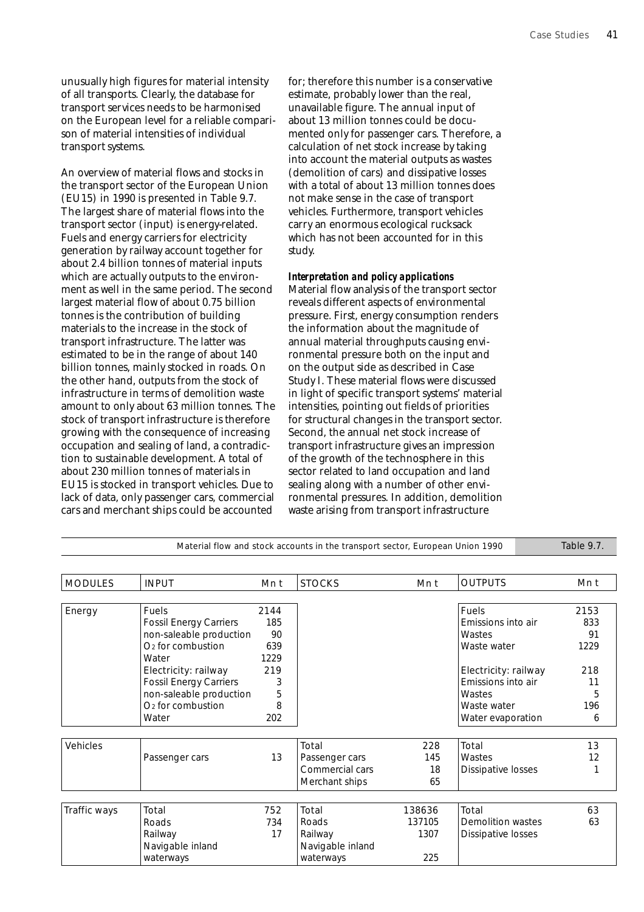unusually high figures for material intensity of all transports. Clearly, the database for transport services needs to be harmonised on the European level for a reliable comparison of material intensities of individual transport systems.

An overview of material flows and stocks in the transport sector of the European Union (EU15) in 1990 is presented in Table 9.7. The largest share of material flows into the transport sector (input) is energy-related. Fuels and energy carriers for electricity generation by railway account together for about 2.4 billion tonnes of material inputs which are actually outputs to the environment as well in the same period. The second largest material flow of about 0.75 billion tonnes is the contribution of building materials to the increase in the stock of transport infrastructure. The latter was estimated to be in the range of about 140 billion tonnes, mainly stocked in roads. On the other hand, outputs from the stock of infrastructure in terms of demolition waste amount to only about 63 million tonnes. The stock of transport infrastructure is therefore growing with the consequence of increasing occupation and sealing of land, a contradiction to sustainable development. A total of about 230 million tonnes of materials in EU15 is stocked in transport vehicles. Due to lack of data, only passenger cars, commercial cars and merchant ships could be accounted

for; therefore this number is a conservative estimate, probably lower than the real, unavailable figure. The annual input of about 13 million tonnes could be documented only for passenger cars. Therefore, a calculation of net stock increase by taking into account the material outputs as wastes (demolition of cars) and dissipative losses with a total of about 13 million tonnes does not make sense in the case of transport vehicles. Furthermore, transport vehicles carry an enormous ecological rucksack which has not been accounted for in this study.

#### *Interpretation and policy applications*

Material flow analysis of the transport sector reveals different aspects of environmental pressure. First, energy consumption renders the information about the magnitude of annual material throughputs causing environmental pressure both on the input and on the output side as described in Case Study I. These material flows were discussed in light of specific transport systems' material intensities, pointing out fields of priorities for structural changes in the transport sector. Second, the annual net stock increase of transport infrastructure gives an impression of the growth of the technosphere in this sector related to land occupation and land sealing along with a number of other environmental pressures. In addition, demolition waste arising from transport infrastructure

Material flow and stock accounts in the transport sector, European Union 1990 Table 9.7. Energy Fuels 2144 Fossil Energy Carriers 185 non-saleable production 90 O<sub>2</sub> for combustion 639 Water 1229 Electricity: railway 219 Fossil Energy Carriers 3<br>non-saleable production 5 non-saleable production 5  $O<sub>2</sub>$  for combustion  $8<sub>8</sub>$ Water 202 Fuels 2153 Emissions into air 833 Wastes 91<br>Waste water 1229 Waste water Electricity: railway 218 Emissions into air <sup>11</sup><br>Wastes 5 Wastes Waste water 196 Water evaporation 6 Vehicles Passenger cars 13 Total 228 Passenger cars 145 Commercial cars 18 Merchant ships 65 Total 13 Wastes 12 Dissipative losses 1  $\text{Traffic ways}$   $\boxed{\text{Total}}$  752 Roads 734 Railway 17 Navigable inland waterways Total 138636 Roads 137105<br>Railway 1307 Railway Navigable inland waterways 225 Total 63 Demolition wastes 63 Dissipative losses MODULES |INPUT Mn t |STOCKS Mn t |OUTPUTS Mn t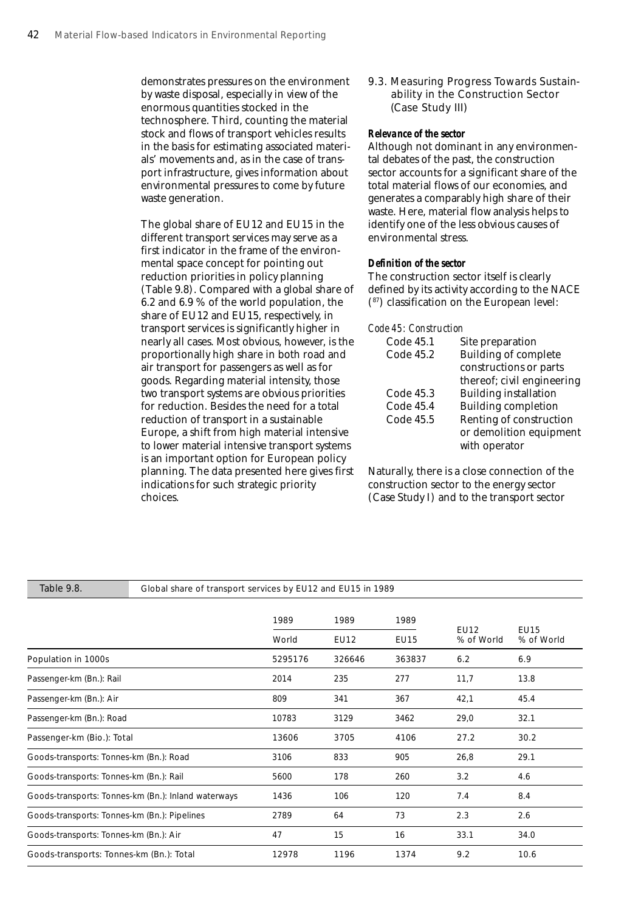demonstrates pressures on the environment by waste disposal, especially in view of the enormous quantities stocked in the technosphere. Third, counting the material stock and flows of transport vehicles results in the basis for estimating associated materials' movements and, as in the case of transport infrastructure, gives information about environmental pressures to come by future waste generation.

The global share of EU12 and EU15 in the different transport services may serve as a first indicator in the frame of the environmental space concept for pointing out reduction priorities in policy planning (Table 9.8). Compared with a global share of 6.2 and 6.9 % of the world population, the share of EU12 and EU15, respectively, in transport services is significantly higher in nearly all cases. Most obvious, however, is the proportionally high share in both road and air transport for passengers as well as for goods. Regarding material intensity, those two transport systems are obvious priorities for reduction. Besides the need for a total reduction of transport in a sustainable Europe, a shift from high material intensive to lower material intensive transport systems is an important option for European policy planning. The data presented here gives first indications for such strategic priority choices.

9.3. Measuring Progress Towards Sustain ability in the Construction Sector (Case Study III)

#### *Relevance of the sector*

Although not dominant in any environmental debates of the past, the construction sector accounts for a significant share of the total material flows of our economies, and generates a comparably high share of their waste. Here, material flow analysis helps to identify one of the less obvious causes of environmental stress.

#### *Definition of the sector*

The construction sector itself is clearly defined by its activity according to the NACE (87) classification on the European level:

| <b>Code 45.1</b> | Site preparation             |
|------------------|------------------------------|
| Code 45.2        | <b>Building of complete</b>  |
|                  | constructions or parts       |
|                  | thereof; civil engineering   |
| Code 45.3        | <b>Building installation</b> |
| <b>Code 45.4</b> | <b>Building completion</b>   |
| <b>Code 45.5</b> | Renting of construction      |
|                  | or demolition equipment      |
|                  | with operator                |

Naturally, there is a close connection of the construction sector to the energy sector (Case Study I) and to the transport sector

## Table 9.8. **Global share of transport services by EU12 and EU15 in 1989**

|                                                     | 1989    | 1989   | 1989        |                    |                           |
|-----------------------------------------------------|---------|--------|-------------|--------------------|---------------------------|
|                                                     | World   | EU12   | <b>EU15</b> | EU12<br>% of World | <b>EU15</b><br>% of World |
| Population in 1000s                                 | 5295176 | 326646 | 363837      | 6.2                | 6.9                       |
| Passenger-km (Bn.): Rail                            | 2014    | 235    | 277         | 11,7               | 13.8                      |
| Passenger-km (Bn.): Air                             | 809     | 341    | 367         | 42,1               | 45.4                      |
| Passenger-km (Bn.): Road                            | 10783   | 3129   | 3462        | 29,0               | 32.1                      |
| Passenger-km (Bio.): Total                          | 13606   | 3705   | 4106        | 27.2               | 30.2                      |
| Goods-transports: Tonnes-km (Bn.): Road             | 3106    | 833    | 905         | 26,8               | 29.1                      |
| Goods-transports: Tonnes-km (Bn.): Rail             | 5600    | 178    | 260         | 3.2                | 4.6                       |
| Goods-transports: Tonnes-km (Bn.): Inland waterways | 1436    | 106    | 120         | 7.4                | 8.4                       |
| Goods-transports: Tonnes-km (Bn.): Pipelines        | 2789    | 64     | 73          | 2.3                | 2.6                       |
| Goods-transports: Tonnes-km (Bn.): Air              | 47      | 15     | 16          | 33.1               | 34.0                      |
| Goods-transports: Tonnes-km (Bn.): Total            | 12978   | 1196   | 1374        | 9.2                | 10.6                      |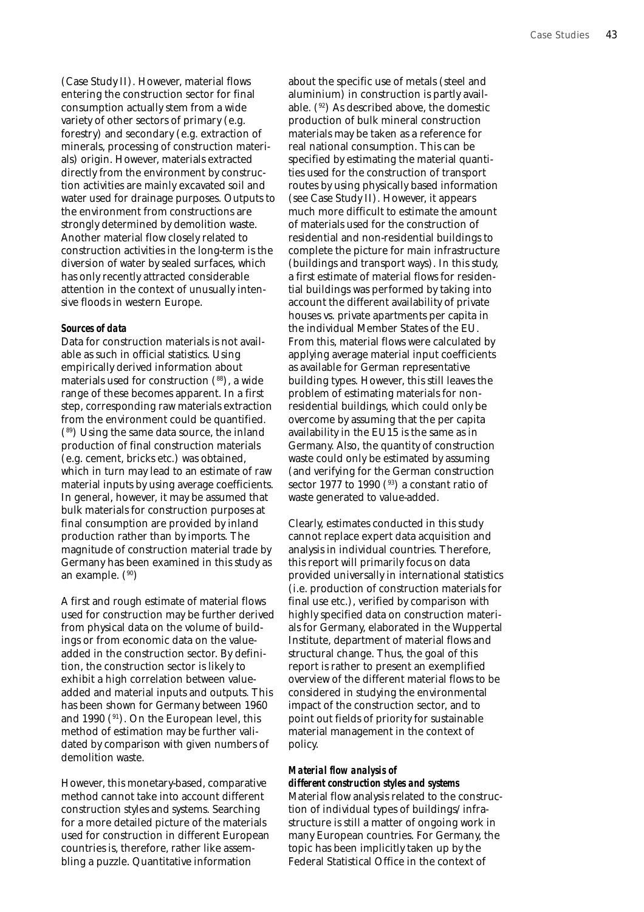(Case Study II). However, material flows entering the construction sector for final consumption actually stem from a wide variety of other sectors of primary (e.g. forestry) and secondary (e.g. extraction of minerals, processing of construction materials) origin. However, materials extracted directly from the environment by construction activities are mainly excavated soil and water used for drainage purposes. Outputs to the environment from constructions are strongly determined by demolition waste. Another material flow closely related to construction activities in the long-term is the diversion of water by sealed surfaces, which has only recently attracted considerable attention in the context of unusually intensive floods in western Europe.

#### *Sources of data*

Data for construction materials is not available as such in official statistics. Using empirically derived information about materials used for construction (88), a wide range of these becomes apparent. In a first step, corresponding raw materials extraction from the environment could be quantified. (89) Using the same data source, the inland production of final construction materials (e.g. cement, bricks etc.) was obtained, which in turn may lead to an estimate of raw material inputs by using average coefficients. In general, however, it may be assumed that bulk materials for construction purposes at final consumption are provided by inland production rather than by imports. The magnitude of construction material trade by Germany has been examined in this study as an example. (90)

A first and rough estimate of material flows used for construction may be further derived from physical data on the volume of buildings or from economic data on the valueadded in the construction sector. By definition, the construction sector is likely to exhibit a high correlation between valueadded and material inputs and outputs. This has been shown for Germany between 1960 and 1990 (91). On the European level, this method of estimation may be further validated by comparison with given numbers of demolition waste.

However, this monetary-based, comparative method cannot take into account different construction styles and systems. Searching for a more detailed picture of the materials used for construction in different European countries is, therefore, rather like assembling a puzzle. Quantitative information

about the specific use of metals (steel and aluminium) in construction is partly available. (92) As described above, the domestic production of bulk mineral construction materials may be taken as a reference for real national consumption. This can be specified by estimating the material quantities used for the construction of transport routes by using physically based information (see Case Study II). However, it appears much more difficult to estimate the amount of materials used for the construction of residential and non-residential buildings to complete the picture for main infrastructure (buildings and transport ways). In this study, a first estimate of material flows for residential buildings was performed by taking into account the different availability of private houses vs. private apartments per capita in the individual Member States of the EU. From this, material flows were calculated by applying average material input coefficients as available for German representative building types. However, this still leaves the problem of estimating materials for nonresidential buildings, which could only be overcome by assuming that the per capita availability in the EU15 is the same as in Germany. Also, the quantity of construction waste could only be estimated by assuming (and verifying for the German construction sector 1977 to 1990  $(93)$  a constant ratio of waste generated to value-added.

Clearly, estimates conducted in this study cannot replace expert data acquisition and analysis in individual countries. Therefore, this report will primarily focus on data provided universally in international statistics (i.e. production of construction materials for final use etc.), verified by comparison with highly specified data on construction materials for Germany, elaborated in the Wuppertal Institute, department of material flows and structural change. Thus, the goal of this report is rather to present an exemplified overview of the different material flows to be considered in studying the environmental impact of the construction sector, and to point out fields of priority for sustainable material management in the context of policy.

### *Material flow analysis of different construction styles and systems*

Material flow analysis related to the construction of individual types of buildings/infrastructure is still a matter of ongoing work in many European countries. For Germany, the topic has been implicitly taken up by the Federal Statistical Office in the context of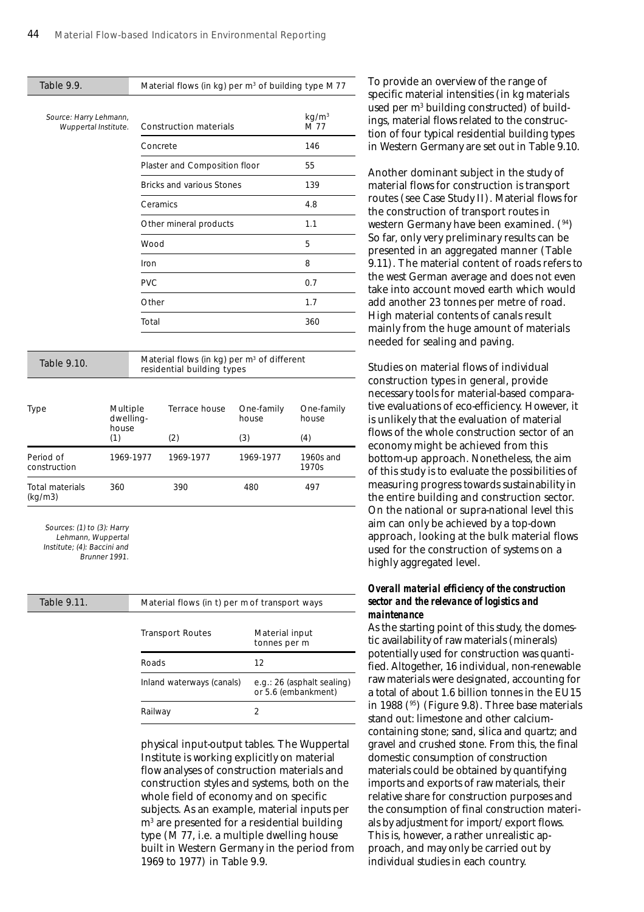| Table 9.9.                                                                                       |              |            | Material flows (in kg) per m <sup>3</sup> of building type M 77                      |                                |                                                   |
|--------------------------------------------------------------------------------------------------|--------------|------------|--------------------------------------------------------------------------------------|--------------------------------|---------------------------------------------------|
| Source: Harry Lehmann,<br>Wuppertal Institute.                                                   |              |            | <b>Construction materials</b>                                                        |                                | kg/m <sup>3</sup><br>M 77                         |
|                                                                                                  |              | Concrete   |                                                                                      |                                | 146                                               |
|                                                                                                  |              |            | Plaster and Composition floor                                                        |                                | 55                                                |
|                                                                                                  |              |            | <b>Bricks and various Stones</b>                                                     |                                | 139                                               |
|                                                                                                  |              | Ceramics   |                                                                                      |                                | 4.8                                               |
|                                                                                                  |              |            | Other mineral products                                                               |                                | 1.1                                               |
|                                                                                                  |              | Wood       |                                                                                      |                                | 5                                                 |
|                                                                                                  |              | Iron       |                                                                                      |                                | 8                                                 |
|                                                                                                  |              | <b>PVC</b> |                                                                                      |                                | 0.7                                               |
|                                                                                                  |              | Other      |                                                                                      |                                | 1.7                                               |
|                                                                                                  |              | Total      |                                                                                      |                                | 360                                               |
|                                                                                                  |              |            |                                                                                      |                                |                                                   |
| Table 9.10.                                                                                      |              |            | Material flows (in kg) per m <sup>3</sup> of different<br>residential building types |                                |                                                   |
|                                                                                                  |              |            |                                                                                      |                                |                                                   |
| Multiple<br><b>Type</b><br>dwelling-                                                             |              |            | Terrace house                                                                        | One-family<br>house            | One-family<br>house                               |
|                                                                                                  | house<br>(1) |            | (2)                                                                                  | (3)                            | (4)                                               |
| Period of<br>construction                                                                        | 1969-1977    |            | 1969-1977                                                                            | 1969-1977                      | 1960s and<br>1970s                                |
| Total materials<br>(kg/m3)                                                                       | 360          |            | 390                                                                                  | 480                            | 497                                               |
| Sources: (1) to (3): Harry<br>Lehmann, Wuppertal<br>Institute; (4): Baccini and<br>Brunner 1991. |              |            |                                                                                      |                                |                                                   |
|                                                                                                  |              |            |                                                                                      |                                |                                                   |
| Table 9.11.                                                                                      |              |            | Material flows (in t) per m of transport ways                                        |                                |                                                   |
|                                                                                                  |              |            | <b>Transport Routes</b>                                                              | Material input<br>tonnes per m |                                                   |
|                                                                                                  |              | Roads      |                                                                                      | 12                             |                                                   |
|                                                                                                  |              |            | Inland waterways (canals)                                                            |                                | e.g.: 26 (asphalt sealing)<br>or 5.6 (embankment) |

physical input-output tables. The Wuppertal Institute is working explicitly on material flow analyses of construction materials and construction styles and systems, both on the whole field of economy and on specific subjects. As an example, material inputs per  ${\rm m}^{\rm 3}$  are presented for a residential building type (M 77, i.e. a multiple dwelling house built in Western Germany in the period from 1969 to 1977) in Table 9.9.

To provide an overview of the range of specific material intensities (in kg materials used per m3 building constructed) of buildings, material flows related to the construction of four typical residential building types in Western Germany are set out in Table 9.10.

Another dominant subject in the study of material flows for construction is transport routes (see Case Study II). Material flows for the construction of transport routes in western Germany have been examined. (94) So far, only very preliminary results can be presented in an aggregated manner (Table 9.11). The material content of roads refers to the west German average and does not even take into account moved earth which would add another 23 tonnes per metre of road. High material contents of canals result mainly from the huge amount of materials needed for sealing and paving.

Studies on material flows of individual construction types in general, provide necessary tools for material-based comparative evaluations of eco-efficiency. However, it is unlikely that the evaluation of material flows of the whole construction sector of an economy might be achieved from this bottom-up approach. Nonetheless, the aim of this study is to evaluate the possibilities of measuring progress towards sustainability in the entire building and construction sector. On the national or supra-national level this aim can only be achieved by a top-down approach, looking at the bulk material flows used for the construction of systems on a highly aggregated level.

### *Overall material efficiency of the construction sector and the relevance of logistics and maintenance*

As the starting point of this study, the domestic availability of raw materials (minerals) potentially used for construction was quantified. Altogether, 16 individual, non-renewable raw materials were designated, accounting for a total of about 1.6 billion tonnes in the EU15 in 1988 (95) (Figure 9.8). Three base materials stand out: limestone and other calciumcontaining stone; sand, silica and quartz; and gravel and crushed stone. From this, the final domestic consumption of construction materials could be obtained by quantifying imports and exports of raw materials, their relative share for construction purposes and the consumption of final construction materials by adjustment for import/export flows. This is, however, a rather unrealistic approach, and may only be carried out by individual studies in each country.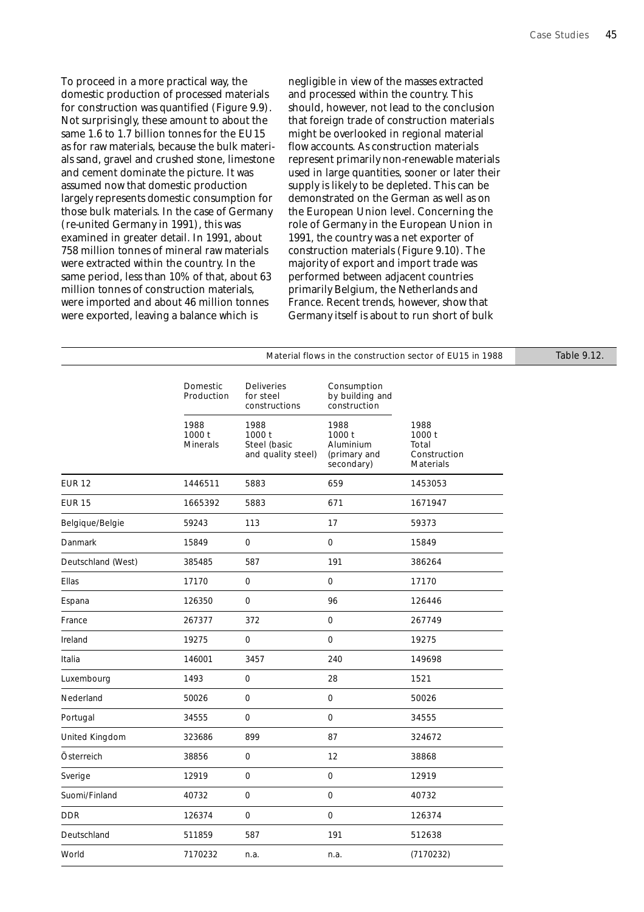To proceed in a more practical way, the domestic production of processed materials for construction was quantified (Figure 9.9). Not surprisingly, these amount to about the same 1.6 to 1.7 billion tonnes for the EU15 as for raw materials, because the bulk materials sand, gravel and crushed stone, limestone and cement dominate the picture. It was assumed now that domestic production largely represents domestic consumption for those bulk materials. In the case of Germany (re-united Germany in 1991), this was examined in greater detail. In 1991, about 758 million tonnes of mineral raw materials were extracted within the country. In the same period, less than 10% of that, about 63 million tonnes of construction materials, were imported and about 46 million tonnes were exported, leaving a balance which is

negligible in view of the masses extracted and processed within the country. This should, however, not lead to the conclusion that foreign trade of construction materials might be overlooked in regional material flow accounts. As construction materials represent primarily non-renewable materials used in large quantities, sooner or later their supply is likely to be depleted. This can be demonstrated on the German as well as on the European Union level. Concerning the role of Germany in the European Union in 1991, the country was a net exporter of construction materials (Figure 9.10). The majority of export and import trade was performed between adjacent countries primarily Belgium, the Netherlands and France. Recent trends, however, show that Germany itself is about to run short of bulk

|                    | Material flows in the construction sector of EU15 in 1988 |                                                      |                                                           |                                                             |  |
|--------------------|-----------------------------------------------------------|------------------------------------------------------|-----------------------------------------------------------|-------------------------------------------------------------|--|
|                    | Domestic<br>Production                                    | <b>Deliveries</b><br>for steel<br>constructions      | Consumption<br>by building and<br>construction            |                                                             |  |
|                    | 1988<br>1000 t<br><b>Minerals</b>                         | 1988<br>1000 t<br>Steel (basic<br>and quality steel) | 1988<br>1000 t<br>Aluminium<br>(primary and<br>secondary) | 1988<br>1000 t<br>Total<br>Construction<br><b>Materials</b> |  |
| <b>EUR 12</b>      | 1446511                                                   | 5883                                                 | 659                                                       | 1453053                                                     |  |
| <b>EUR 15</b>      | 1665392                                                   | 5883                                                 | 671                                                       | 1671947                                                     |  |
| Belgique/Belgie    | 59243                                                     | 113                                                  | 17                                                        | 59373                                                       |  |
| Danmark            | 15849                                                     | $\mathbf 0$                                          | $\mathsf{O}\xspace$                                       | 15849                                                       |  |
| Deutschland (West) | 385485                                                    | 587                                                  | 191                                                       | 386264                                                      |  |
| Ellas              | 17170                                                     | $\mathbf 0$                                          | $\boldsymbol{0}$                                          | 17170                                                       |  |
| Espana             | 126350                                                    | $\mathbf 0$                                          | 96                                                        | 126446                                                      |  |
| France             | 267377                                                    | 372                                                  | $\mathsf{O}\xspace$                                       | 267749                                                      |  |
| Ireland            | 19275                                                     | $\mathbf 0$                                          | $\mathbf 0$                                               | 19275                                                       |  |
| Italia             | 146001                                                    | 3457                                                 | 240                                                       | 149698                                                      |  |
| Luxembourg         | 1493                                                      | 0                                                    | 28                                                        | 1521                                                        |  |
| Nederland          | 50026                                                     | $\mathbf 0$                                          | $\mathbf 0$                                               | 50026                                                       |  |
| Portugal           | 34555                                                     | $\overline{0}$                                       | $\mathbf 0$                                               | 34555                                                       |  |
| United Kingdom     | 323686                                                    | 899                                                  | 87                                                        | 324672                                                      |  |
| Österreich         | 38856                                                     | $\mathbf 0$                                          | 12                                                        | 38868                                                       |  |
| Sverige            | 12919                                                     | $\mathbf 0$                                          | $\boldsymbol{0}$                                          | 12919                                                       |  |
| Suomi/Finland      | 40732                                                     | $\boldsymbol{0}$                                     | $\mathsf{O}\xspace$                                       | 40732                                                       |  |
| <b>DDR</b>         | 126374                                                    | $\boldsymbol{0}$                                     | $\mathsf{O}\xspace$                                       | 126374                                                      |  |
| Deutschland        | 511859                                                    | 587                                                  | 191                                                       | 512638                                                      |  |
| World              | 7170232                                                   | n.a.                                                 | n.a.                                                      | (7170232)                                                   |  |

Table 9.12.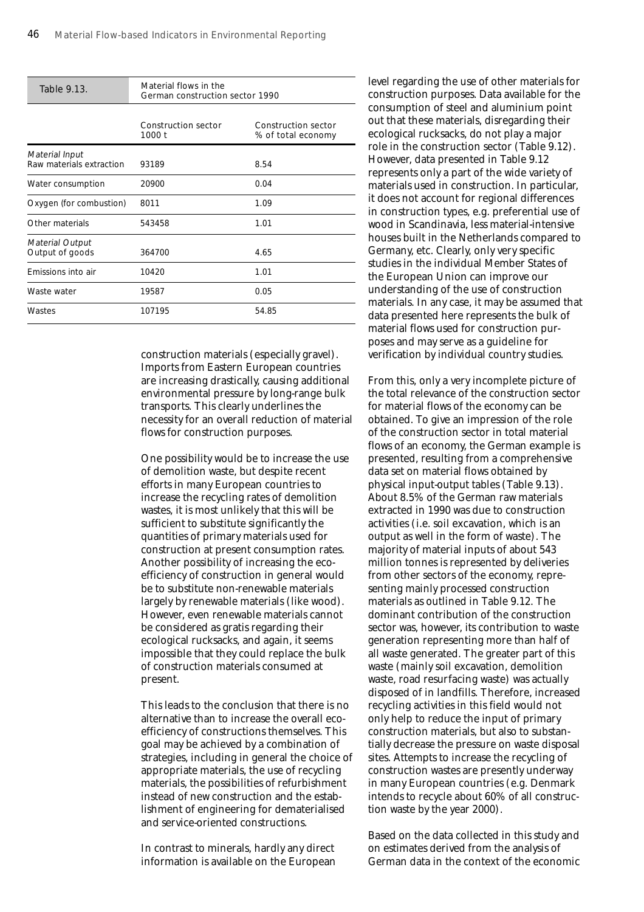| Table 9.13.                                | Material flows in the<br>German construction sector 1990 |                                           |  |  |
|--------------------------------------------|----------------------------------------------------------|-------------------------------------------|--|--|
|                                            | Construction sector<br>1000 t                            | Construction sector<br>% of total economy |  |  |
| Material Input<br>Raw materials extraction | 93189                                                    | 8.54                                      |  |  |
| Water consumption                          | 20900                                                    | 0.04                                      |  |  |
| Oxygen (for combustion)                    | 8011                                                     | 1.09                                      |  |  |
| Other materials                            | 543458                                                   | 1.01                                      |  |  |
| Material Output<br>Output of goods         | 364700                                                   | 4.65                                      |  |  |
| Emissions into air                         | 10420                                                    | 1.01                                      |  |  |
| Waste water                                | 19587                                                    | 0.05                                      |  |  |
| Wastes                                     | 107195                                                   | 54.85                                     |  |  |

construction materials (especially gravel). Imports from Eastern European countries are increasing drastically, causing additional environmental pressure by long-range bulk transports. This clearly underlines the necessity for an overall reduction of material flows for construction purposes.

One possibility would be to increase the use of demolition waste, but despite recent efforts in many European countries to increase the recycling rates of demolition wastes, it is most unlikely that this will be sufficient to substitute significantly the quantities of primary materials used for construction at present consumption rates. Another possibility of increasing the ecoefficiency of construction in general would be to substitute non-renewable materials largely by renewable materials (like wood). However, even renewable materials cannot be considered as gratis regarding their ecological rucksacks, and again, it seems impossible that they could replace the bulk of construction materials consumed at present.

This leads to the conclusion that there is no alternative than to increase the overall ecoefficiency of constructions themselves. This goal may be achieved by a combination of strategies, including in general the choice of appropriate materials, the use of recycling materials, the possibilities of refurbishment instead of new construction and the establishment of engineering for dematerialised and service-oriented constructions.

In contrast to minerals, hardly any direct information is available on the European level regarding the use of other materials for construction purposes. Data available for the consumption of steel and aluminium point out that these materials, disregarding their ecological rucksacks, do not play a major role in the construction sector (Table 9.12). However, data presented in Table 9.12 represents only a part of the wide variety of materials used in construction. In particular, it does not account for regional differences in construction types, e.g. preferential use of wood in Scandinavia, less material-intensive houses built in the Netherlands compared to Germany, etc. Clearly, only very specific studies in the individual Member States of the European Union can improve our understanding of the use of construction materials. In any case, it may be assumed that data presented here represents the bulk of material flows used for construction purposes and may serve as a guideline for verification by individual country studies.

From this, only a very incomplete picture of the total relevance of the construction sector for material flows of the economy can be obtained. To give an impression of the role of the construction sector in total material flows of an economy, the German example is presented, resulting from a comprehensive data set on material flows obtained by physical input-output tables (Table 9.13). About 8.5% of the German raw materials extracted in 1990 was due to construction activities (i.e. soil excavation, which is an output as well in the form of waste). The majority of material inputs of about 543 million tonnes is represented by deliveries from other sectors of the economy, representing mainly processed construction materials as outlined in Table 9.12. The dominant contribution of the construction sector was, however, its contribution to waste generation representing more than half of all waste generated. The greater part of this waste (mainly soil excavation, demolition waste, road resurfacing waste) was actually disposed of in landfills. Therefore, increased recycling activities in this field would not only help to reduce the input of primary construction materials, but also to substantially decrease the pressure on waste disposal sites. Attempts to increase the recycling of construction wastes are presently underway in many European countries (e.g. Denmark intends to recycle about 60% of all construction waste by the year 2000).

Based on the data collected in this study and on estimates derived from the analysis of German data in the context of the economic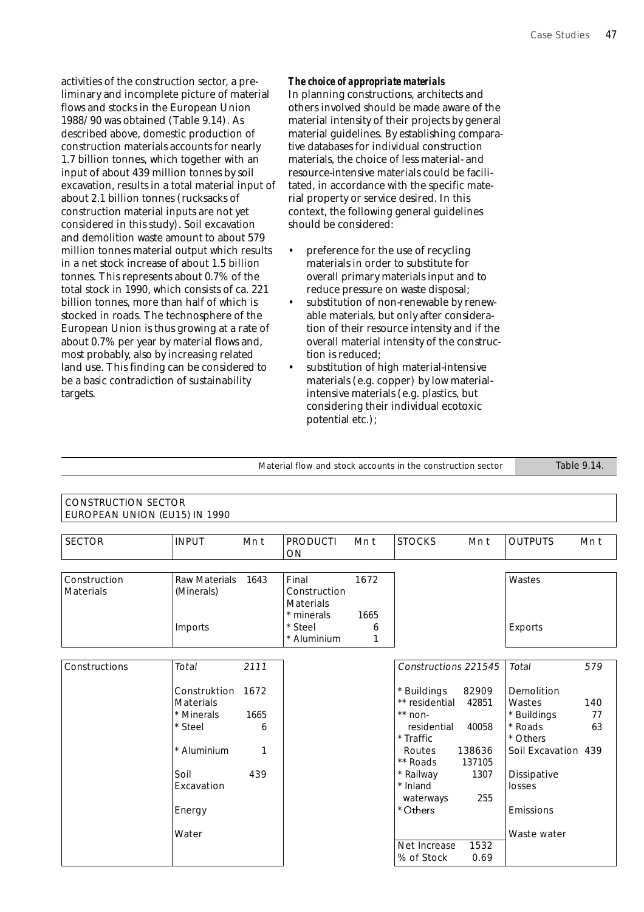activities of the construction sector, a preliminary and incomplete picture of material flows and stocks in the European Union 1988/90 was obtained (Table 9.14). As described above, domestic production of construction materials accounts for nearly 1.7 billion tonnes, which together with an input of about 439 million tonnes by soil excavation, results in a total material input of about 2.1 billion tonnes (rucksacks of construction material inputs are not yet considered in this study). Soil excavation and demolition waste amount to about 579 million tonnes material output which results in a net stock increase of about 1.5 billion tonnes. This represents about 0.7% of the total stock in 1990, which consists of ca. 221 billion tonnes, more than half of which is stocked in roads. The technosphere of the European Union is thus growing at a rate of about 0.7% per year by material flows and, most probably, also by increasing related land use. This finding can be considered to be a basic contradiction of sustainability targets.

## *The choice of appropriate materials*

In planning constructions, architects and others involved should be made aware of the material intensity of their projects by general material guidelines. By establishing comparative databases for individual construction materials, the choice of less material- and resource-intensive materials could be facilitated, in accordance with the specific material property or service desired. In this context, the following general guidelines should be considered:

- preference for the use of recycling materials in order to substitute for overall primary materials input and to reduce pressure on waste disposal;
- substitution of non-renewable by renewable materials, but only after consideration of their resource intensity and if the overall material intensity of the construction is reduced;
- substitution of high material-intensive materials (e.g. copper) by low materialintensive materials (e.g. plastics, but considering their individual ecotoxic potential etc.);

Material flow and stock accounts in the construction sector Table 9.14.

| <b>SECTOR</b>                    | <b>INPUT</b>                | Mn t | <b>PRODUCTI</b><br>ON                     | Mn t | <b>STOCKS</b>              | Mn t             | <b>OUTPUTS</b>      | Mn t |
|----------------------------------|-----------------------------|------|-------------------------------------------|------|----------------------------|------------------|---------------------|------|
| Construction<br><b>Materials</b> | Raw Materials<br>(Minerals) | 1643 | Final<br>Construction<br><b>Materials</b> | 1672 |                            |                  | Wastes              |      |
|                                  |                             |      | * minerals                                | 1665 |                            |                  |                     |      |
|                                  | Imports                     |      | * Steel                                   | 6    |                            |                  | Exports             |      |
|                                  |                             |      | * Aluminium                               | 1    |                            |                  |                     |      |
| Constructions<br>Total           |                             | 2111 |                                           |      | Constructions 221545       |                  | Total               | 579  |
|                                  | Construktion                | 1672 |                                           |      | * Buildings                | 82909            | Demolition          |      |
|                                  | <b>Materials</b>            |      |                                           |      | ** residential             | 42851            | Wastes              | 140  |
|                                  | * Minerals                  | 1665 |                                           |      | $**$ non-                  |                  | * Buildings         | 77   |
|                                  | * Steel                     | 6    |                                           |      | residential                | 40058            | * Roads             | 63   |
|                                  |                             |      |                                           |      | * Traffic                  |                  | * Others            |      |
|                                  | * Aluminium                 | 1    |                                           |      | Routes<br>** Roads         | 138636<br>137105 | Soil Excavation 439 |      |
|                                  | Soil                        | 439  |                                           |      | * Railway                  | 1307             | Dissipative         |      |
|                                  | Excavation                  |      |                                           |      | * Inland                   |                  | losses              |      |
|                                  |                             |      |                                           |      | waterways                  | 255              |                     |      |
|                                  | Energy                      |      |                                           |      | * Others                   |                  | <b>Emissions</b>    |      |
|                                  | Water                       |      |                                           |      |                            |                  | Waste water         |      |
|                                  |                             |      |                                           |      | Net Increase<br>% of Stock | 1532<br>0.69     |                     |      |

### CONSTRUCTION SECTOR EUROPEAN UNION (EU15) IN 1990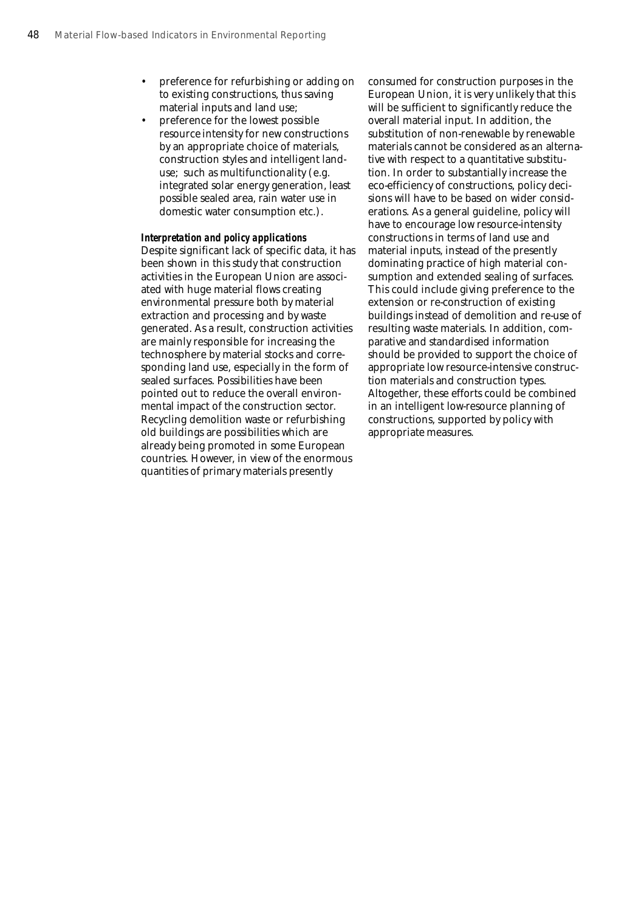- preference for refurbishing or adding on to existing constructions, thus saving material inputs and land use;
- preference for the lowest possible resource intensity for new constructions by an appropriate choice of materials, construction styles and intelligent landuse; such as multifunctionality (e.g. integrated solar energy generation, least possible sealed area, rain water use in domestic water consumption etc.).

### *Interpretation and policy applications*

Despite significant lack of specific data, it has been shown in this study that construction activities in the European Union are associated with huge material flows creating environmental pressure both by material extraction and processing and by waste generated. As a result, construction activities are mainly responsible for increasing the technosphere by material stocks and corresponding land use, especially in the form of sealed surfaces. Possibilities have been pointed out to reduce the overall environmental impact of the construction sector. Recycling demolition waste or refurbishing old buildings are possibilities which are already being promoted in some European countries. However, in view of the enormous quantities of primary materials presently

consumed for construction purposes in the European Union, it is very unlikely that this will be sufficient to significantly reduce the overall material input. In addition, the substitution of non-renewable by renewable materials cannot be considered as an alternative with respect to a quantitative substitution. In order to substantially increase the eco-efficiency of constructions, policy decisions will have to be based on wider considerations. As a general guideline, policy will have to encourage low resource-intensity constructions in terms of land use and material inputs, instead of the presently dominating practice of high material consumption and extended sealing of surfaces. This could include giving preference to the extension or re-construction of existing buildings instead of demolition and re-use of resulting waste materials. In addition, comparative and standardised information should be provided to support the choice of appropriate low resource-intensive construction materials and construction types. Altogether, these efforts could be combined in an intelligent low-resource planning of constructions, supported by policy with appropriate measures.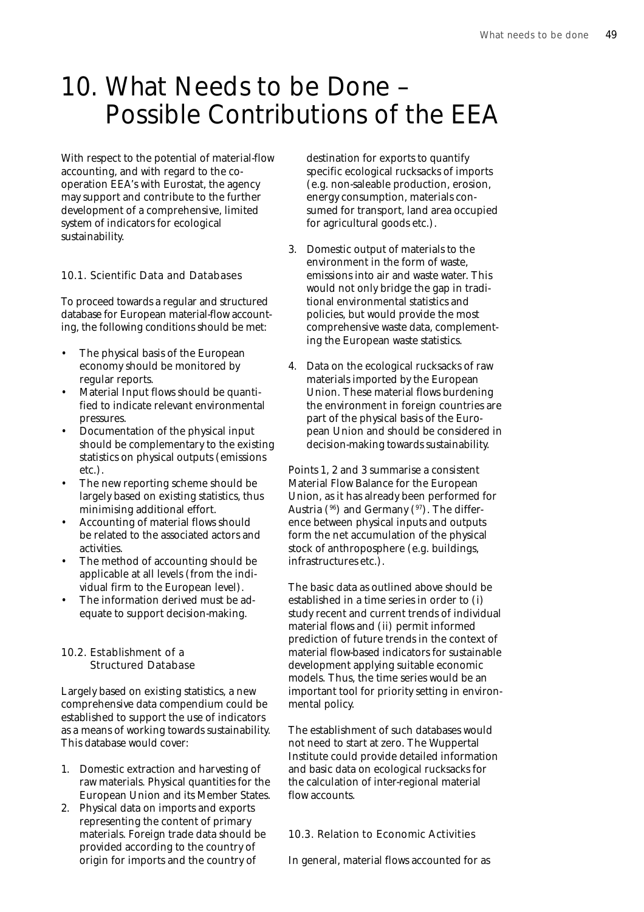## 10. What Needs to be Done – Possible Contributions of the EEA

With respect to the potential of material-flow accounting, and with regard to the cooperation EEA's with Eurostat, the agency may support and contribute to the further development of a comprehensive, limited system of indicators for ecological sustainability.

## 10.1. Scientific Data and Databases

To proceed towards a regular and structured database for European material-flow accounting, the following conditions should be met:

- The physical basis of the European economy should be monitored by regular reports.
- Material Input flows should be quantified to indicate relevant environmental pressures.
- Documentation of the physical input should be complementary to the existing statistics on physical outputs (emissions etc.).
- The new reporting scheme should be largely based on existing statistics, thus minimising additional effort.
- Accounting of material flows should be related to the associated actors and activities.
- The method of accounting should be applicable at all levels (from the individual firm to the European level).
- The information derived must be adequate to support decision-making.

## 10.2. Establishment of a Structured Database

Largely based on existing statistics, a new comprehensive data compendium could be established to support the use of indicators as a means of working towards sustainability. This database would cover:

- 1. Domestic extraction and harvesting of raw materials. Physical quantities for the European Union and its Member States.
- 2. Physical data on imports and exports representing the content of primary materials. Foreign trade data should be provided according to the country of origin for imports and the country of

destination for exports to quantify specific ecological rucksacks of imports (e.g. non-saleable production, erosion, energy consumption, materials consumed for transport, land area occupied for agricultural goods etc.).

- 3. Domestic output of materials to the environment in the form of waste, emissions into air and waste water. This would not only bridge the gap in traditional environmental statistics and policies, but would provide the most comprehensive waste data, complementing the European waste statistics.
- 4. Data on the ecological rucksacks of raw materials imported by the European Union. These material flows burdening the environment in foreign countries are part of the physical basis of the European Union and should be considered in decision-making towards sustainability.

Points 1, 2 and 3 summarise a consistent Material Flow Balance for the European Union, as it has already been performed for Austria ( $96$ ) and Germany ( $97$ ). The difference between physical inputs and outputs form the net accumulation of the physical stock of anthroposphere (e.g. buildings, infrastructures etc.).

The basic data as outlined above should be established in a time series in order to (i) study recent and current trends of individual material flows and (ii) permit informed prediction of future trends in the context of material flow-based indicators for sustainable development applying suitable economic models. Thus, the time series would be an important tool for priority setting in environmental policy.

The establishment of such databases would not need to start at zero. The Wuppertal Institute could provide detailed information and basic data on ecological rucksacks for the calculation of inter-regional material flow accounts.

10.3. Relation to Economic Activities

In general, material flows accounted for as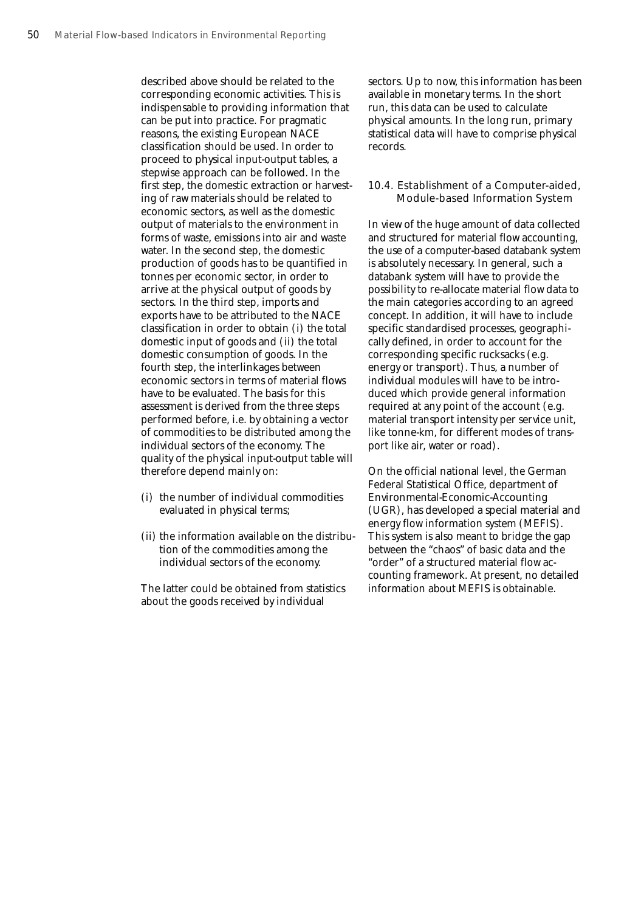described above should be related to the corresponding economic activities. This is indispensable to providing information that can be put into practice. For pragmatic reasons, the existing European NACE classification should be used. In order to proceed to physical input-output tables, a stepwise approach can be followed. In the first step, the domestic extraction or harvesting of raw materials should be related to economic sectors, as well as the domestic output of materials to the environment in forms of waste, emissions into air and waste water. In the second step, the domestic production of goods has to be quantified in tonnes per economic sector, in order to arrive at the physical output of goods by sectors. In the third step, imports and exports have to be attributed to the NACE classification in order to obtain (i) the total domestic input of goods and (ii) the total domestic consumption of goods. In the fourth step, the interlinkages between economic sectors in terms of material flows have to be evaluated. The basis for this assessment is derived from the three steps performed before, i.e. by obtaining a vector of commodities to be distributed among the individual sectors of the economy. The quality of the physical input-output table will therefore depend mainly on:

- (i) the number of individual commodities evaluated in physical terms;
- (ii) the information available on the distribution of the commodities among the individual sectors of the economy.

The latter could be obtained from statistics about the goods received by individual

sectors. Up to now, this information has been available in monetary terms. In the short run, this data can be used to calculate physical amounts. In the long run, primary statistical data will have to comprise physical records.

## 10.4. Establishment of a Computer-aided, Module-based Information System

In view of the huge amount of data collected and structured for material flow accounting, the use of a computer-based databank system is absolutely necessary. In general, such a databank system will have to provide the possibility to re-allocate material flow data to the main categories according to an agreed concept. In addition, it will have to include specific standardised processes, geographically defined, in order to account for the corresponding specific rucksacks (e.g. energy or transport). Thus, a number of individual modules will have to be introduced which provide general information required at any point of the account (e.g. material transport intensity per service unit, like tonne-km, for different modes of transport like air, water or road).

On the official national level, the German Federal Statistical Office, department of Environmental-Economic-Accounting (UGR), has developed a special material and energy flow information system (MEFIS). This system is also meant to bridge the gap between the "chaos" of basic data and the "order" of a structured material flow accounting framework. At present, no detailed information about MEFIS is obtainable.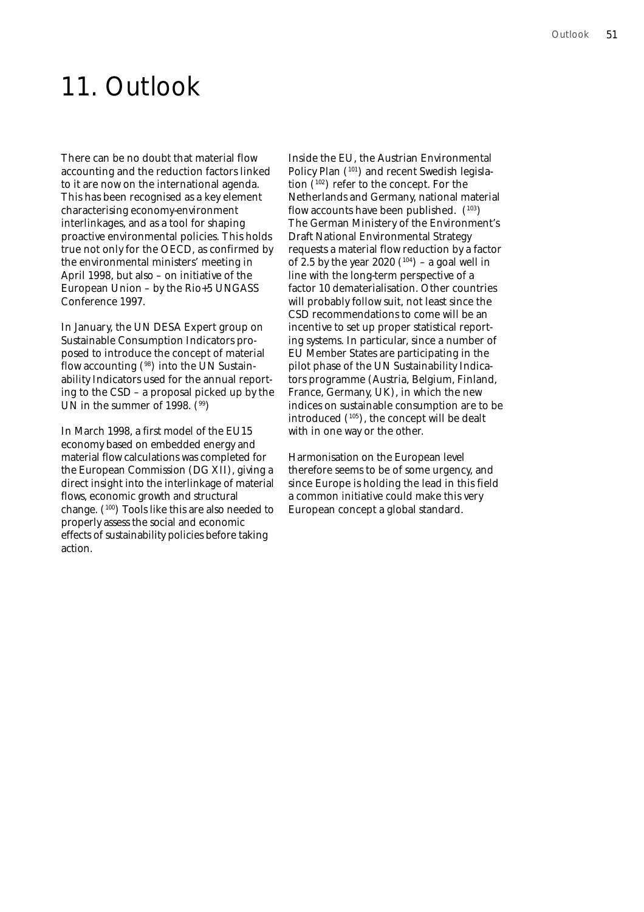## 11. Outlook

There can be no doubt that material flow accounting and the reduction factors linked to it are now on the international agenda. This has been recognised as a key element characterising economy-environment interlinkages, and as a tool for shaping proactive environmental policies. This holds true not only for the OECD, as confirmed by the environmental ministers' meeting in April 1998, but also – on initiative of the European Union – by the Rio+5 UNGASS Conference 1997.

In January, the UN DESA Expert group on Sustainable Consumption Indicators proposed to introduce the concept of material flow accounting  $(98)$  into the UN Sustainability Indicators used for the annual reporting to the CSD – a proposal picked up by the UN in the summer of 1998.  $(99)$ 

In March 1998, a first model of the EU15 economy based on embedded energy and material flow calculations was completed for the European Commission (DG XII), giving a direct insight into the interlinkage of material flows, economic growth and structural change. (100) Tools like this are also needed to properly assess the social and economic effects of sustainability policies before taking action.

Inside the EU, the Austrian Environmental Policy Plan (101) and recent Swedish legislation (102) refer to the concept. For the Netherlands and Germany, national material flow accounts have been published.  $(103)$ The German Ministery of the Environment's Draft National Environmental Strategy requests a material flow reduction by a factor of 2.5 by the year 2020  $(104)$  – a goal well in line with the long-term perspective of a factor 10 dematerialisation. Other countries will probably follow suit, not least since the CSD recommendations to come will be an incentive to set up proper statistical reporting systems. In particular, since a number of EU Member States are participating in the pilot phase of the UN Sustainability Indicators programme (Austria, Belgium, Finland, France, Germany, UK), in which the new indices on sustainable consumption are to be introduced (105), the concept will be dealt with in one way or the other.

Harmonisation on the European level therefore seems to be of some urgency, and since Europe is holding the lead in this field a common initiative could make this very European concept a global standard.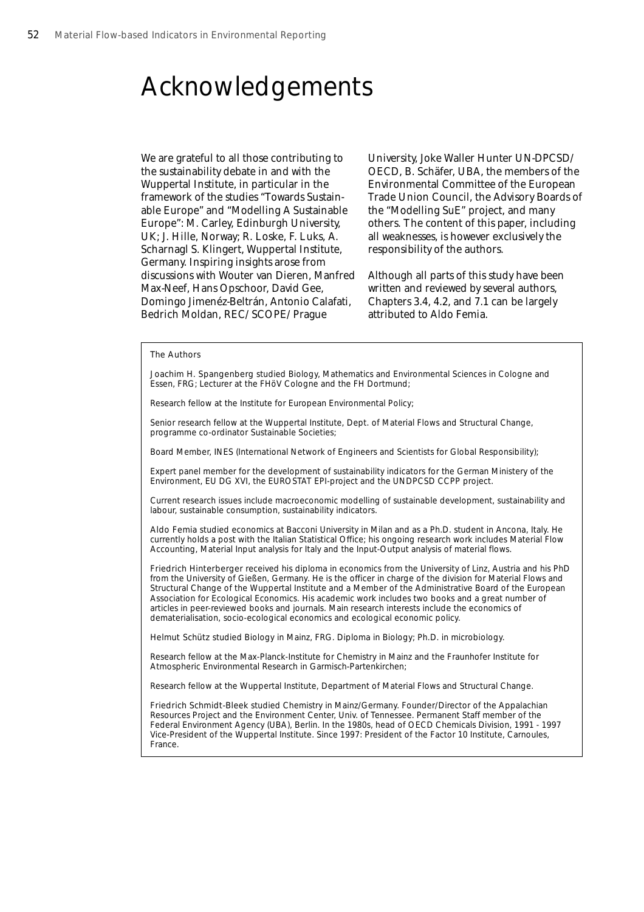## Acknowledgements

We are grateful to all those contributing to the sustainability debate in and with the Wuppertal Institute, in particular in the framework of the studies "Towards Sustainable Europe" and "Modelling A Sustainable Europe": M. Carley, Edinburgh University, UK; J. Hille, Norway; R. Loske, F. Luks, A. Scharnagl S. Klingert, Wuppertal Institute, Germany. Inspiring insights arose from discussions with Wouter van Dieren, Manfred Max-Neef, Hans Opschoor, David Gee, Domingo Jimenéz-Beltrán, Antonio Calafati, Bedrich Moldan, REC/SCOPE/Prague

University, Joke Waller Hunter UN-DPCSD/ OECD, B. Schäfer, UBA, the members of the Environmental Committee of the European Trade Union Council, the Advisory Boards of the "Modelling SuE" project, and many others. The content of this paper, including all weaknesses, is however exclusively the responsibility of the authors.

Although all parts of this study have been written and reviewed by several authors, Chapters 3.4, 4.2, and 7.1 can be largely attributed to Aldo Femia.

#### The Authors

Joachim H. Spangenberg studied Biology, Mathematics and Environmental Sciences in Cologne and Essen, FRG; Lecturer at the FHöV Cologne and the FH Dortmund;

Research fellow at the Institute for European Environmental Policy;

Senior research fellow at the Wuppertal Institute, Dept. of Material Flows and Structural Change, programme co-ordinator Sustainable Societies;

Board Member, INES (International Network of Engineers and Scientists for Global Responsibility);

Expert panel member for the development of sustainability indicators for the German Ministery of the Environment, EU DG XVI, the EUROSTAT EPI-project and the UNDPCSD CCPP project.

Current research issues include macroeconomic modelling of sustainable development, sustainability and labour, sustainable consumption, sustainability indicators.

Aldo Femia studied economics at Bacconi University in Milan and as a Ph.D. student in Ancona, Italy. He currently holds a post with the Italian Statistical Office; his ongoing research work includes Material Flow Accounting, Material Input analysis for Italy and the Input-Output analysis of material flows.

Friedrich Hinterberger received his diploma in economics from the University of Linz, Austria and his PhD from the University of Gießen, Germany. He is the officer in charge of the division for Material Flows and Structural Change of the Wuppertal Institute and a Member of the Administrative Board of the European Association for Ecological Economics. His academic work includes two books and a great number of articles in peer-reviewed books and journals. Main research interests include the economics of dematerialisation, socio-ecological economics and ecological economic policy.

Helmut Schütz studied Biology in Mainz, FRG. Diploma in Biology; Ph.D. in microbiology.

Research fellow at the Max-Planck-Institute for Chemistry in Mainz and the Fraunhofer Institute for Atmospheric Environmental Research in Garmisch-Partenkirchen;

Research fellow at the Wuppertal Institute, Department of Material Flows and Structural Change.

Friedrich Schmidt-Bleek studied Chemistry in Mainz/Germany. Founder/Director of the Appalachian Resources Project and the Environment Center, Univ. of Tennessee. Permanent Staff member of the Federal Environment Agency (UBA), Berlin. In the 1980s, head of OECD Chemicals Division, 1991 - 1997 Vice-President of the Wuppertal Institute. Since 1997: President of the Factor 10 Institute, Carnoules, France.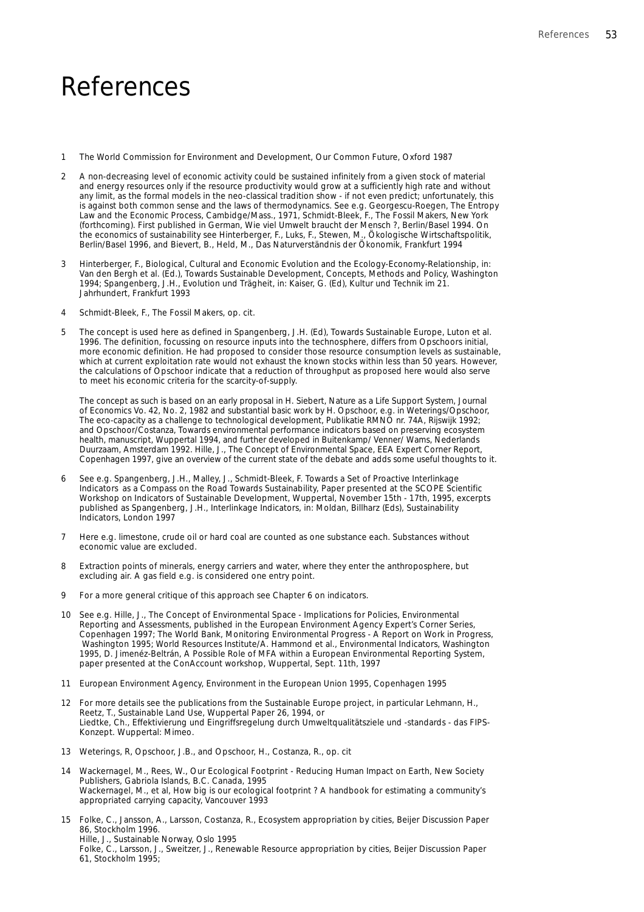## References

- 1 The World Commission for Environment and Development, Our Common Future, Oxford 1987
- 2 A non-decreasing level of economic activity could be sustained infinitely from a given stock of material and energy resources only if the resource productivity would grow at a sufficiently high rate and without any limit, as the formal models in the neo-classical tradition show - if not even predict; unfortunately, this is against both common sense and the laws of thermodynamics. See e.g. Georgescu-Roegen, The Entropy Law and the Economic Process, Cambidge/Mass., 1971, Schmidt-Bleek, F., The Fossil Makers, New York (forthcoming). First published in German, Wie viel Umwelt braucht der Mensch ?, Berlin/Basel 1994. On the economics of sustainability see Hinterberger, F., Luks, F., Stewen, M., Ökologische Wirtschaftspolitik, Berlin/Basel 1996, and Bievert, B., Held, M., Das Naturverständnis der Ökonomik, Frankfurt 1994
- Hinterberger, F., Biological, Cultural and Economic Evolution and the Ecology-Economy-Relationship, in: Van den Bergh et al. (Ed.), Towards Sustainable Development, Concepts, Methods and Policy, Washington 1994; Spangenberg, J.H., Evolution und Trägheit, in: Kaiser, G. (Ed), Kultur und Technik im 21. Jahrhundert, Frankfurt 1993
- 4 Schmidt-Bleek, F., The Fossil Makers, op. cit.
- 5 The concept is used here as defined in Spangenberg, J.H. (Ed), Towards Sustainable Europe, Luton et al. 1996. The definition, focussing on resource inputs into the technosphere, differs from Opschoors initial, more economic definition. He had proposed to consider those resource consumption levels as sustainable, which at current exploitation rate would not exhaust the known stocks within less than 50 years. However, the calculations of Opschoor indicate that a reduction of throughput as proposed here would also serve to meet his economic criteria for the scarcity-of-supply.

The concept as such is based on an early proposal in H. Siebert, Nature as a Life Support System, Journal of Economics Vo. 42, No. 2, 1982 and substantial basic work by H. Opschoor, e.g. in Weterings/Opschoor, The eco-capacity as a challenge to technological development, Publikatie RMNO nr. 74A, Rijswijk 1992; and Opschoor/Costanza, Towards environmental performance indicators based on preserving ecosystem health, manuscript, Wuppertal 1994, and further developed in Buitenkamp/ Venner/ Wams, Nederlands Duurzaam, Amsterdam 1992. Hille, J., The Concept of Environmental Space, EEA Expert Corner Report, Copenhagen 1997, give an overview of the current state of the debate and adds some useful thoughts to it.

- 6 See e.g. Spangenberg, J.H., Malley, J., Schmidt-Bleek, F. Towards a Set of Proactive Interlinkage Indicators as a Compass on the Road Towards Sustainability, Paper presented at the SCOPE Scientific Workshop on Indicators of Sustainable Development, Wuppertal, November 15th - 17th, 1995, excerpts published as Spangenberg, J.H., Interlinkage Indicators, in: Moldan, Billharz (Eds), Sustainability Indicators, London 1997
- 7 Here e.g. limestone, crude oil or hard coal are counted as one substance each. Substances without economic value are excluded.
- 8 Extraction points of minerals, energy carriers and water, where they enter the anthroposphere, but excluding air. A gas field e.g. is considered one entry point.
- 9 For a more general critique of this approach see Chapter 6 on indicators.
- 10 See e.g. Hille, J., The Concept of Environmental Space Implications for Policies, Environmental Reporting and Assessments, published in the European Environment Agency Expert's Corner Series, Copenhagen 1997; The World Bank, Monitoring Environmental Progress - A Report on Work in Progress, Washington 1995; World Resources Institute/A. Hammond et al., Environmental Indicators, Washington 1995, D. Jimenéz-Beltrán, A Possible Role of MFA within a European Environmental Reporting System, paper presented at the ConAccount workshop, Wuppertal, Sept. 11th, 1997
- 11 European Environment Agency, Environment in the European Union 1995, Copenhagen 1995
- 12 For more details see the publications from the Sustainable Europe project, in particular Lehmann, H., Reetz, T., Sustainable Land Use, Wuppertal Paper 26, 1994, or Liedtke, Ch., Effektivierung und Eingriffsregelung durch Umweltqualitätsziele und -standards - das FIPS-Konzept. Wuppertal: Mimeo.
- 13 Weterings, R, Opschoor, J.B., and Opschoor, H., Costanza, R., op. cit
- 14 Wackernagel, M., Rees, W., Our Ecological Footprint Reducing Human Impact on Earth, New Society Publishers, Gabriola Islands, B.C. Canada, 1995 Wackernagel, M., et al, How big is our ecological footprint ? A handbook for estimating a community's appropriated carrying capacity, Vancouver 1993
- 15 Folke, C., Jansson, A., Larsson, Costanza, R., Ecosystem appropriation by cities, Beijer Discussion Paper 86, Stockholm 1996. Hille, J., Sustainable Norway, Oslo 1995 Folke, C., Larsson, J., Sweitzer, J., Renewable Resource appropriation by cities, Beijer Discussion Paper 61, Stockholm 1995;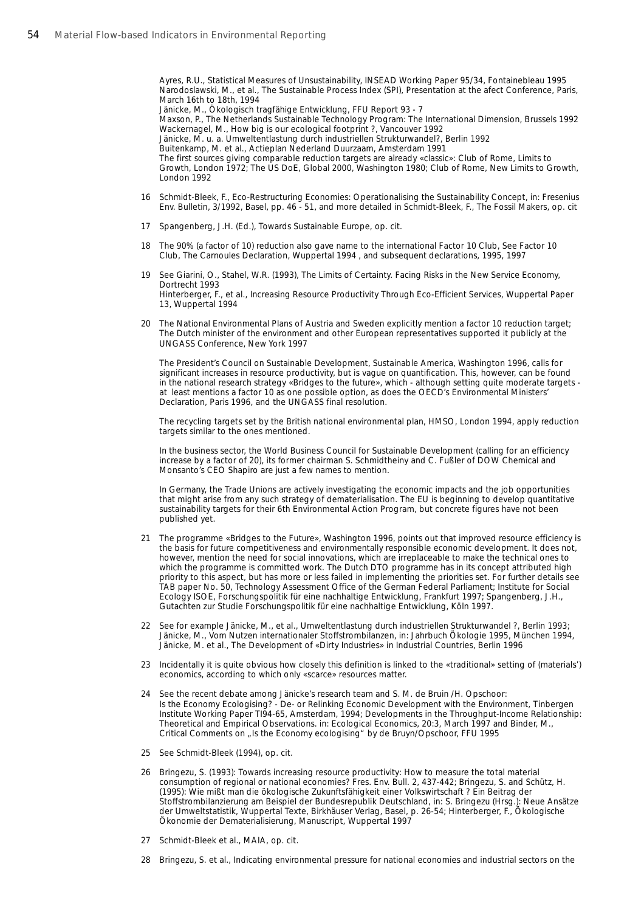Ayres, R.U., Statistical Measures of Unsustainability, INSEAD Working Paper 95/34, Fontainebleau 1995 Narodoslawski, M., et al., The Sustainable Process Index (SPI), Presentation at the afect Conference, Paris, March 16th to 18th, 1994

Jänicke, M., Ökologisch tragfähige Entwicklung, FFU Report 93 - 7

Maxson, P., The Netherlands Sustainable Technology Program: The International Dimension, Brussels 1992 Wackernagel, M., How big is our ecological footprint ?, Vancouver 1992

Jänicke, M. u. a. Umweltentlastung durch industriellen Strukturwandel?, Berlin 1992

Buitenkamp, M. et al., Actieplan Nederland Duurzaam, Amsterdam 1991

The first sources giving comparable reduction targets are already «classic»: Club of Rome, Limits to Growth, London 1972; The US DoE, Global 2000, Washington 1980; Club of Rome, New Limits to Growth, London 1992

- 16 Schmidt-Bleek, F., Eco-Restructuring Economies: Operationalising the Sustainability Concept, in: Fresenius Env. Bulletin, 3/1992, Basel, pp. 46 - 51, and more detailed in Schmidt-Bleek, F., The Fossil Makers, op. cit
- 17 Spangenberg, J.H. (Ed.), Towards Sustainable Europe, op. cit.
- 18 The 90% (a factor of 10) reduction also gave name to the international Factor 10 Club, See Factor 10 Club, The Carnoules Declaration, Wuppertal 1994 , and subsequent declarations, 1995, 1997
- 19 See Giarini, O., Stahel, W.R. (1993), The Limits of Certainty. Facing Risks in the New Service Economy, Dortrecht 1993 Hinterberger, F., et al., Increasing Resource Productivity Through Eco-Efficient Services, Wuppertal Paper 13, Wuppertal 1994
- 20 The National Environmental Plans of Austria and Sweden explicitly mention a factor 10 reduction target; The Dutch minister of the environment and other European representatives supported it publicly at the UNGASS Conference, New York 1997

The President's Council on Sustainable Development, Sustainable America, Washington 1996, calls for significant increases in resource productivity, but is vague on quantification. This, however, can be found in the national research strategy «Bridges to the future», which - although setting quite moderate targets at least mentions a factor 10 as one possible option, as does the OECD's Environmental Ministers' Declaration, Paris 1996, and the UNGASS final resolution.

The recycling targets set by the British national environmental plan, HMSO, London 1994, apply reduction targets similar to the ones mentioned.

In the business sector, the World Business Council for Sustainable Development (calling for an efficiency increase by a factor of 20), its former chairman S. Schmidtheiny and C. Fußler of DOW Chemical and Monsanto's CEO Shapiro are just a few names to mention.

In Germany, the Trade Unions are actively investigating the economic impacts and the job opportunities that might arise from any such strategy of dematerialisation. The EU is beginning to develop quantitative sustainability targets for their 6th Environmental Action Program, but concrete figures have not been published yet.

- 21 The programme «Bridges to the Future», Washington 1996, points out that improved resource efficiency is the basis for future competitiveness and environmentally responsible economic development. It does not, however, mention the need for social innovations, which are irreplaceable to make the technical ones to which the programme is committed work. The Dutch DTO programme has in its concept attributed high priority to this aspect, but has more or less failed in implementing the priorities set. For further details see TAB paper No. 50, Technology Assessment Office of the German Federal Parliament; Institute for Social Ecology ISOE, Forschungspolitik für eine nachhaltige Entwicklung, Frankfurt 1997; Spangenberg, J.H., Gutachten zur Studie Forschungspolitik für eine nachhaltige Entwicklung, Köln 1997.
- 22 See for example Jänicke, M., et al., Umweltentlastung durch industriellen Strukturwandel ?, Berlin 1993; Jänicke, M., Vom Nutzen internationaler Stoffstrombilanzen, in: Jahrbuch Ökologie 1995, München 1994, Jänicke, M. et al., The Development of «Dirty Industries» in Industrial Countries, Berlin 1996
- 23 Incidentally it is quite obvious how closely this definition is linked to the «traditional» setting of (materials') economics, according to which only «scarce» resources matter.
- 24 See the recent debate among Jänicke's research team and S. M. de Bruin /H. Opschoor: Is the Economy Ecologising? - De- or Relinking Economic Development with the Environment, Tinbergen Institute Working Paper TI94-65, Amsterdam, 1994; Developments in the Throughput-Income Relationship: Theoretical and Empirical Observations. in: Ecological Economics, 20:3, March 1997 and Binder, M., Critical Comments on "Is the Economy ecologising" by de Bruyn/Opschoor, FFU 1995
- 25 See Schmidt-Bleek (1994), op. cit.
- 26 Bringezu, S. (1993): Towards increasing resource productivity: How to measure the total material consumption of regional or national economies? Fres. Env. Bull. 2, 437-442; Bringezu, S. and Schütz, H. (1995): Wie mißt man die ökologische Zukunftsfähigkeit einer Volkswirtschaft ? Ein Beitrag der Stoffstrombilanzierung am Beispiel der Bundesrepublik Deutschland, in: S. Bringezu (Hrsg.): Neue Ansätze der Umweltstatistik, Wuppertal Texte, Birkhäuser Verlag, Basel, p. 26-54; Hinterberger, F., Ökologische Ökonomie der Dematerialisierung, Manuscript, Wuppertal 1997
- 27 Schmidt-Bleek et al., MAIA, op. cit.
- 28 Bringezu, S. et al., Indicating environmental pressure for national economies and industrial sectors on the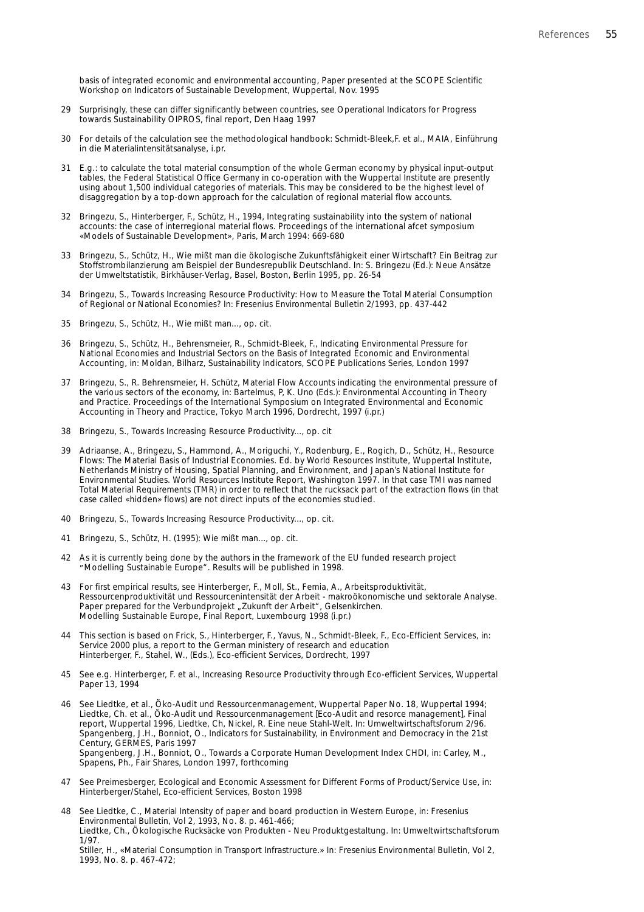basis of integrated economic and environmental accounting, Paper presented at the SCOPE Scientific Workshop on Indicators of Sustainable Development, Wuppertal, Nov. 1995

- 29 Surprisingly, these can differ significantly between countries, see Operational Indicators for Progress towards Sustainability OIPROS, final report, Den Haag 1997
- 30 For details of the calculation see the methodological handbook: Schmidt-Bleek,F. et al., MAIA, Einführung in die Materialintensitätsanalyse, i.pr.
- 31 E.g.: to calculate the total material consumption of the whole German economy by physical input-output tables, the Federal Statistical Office Germany in co-operation with the Wuppertal Institute are presently using about 1,500 individual categories of materials. This may be considered to be the highest level of disaggregation by a top-down approach for the calculation of regional material flow accounts.
- 32 Bringezu, S., Hinterberger, F., Schütz, H., 1994, Integrating sustainability into the system of national accounts: the case of interregional material flows. Proceedings of the international afcet symposium «Models of Sustainable Development», Paris, March 1994: 669-680
- 33 Bringezu, S., Schütz, H., Wie mißt man die ökologische Zukunftsfähigkeit einer Wirtschaft? Ein Beitrag zur Stoffstrombilanzierung am Beispiel der Bundesrepublik Deutschland. In: S. Bringezu (Ed.): Neue Ansätze der Umweltstatistik, Birkhäuser-Verlag, Basel, Boston, Berlin 1995, pp. 26-54
- 34 Bringezu, S., Towards Increasing Resource Productivity: How to Measure the Total Material Consumption of Regional or National Economies? In: Fresenius Environmental Bulletin 2/1993, pp. 437-442
- 35 Bringezu, S., Schütz, H., Wie mißt man..., op. cit.
- 36 Bringezu, S., Schütz, H., Behrensmeier, R., Schmidt-Bleek, F., Indicating Environmental Pressure for National Economies and Industrial Sectors on the Basis of Integrated Economic and Environmental Accounting, in: Moldan, Bilharz, Sustainability Indicators, SCOPE Publications Series, London 1997
- 37 Bringezu, S., R. Behrensmeier, H. Schütz, Material Flow Accounts indicating the environmental pressure of the various sectors of the economy, in: Bartelmus, P, K. Uno (Eds.): Environmental Accounting in Theory and Practice. Proceedings of the International Symposium on Integrated Environmental and Economic Accounting in Theory and Practice, Tokyo March 1996, Dordrecht, 1997 (i.pr.)
- 38 Bringezu, S., Towards Increasing Resource Productivity..., op. cit
- 39 Adriaanse, A., Bringezu, S., Hammond, A., Moriguchi, Y., Rodenburg, E., Rogich, D., Schütz, H., Resource Flows: The Material Basis of Industrial Economies. Ed. by World Resources Institute, Wuppertal Institute, Netherlands Ministry of Housing, Spatial Planning, and Environment, and Japan's National Institute for Environmental Studies. World Resources Institute Report, Washington 1997. In that case TMI was named Total Material Requirements (TMR) in order to reflect that the rucksack part of the extraction flows (in that case called «hidden» flows) are not direct inputs of the economies studied.
- 40 Bringezu, S., Towards Increasing Resource Productivity..., op. cit.
- 41 Bringezu, S., Schütz, H. (1995): Wie mißt man..., op. cit.
- 42 As it is currently being done by the authors in the framework of the EU funded research project "Modelling Sustainable Europe". Results will be published in 1998.
- 43 For first empirical results, see Hinterberger, F., Moll, St., Femia, A., Arbeitsproduktivität, Ressourcenproduktivität und Ressourcenintensität der Arbeit - makroökonomische und sektorale Analyse. Paper prepared for the Verbundprojekt "Zukunft der Arbeit", Gelsenkirchen. Modelling Sustainable Europe, Final Report, Luxembourg 1998 (i.pr.)
- 44 This section is based on Frick, S., Hinterberger, F., Yavus, N., Schmidt-Bleek, F., Eco-Efficient Services, in: Service 2000 plus, a report to the German ministery of research and education Hinterberger, F., Stahel, W., (Eds.), Eco-efficient Services, Dordrecht, 1997
- 45 See e.g. Hinterberger, F. et al., Increasing Resource Productivity through Eco-efficient Services, Wuppertal Paper 13, 1994
- 46 See Liedtke, et al., Öko-Audit und Ressourcenmanagement, Wuppertal Paper No. 18, Wuppertal 1994; Liedtke, Ch. et al., Öko-Audit und Ressourcenmanagement [Eco-Audit and resorce management], Final report, Wuppertal 1996, Liedtke, Ch, Nickel, R. Eine neue Stahl-Welt. In: Umweltwirtschaftsforum 2/96. Spangenberg, J.H., Bonniot, O., Indicators for Sustainability, in Environment and Democracy in the 21st Century, GERMES, Paris 1997 Spangenberg, J.H., Bonniot, O., Towards a Corporate Human Development Index CHDI, in: Carley, M., Spapens, Ph., Fair Shares, London 1997, forthcoming
- 47 See Preimesberger, Ecological and Economic Assessment for Different Forms of Product/Service Use, in: Hinterberger/Stahel, Eco-efficient Services, Boston 1998
- See Liedtke, C., Material Intensity of paper and board production in Western Europe, in: Fresenius Environmental Bulletin, Vol 2, 1993, No. 8. p. 461-466; Liedtke, Ch., Ökologische Rucksäcke von Produkten - Neu Produktgestaltung. In: Umweltwirtschaftsforum 1/97. Stiller, H., «Material Consumption in Transport Infrastructure.» In: Fresenius Environmental Bulletin, Vol 2, 1993, No. 8. p. 467-472;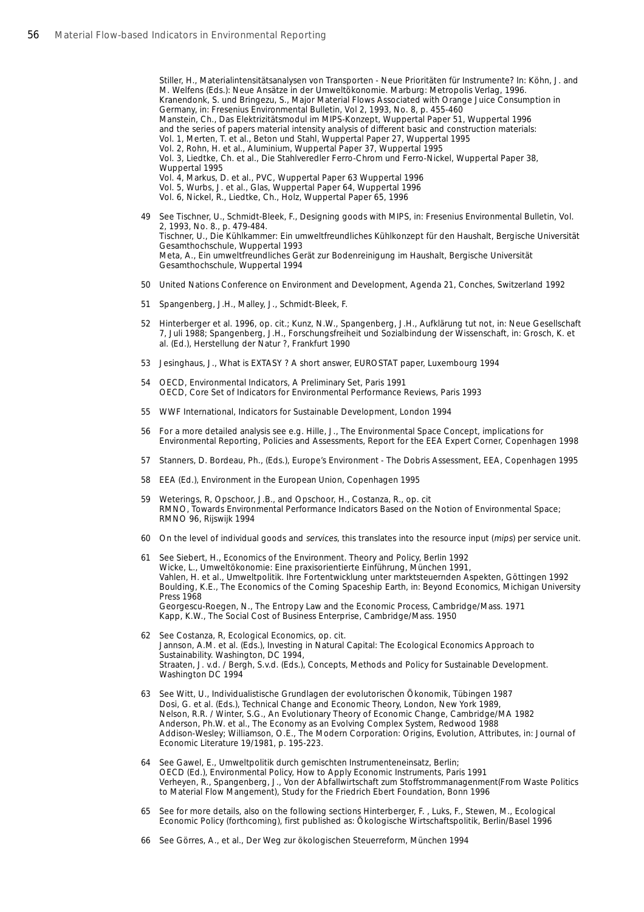Stiller, H., Materialintensitätsanalysen von Transporten - Neue Prioritäten für Instrumente? In: Köhn, J. and M. Welfens (Eds.): Neue Ansätze in der Umweltökonomie. Marburg: Metropolis Verlag, 1996. Kranendonk, S. und Bringezu, S., Major Material Flows Associated with Orange Juice Consumption in Germany, in: Fresenius Environmental Bulletin, Vol 2, 1993, No. 8, p. 455-460 Manstein, Ch., Das Elektrizitätsmodul im MIPS-Konzept, Wuppertal Paper 51, Wuppertal 1996 and the series of papers material intensity analysis of different basic and construction materials: Vol. 1, Merten, T. et al., Beton und Stahl, Wuppertal Paper 27, Wuppertal 1995 Vol. 2, Rohn, H. et al., Aluminium, Wuppertal Paper 37, Wuppertal 1995 Vol. 3, Liedtke, Ch. et al., Die Stahlveredler Ferro-Chrom und Ferro-Nickel, Wuppertal Paper 38, Wuppertal 1995 Vol. 4, Markus, D. et al., PVC, Wuppertal Paper 63 Wuppertal 1996 Vol. 5, Wurbs, J. et al., Glas, Wuppertal Paper 64, Wuppertal 1996 Vol. 6, Nickel, R., Liedtke, Ch., Holz, Wuppertal Paper 65, 1996 49 See Tischner, U., Schmidt-Bleek, F., Designing goods with MIPS, in: Fresenius Environmental Bulletin, Vol. 2, 1993, No. 8., p. 479-484.

- Tischner, U., Die Kühlkammer: Ein umweltfreundliches Kühlkonzept für den Haushalt, Bergische Universität Gesamthochschule, Wuppertal 1993 Meta, A., Ein umweltfreundliches Gerät zur Bodenreinigung im Haushalt, Bergische Universität Gesamthochschule, Wuppertal 1994
- 50 United Nations Conference on Environment and Development, Agenda 21, Conches, Switzerland 1992
- 51 Spangenberg, J.H., Malley, J., Schmidt-Bleek, F.
- 52 Hinterberger et al. 1996, op. cit.; Kunz, N.W., Spangenberg, J.H., Aufklärung tut not, in: Neue Gesellschaft 7, Juli 1988; Spangenberg, J.H., Forschungsfreiheit und Sozialbindung der Wissenschaft, in: Grosch, K. et al. (Ed.), Herstellung der Natur ?, Frankfurt 1990
- 53 Jesinghaus, J., What is EXTASY ? A short answer, EUROSTAT paper, Luxembourg 1994
- 54 OECD, Environmental Indicators, A Preliminary Set, Paris 1991 OECD, Core Set of Indicators for Environmental Performance Reviews, Paris 1993
- 55 WWF International, Indicators for Sustainable Development, London 1994
- 56 For a more detailed analysis see e.g. Hille, J., The Environmental Space Concept, implications for Environmental Reporting, Policies and Assessments, Report for the EEA Expert Corner, Copenhagen 1998
- 57 Stanners, D. Bordeau, Ph., (Eds.), Europe's Environment The Dobris Assessment, EEA, Copenhagen 1995
- 58 EEA (Ed.), Environment in the European Union, Copenhagen 1995
- 59 Weterings, R, Opschoor, J.B., and Opschoor, H., Costanza, R., op. cit RMNO, Towards Environmental Performance Indicators Based on the Notion of Environmental Space; RMNO 96, Rijswijk 1994
- 60 On the level of individual goods and services, this translates into the resource input (mips) per service unit.
- 61 See Siebert, H., Economics of the Environment. Theory and Policy, Berlin 1992 Wicke, L., Umweltökonomie: Eine praxisorientierte Einführung, München 1991, Vahlen, H. et al., Umweltpolitik. Ihre Fortentwicklung unter marktsteuernden Aspekten, Göttingen 1992 Boulding, K.E., The Economics of the Coming Spaceship Earth, in: Beyond Economics, Michigan University Press 1968 Georgescu-Roegen, N., The Entropy Law and the Economic Process, Cambridge/Mass. 1971 Kapp, K.W., The Social Cost of Business Enterprise, Cambridge/Mass. 1950
- 62 See Costanza, R, Ecological Economics, op. cit. Jannson, A.M. et al. (Eds.), Investing in Natural Capital: The Ecological Economics Approach to Sustainability. Washington, DC 1994, Straaten, J. v.d. / Bergh, S.v.d. (Eds.), Concepts, Methods and Policy for Sustainable Development. Washington DC 1994
- 63 See Witt, U., Individualistische Grundlagen der evolutorischen Ökonomik, Tübingen 1987 Dosi, G. et al. (Eds.), Technical Change and Economic Theory, London, New York 1989, Nelson, R.R. / Winter, S.G., An Evolutionary Theory of Economic Change, Cambridge/MA 1982 Anderson, Ph.W. et al., The Economy as an Evolving Complex System, Redwood 1988 Addison-Wesley; Williamson, O.E., The Modern Corporation: Origins, Evolution, Attributes, in: Journal of Economic Literature 19/1981, p. 195-223.
- 64 See Gawel, E., Umweltpolitik durch gemischten Instrumenteneinsatz, Berlin; OECD (Ed.), Environmental Policy, How to Apply Economic Instruments, Paris 1991 Verheyen, R., Spangenberg, J., Von der Abfallwirtschaft zum Stoffstrommanagenment(From Waste Politics to Material Flow Mangement), Study for the Friedrich Ebert Foundation, Bonn 1996
- 65 See for more details, also on the following sections Hinterberger, F. , Luks, F., Stewen, M., Ecological Economic Policy (forthcoming), first published as: Ökologische Wirtschaftspolitik, Berlin/Basel 1996
- 66 See Görres, A., et al., Der Weg zur ökologischen Steuerreform, München 1994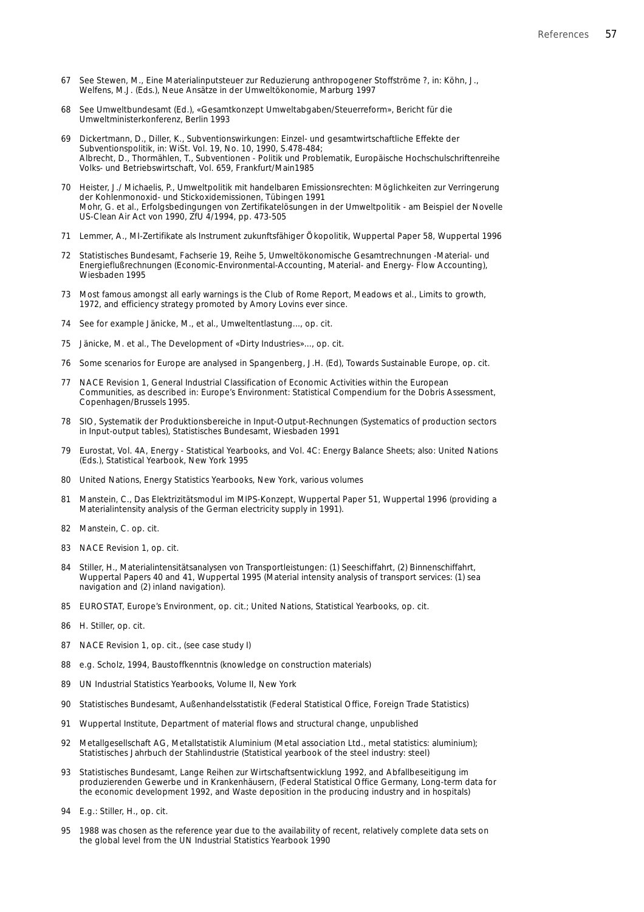- 67 See Stewen, M., Eine Materialinputsteuer zur Reduzierung anthropogener Stoffströme ?, in: Köhn, J., Welfens, M.J. (Eds.), Neue Ansätze in der Umweltökonomie, Marburg 1997
- 68 See Umweltbundesamt (Ed.), «Gesamtkonzept Umweltabgaben/Steuerreform», Bericht für die Umweltministerkonferenz, Berlin 1993
- 69 Dickertmann, D., Diller, K., Subventionswirkungen: Einzel- und gesamtwirtschaftliche Effekte der Subventionspolitik, in: WiSt. Vol. 19, No. 10, 1990, S.478-484; Albrecht, D., Thormählen, T., Subventionen - Politik und Problematik, Europäische Hochschulschriftenreihe Volks- und Betriebswirtschaft, Vol. 659, Frankfurt/Main1985
- 70 Heister, J./ Michaelis, P., Umweltpolitik mit handelbaren Emissionsrechten: Möglichkeiten zur Verringerung der Kohlenmonoxid- und Stickoxidemissionen, Tübingen 1991 Mohr, G. et al., Erfolgsbedingungen von Zertifikatelösungen in der Umweltpolitik - am Beispiel der Novelle US-Clean Air Act von 1990, ZfU 4/1994, pp. 473-505
- 71 Lemmer, A., MI-Zertifikate als Instrument zukunftsfähiger Ökopolitik, Wuppertal Paper 58, Wuppertal 1996
- 72 Statistisches Bundesamt, Fachserie 19, Reihe 5, Umweltökonomische Gesamtrechnungen -Material- und Energieflußrechnungen (Economic-Environmental-Accounting, Material- and Energy- Flow Accounting), Wiesbaden 1995
- 73 Most famous amongst all early warnings is the Club of Rome Report, Meadows et al., Limits to growth, 1972, and efficiency strategy promoted by Amory Lovins ever since.
- 74 See for example Jänicke, M., et al., Umweltentlastung..., op. cit.
- 75 Jänicke, M. et al., The Development of «Dirty Industries»..., op. cit.
- 76 Some scenarios for Europe are analysed in Spangenberg, J.H. (Ed), Towards Sustainable Europe, op. cit.
- 77 NACE Revision 1, General Industrial Classification of Economic Activities within the European Communities, as described in: Europe's Environment: Statistical Compendium for the Dobris Assessment, Copenhagen/Brussels 1995.
- 78 SIO, Systematik der Produktionsbereiche in Input-Output-Rechnungen (Systematics of production sectors in Input-output tables), Statistisches Bundesamt, Wiesbaden 1991
- 79 Eurostat, Vol. 4A, Energy Statistical Yearbooks, and Vol. 4C: Energy Balance Sheets; also: United Nations (Eds.), Statistical Yearbook, New York 1995
- 80 United Nations, Energy Statistics Yearbooks, New York, various volumes
- 81 Manstein, C., Das Elektrizitätsmodul im MIPS-Konzept, Wuppertal Paper 51, Wuppertal 1996 (providing a Materialintensity analysis of the German electricity supply in 1991).
- 82 Manstein, C. op. cit.
- 83 NACE Revision 1, op. cit.
- 84 Stiller, H., Materialintensitätsanalysen von Transportleistungen: (1) Seeschiffahrt, (2) Binnenschiffahrt, Wuppertal Papers 40 and 41, Wuppertal 1995 (Material intensity analysis of transport services: (1) sea navigation and (2) inland navigation).
- 85 EUROSTAT, Europe's Environment, op. cit.; United Nations, Statistical Yearbooks, op. cit.
- 86 H. Stiller, op. cit.
- 87 NACE Revision 1, op. cit., (see case study I)
- 88 e.g. Scholz, 1994, Baustoffkenntnis (knowledge on construction materials)
- 89 UN Industrial Statistics Yearbooks, Volume II, New York
- 90 Statistisches Bundesamt, Außenhandelsstatistik (Federal Statistical Office, Foreign Trade Statistics)
- 91 Wuppertal Institute, Department of material flows and structural change, unpublished
- 92 Metallgesellschaft AG, Metallstatistik Aluminium (Metal association Ltd., metal statistics: aluminium); Statistisches Jahrbuch der Stahlindustrie (Statistical yearbook of the steel industry: steel)
- 93 Statistisches Bundesamt, Lange Reihen zur Wirtschaftsentwicklung 1992, and Abfallbeseitigung im produzierenden Gewerbe und in Krankenhäusern, (Federal Statistical Office Germany, Long-term data for the economic development 1992, and Waste deposition in the producing industry and in hospitals)
- 94 E.g.: Stiller, H., op. cit.
- 95 1988 was chosen as the reference year due to the availability of recent, relatively complete data sets on the global level from the UN Industrial Statistics Yearbook 1990